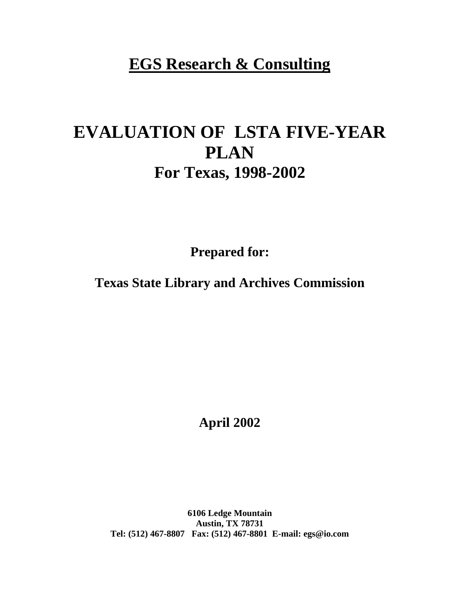# **EGS Research & Consulting**

# **EVALUATION OF LSTA FIVE-YEAR PLAN For Texas, 1998-2002**

**Prepared for:**

**Texas State Library and Archives Commission**

**April 2002**

**6106 Ledge Mountain Austin, TX 78731 Tel: (512) 467-8807 Fax: (512) 467-8801 E-mail: egs@io.com**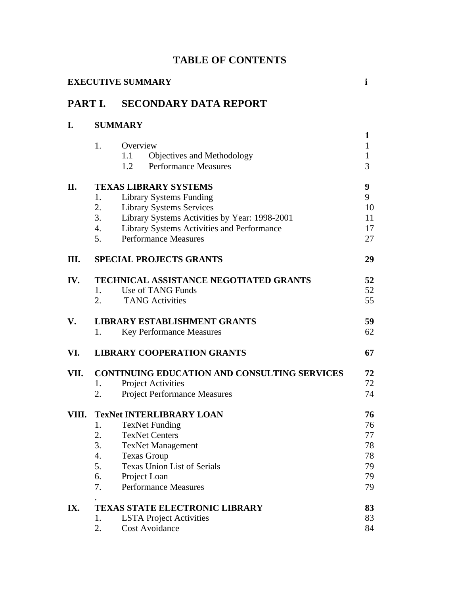|  | <b>TABLE OF CONTENTS</b> |
|--|--------------------------|
|--|--------------------------|

|         |                                        | <b>EXECUTIVE SUMMARY</b>                                                                                                                                                                                                 | $\mathbf{i}$                                      |
|---------|----------------------------------------|--------------------------------------------------------------------------------------------------------------------------------------------------------------------------------------------------------------------------|---------------------------------------------------|
| PART I. |                                        | <b>SECONDARY DATA REPORT</b>                                                                                                                                                                                             |                                                   |
| I.      |                                        | <b>SUMMARY</b>                                                                                                                                                                                                           |                                                   |
|         | 1.                                     | Overview<br>1.1<br>Objectives and Methodology<br><b>Performance Measures</b><br>1.2                                                                                                                                      | $\mathbf{1}$<br>$\mathbf{1}$<br>$\mathbf{1}$<br>3 |
| П.      | 1.<br>2.<br>3.<br>4.                   | <b>TEXAS LIBRARY SYSTEMS</b><br><b>Library Systems Funding</b><br><b>Library Systems Services</b><br>Library Systems Activities by Year: 1998-2001<br>Library Systems Activities and Performance                         | 9<br>9<br>10<br>11<br>17                          |
|         | 5.                                     | <b>Performance Measures</b>                                                                                                                                                                                              | 27                                                |
| Ш.      |                                        | <b>SPECIAL PROJECTS GRANTS</b>                                                                                                                                                                                           | 29                                                |
| IV.     | 1.<br>2.                               | <b>TECHNICAL ASSISTANCE NEGOTIATED GRANTS</b><br>Use of TANG Funds<br><b>TANG Activities</b>                                                                                                                             | 52<br>52<br>55                                    |
| V.      | 1.                                     | <b>LIBRARY ESTABLISHMENT GRANTS</b><br><b>Key Performance Measures</b>                                                                                                                                                   | 59<br>62                                          |
| VI.     |                                        | <b>LIBRARY COOPERATION GRANTS</b>                                                                                                                                                                                        | 67                                                |
| VII.    | 1.<br>2.                               | CONTINUING EDUCATION AND CONSULTING SERVICES<br><b>Project Activities</b><br><b>Project Performance Measures</b>                                                                                                         | 72<br>72<br>74                                    |
| VIII.   | 1.<br>2.<br>3.<br>4.<br>5.<br>6.<br>7. | <b>TexNet INTERLIBRARY LOAN</b><br><b>TexNet Funding</b><br><b>TexNet Centers</b><br><b>TexNet Management</b><br><b>Texas Group</b><br><b>Texas Union List of Serials</b><br>Project Loan<br><b>Performance Measures</b> | 76<br>76<br>77<br>78<br>78<br>79<br>79<br>79      |
| IX.     | 1.<br>2.                               | <b>TEXAS STATE ELECTRONIC LIBRARY</b><br><b>LSTA Project Activities</b><br><b>Cost Avoidance</b>                                                                                                                         | 83<br>83<br>84                                    |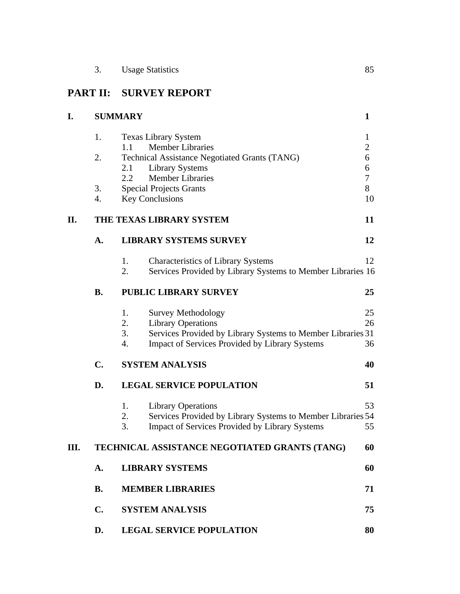# **PART II: SURVEY REPORT**

| I. |                | <b>SUMMARY</b>                                                    | $\mathbf{1}$                                                                                                                                          |
|----|----------------|-------------------------------------------------------------------|-------------------------------------------------------------------------------------------------------------------------------------------------------|
|    | 1.             | <b>Texas Library System</b>                                       | 1                                                                                                                                                     |
|    |                | <b>Member Libraries</b><br>1.1                                    |                                                                                                                                                       |
|    | 2.             | Technical Assistance Negotiated Grants (TANG)                     |                                                                                                                                                       |
|    |                | 2.1<br><b>Library Systems</b><br><b>Member Libraries</b><br>2.2   | $\overline{c}$<br>6<br>6<br>$\overline{7}$<br>8<br>10<br>11<br>12<br>12<br>25<br>25<br>26<br>36<br>40<br>51<br>53<br>55<br>60<br>60<br>71<br>75<br>80 |
|    | 3.             | <b>Special Projects Grants</b>                                    |                                                                                                                                                       |
|    | 4.             | <b>Key Conclusions</b>                                            |                                                                                                                                                       |
|    |                |                                                                   |                                                                                                                                                       |
| П. |                | THE TEXAS LIBRARY SYSTEM                                          |                                                                                                                                                       |
|    | A.             | <b>LIBRARY SYSTEMS SURVEY</b>                                     |                                                                                                                                                       |
|    |                | 1.<br><b>Characteristics of Library Systems</b>                   |                                                                                                                                                       |
|    |                | 2.<br>Services Provided by Library Systems to Member Libraries 16 |                                                                                                                                                       |
|    | <b>B.</b>      | <b>PUBLIC LIBRARY SURVEY</b>                                      |                                                                                                                                                       |
|    |                | 1.<br><b>Survey Methodology</b>                                   |                                                                                                                                                       |
|    |                | 2.<br><b>Library Operations</b>                                   |                                                                                                                                                       |
|    |                | 3.<br>Services Provided by Library Systems to Member Libraries 31 |                                                                                                                                                       |
|    |                | 4.<br><b>Impact of Services Provided by Library Systems</b>       |                                                                                                                                                       |
|    | C.             | <b>SYSTEM ANALYSIS</b>                                            |                                                                                                                                                       |
|    | D.             | <b>LEGAL SERVICE POPULATION</b>                                   |                                                                                                                                                       |
|    |                | 1.<br><b>Library Operations</b>                                   |                                                                                                                                                       |
|    |                | 2.<br>Services Provided by Library Systems to Member Libraries 54 |                                                                                                                                                       |
|    |                | 3.<br><b>Impact of Services Provided by Library Systems</b>       |                                                                                                                                                       |
| Ш. |                | TECHNICAL ASSISTANCE NEGOTIATED GRANTS (TANG)                     |                                                                                                                                                       |
|    | A.             | <b>LIBRARY SYSTEMS</b>                                            |                                                                                                                                                       |
|    | <b>B.</b>      | <b>MEMBER LIBRARIES</b>                                           |                                                                                                                                                       |
|    | $\mathbf{C}$ . | <b>SYSTEM ANALYSIS</b>                                            |                                                                                                                                                       |
|    | D.             | <b>LEGAL SERVICE POPULATION</b>                                   |                                                                                                                                                       |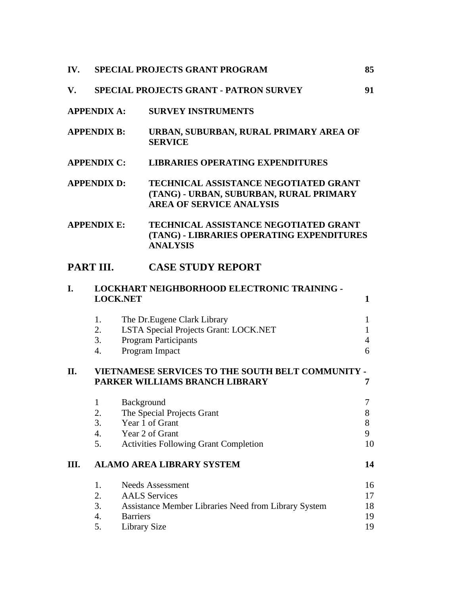| IV. |                                                                                | <b>SPECIAL PROJECTS GRANT PROGRAM</b>                                                                                                      | 85                         |  |  |  |
|-----|--------------------------------------------------------------------------------|--------------------------------------------------------------------------------------------------------------------------------------------|----------------------------|--|--|--|
| V.  | <b>SPECIAL PROJECTS GRANT - PATRON SURVEY</b>                                  |                                                                                                                                            |                            |  |  |  |
|     | <b>APPENDIX A:</b><br><b>SURVEY INSTRUMENTS</b>                                |                                                                                                                                            |                            |  |  |  |
|     | <b>APPENDIX B:</b><br>URBAN, SUBURBAN, RURAL PRIMARY AREA OF<br><b>SERVICE</b> |                                                                                                                                            |                            |  |  |  |
|     | <b>APPENDIX C:</b>                                                             | <b>LIBRARIES OPERATING EXPENDITURES</b>                                                                                                    |                            |  |  |  |
|     | <b>APPENDIX D:</b>                                                             | <b>TECHNICAL ASSISTANCE NEGOTIATED GRANT</b><br>(TANG) - URBAN, SUBURBAN, RURAL PRIMARY<br><b>AREA OF SERVICE ANALYSIS</b>                 |                            |  |  |  |
|     | <b>APPENDIX E:</b>                                                             | TECHNICAL ASSISTANCE NEGOTIATED GRANT<br>(TANG) - LIBRARIES OPERATING EXPENDITURES<br><b>ANALYSIS</b>                                      |                            |  |  |  |
|     | PART III.                                                                      | <b>CASE STUDY REPORT</b>                                                                                                                   |                            |  |  |  |
| I.  | <b>LOCK.NET</b>                                                                | LOCKHART NEIGHBORHOOD ELECTRONIC TRAINING -                                                                                                | 1                          |  |  |  |
|     | 1.<br>2.<br>3.<br>4.                                                           | The Dr. Eugene Clark Library<br>LSTA Special Projects Grant: LOCK.NET<br><b>Program Participants</b><br>Program Impact                     | 1<br>1<br>4<br>6           |  |  |  |
| II. |                                                                                | VIETNAMESE SERVICES TO THE SOUTH BELT COMMUNITY -<br>PARKER WILLIAMS BRANCH LIBRARY                                                        | 7                          |  |  |  |
|     | $\mathbf{1}$<br>2.<br>3.<br>4.<br>5.                                           | Background<br>The Special Projects Grant<br>Year 1 of Grant<br>Year 2 of Grant<br><b>Activities Following Grant Completion</b>             | 7<br>8<br>8<br>9<br>10     |  |  |  |
| Ш.  |                                                                                | <b>ALAMO AREA LIBRARY SYSTEM</b>                                                                                                           | 14                         |  |  |  |
|     | 1.<br>2.<br>3.<br>4.<br>5.                                                     | <b>Needs Assessment</b><br><b>AALS</b> Services<br>Assistance Member Libraries Need from Library System<br><b>Barriers</b><br>Library Size | 16<br>17<br>18<br>19<br>19 |  |  |  |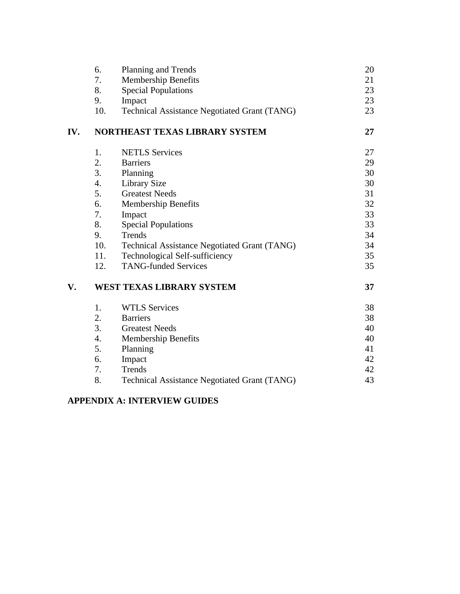|     | 6.<br>7. | Planning and Trends<br>Membership Benefits          | 20<br>21 |
|-----|----------|-----------------------------------------------------|----------|
|     | 8.       | <b>Special Populations</b>                          | 23       |
|     | 9.       | Impact                                              | 23       |
|     | 10.      | <b>Technical Assistance Negotiated Grant (TANG)</b> | 23       |
| IV. |          | NORTHEAST TEXAS LIBRARY SYSTEM                      | 27       |
|     | 1.       | <b>NETLS Services</b>                               | 27       |
|     | 2.       | <b>Barriers</b>                                     | 29       |
|     | 3.       | Planning                                            | 30       |
|     | 4.       | <b>Library Size</b>                                 | 30       |
|     | 5.       | <b>Greatest Needs</b>                               | 31       |
|     | 6.       | Membership Benefits                                 | 32       |
|     | 7.       | Impact                                              | 33       |
|     | 8.       | <b>Special Populations</b>                          | 33       |
|     | 9.       | Trends                                              | 34       |
|     | 10.      | <b>Technical Assistance Negotiated Grant (TANG)</b> | 34       |
|     | 11.      | <b>Technological Self-sufficiency</b>               | 35       |
|     | 12.      | <b>TANG-funded Services</b>                         | 35       |
| V.  |          | WEST TEXAS LIBRARY SYSTEM                           | 37       |
|     | 1.       | <b>WTLS Services</b>                                | 38       |
|     | 2.       | <b>Barriers</b>                                     | 38       |
|     | 3.       | <b>Greatest Needs</b>                               | 40       |
|     | 4.       | <b>Membership Benefits</b>                          | 40       |
|     | 5.       | Planning                                            | 41       |
|     | 6.       | Impact                                              | 42       |
|     | 7.       | Trends                                              | 42       |
|     | 8.       | <b>Technical Assistance Negotiated Grant (TANG)</b> | 43       |
|     |          |                                                     |          |

# **APPENDIX A: INTERVIEW GUIDES**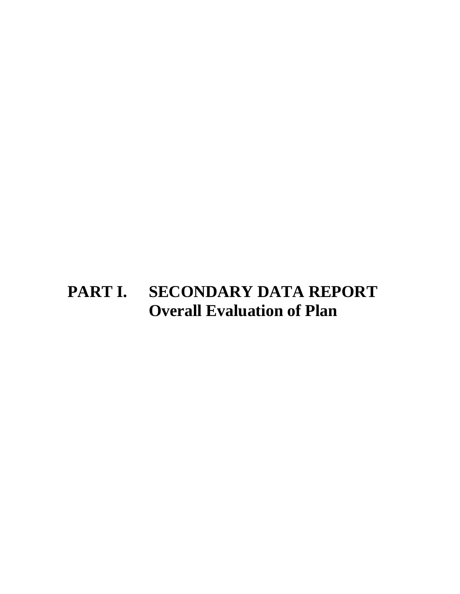# **PART I. SECONDARY DATA REPORT Overall Evaluation of Plan**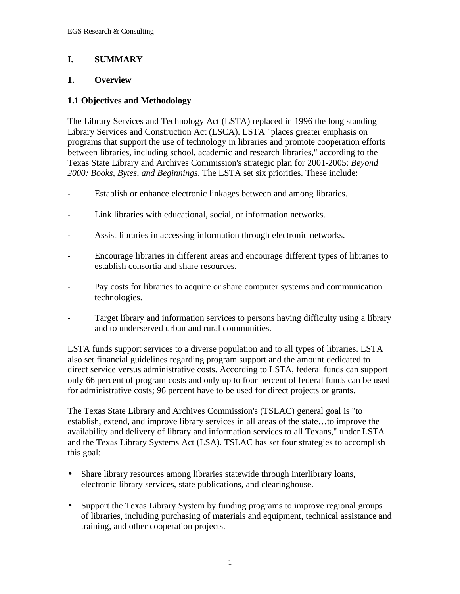# **I. SUMMARY**

#### **1. Overview**

#### **1.1 Objectives and Methodology**

The Library Services and Technology Act (LSTA) replaced in 1996 the long standing Library Services and Construction Act (LSCA). LSTA "places greater emphasis on programs that support the use of technology in libraries and promote cooperation efforts between libraries, including school, academic and research libraries," according to the Texas State Library and Archives Commission's strategic plan for 2001-2005: *Beyond 2000: Books, Bytes, and Beginnings*. The LSTA set six priorities. These include:

- Establish or enhance electronic linkages between and among libraries.
- Link libraries with educational, social, or information networks.
- Assist libraries in accessing information through electronic networks.
- Encourage libraries in different areas and encourage different types of libraries to establish consortia and share resources.
- Pay costs for libraries to acquire or share computer systems and communication technologies.
- Target library and information services to persons having difficulty using a library and to underserved urban and rural communities.

LSTA funds support services to a diverse population and to all types of libraries. LSTA also set financial guidelines regarding program support and the amount dedicated to direct service versus administrative costs. According to LSTA, federal funds can support only 66 percent of program costs and only up to four percent of federal funds can be used for administrative costs; 96 percent have to be used for direct projects or grants.

The Texas State Library and Archives Commission's (TSLAC) general goal is "to establish, extend, and improve library services in all areas of the state…to improve the availability and delivery of library and information services to all Texans," under LSTA and the Texas Library Systems Act (LSA). TSLAC has set four strategies to accomplish this goal:

- Share library resources among libraries statewide through interlibrary loans, electronic library services, state publications, and clearinghouse.
- Support the Texas Library System by funding programs to improve regional groups of libraries, including purchasing of materials and equipment, technical assistance and training, and other cooperation projects.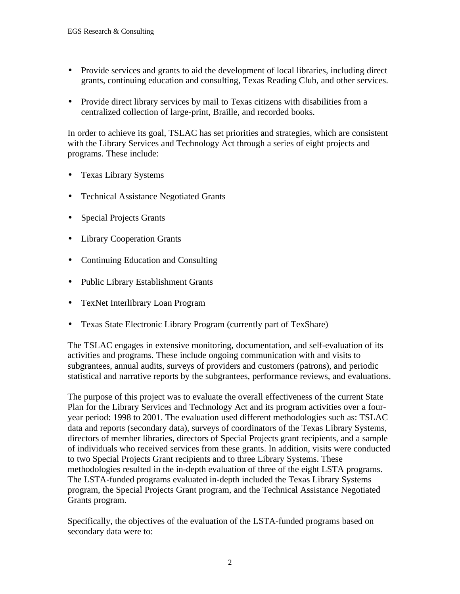- Provide services and grants to aid the development of local libraries, including direct grants, continuing education and consulting, Texas Reading Club, and other services.
- Provide direct library services by mail to Texas citizens with disabilities from a centralized collection of large-print, Braille, and recorded books.

In order to achieve its goal, TSLAC has set priorities and strategies, which are consistent with the Library Services and Technology Act through a series of eight projects and programs. These include:

- Texas Library Systems
- Technical Assistance Negotiated Grants
- Special Projects Grants
- Library Cooperation Grants
- Continuing Education and Consulting
- Public Library Establishment Grants
- TexNet Interlibrary Loan Program
- Texas State Electronic Library Program (currently part of TexShare)

The TSLAC engages in extensive monitoring, documentation, and self-evaluation of its activities and programs. These include ongoing communication with and visits to subgrantees, annual audits, surveys of providers and customers (patrons), and periodic statistical and narrative reports by the subgrantees, performance reviews, and evaluations.

The purpose of this project was to evaluate the overall effectiveness of the current State Plan for the Library Services and Technology Act and its program activities over a fouryear period: 1998 to 2001. The evaluation used different methodologies such as: TSLAC data and reports (secondary data), surveys of coordinators of the Texas Library Systems, directors of member libraries, directors of Special Projects grant recipients, and a sample of individuals who received services from these grants. In addition, visits were conducted to two Special Projects Grant recipients and to three Library Systems. These methodologies resulted in the in-depth evaluation of three of the eight LSTA programs. The LSTA-funded programs evaluated in-depth included the Texas Library Systems program, the Special Projects Grant program, and the Technical Assistance Negotiated Grants program.

Specifically, the objectives of the evaluation of the LSTA-funded programs based on secondary data were to: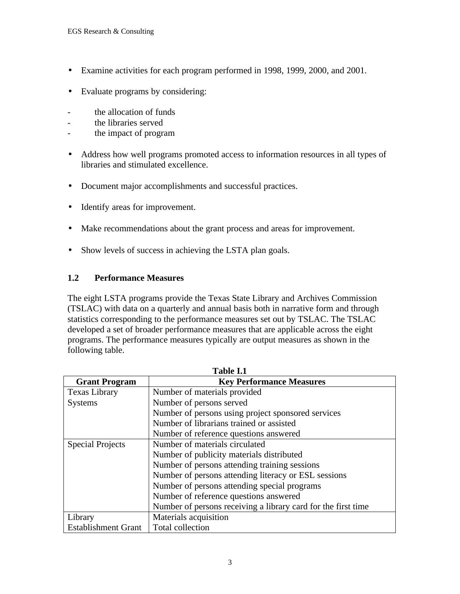- Examine activities for each program performed in 1998, 1999, 2000, and 2001.
- Evaluate programs by considering:
- the allocation of funds
- the libraries served
- the impact of program
- Address how well programs promoted access to information resources in all types of libraries and stimulated excellence.
- Document major accomplishments and successful practices.
- Identify areas for improvement.
- Make recommendations about the grant process and areas for improvement.
- Show levels of success in achieving the LSTA plan goals.

#### **1.2 Performance Measures**

The eight LSTA programs provide the Texas State Library and Archives Commission (TSLAC) with data on a quarterly and annual basis both in narrative form and through statistics corresponding to the performance measures set out by TSLAC. The TSLAC developed a set of broader performance measures that are applicable across the eight programs. The performance measures typically are output measures as shown in the following table.

| Table I.1                  |                                                               |  |  |  |
|----------------------------|---------------------------------------------------------------|--|--|--|
| <b>Grant Program</b>       | <b>Key Performance Measures</b>                               |  |  |  |
| <b>Texas Library</b>       | Number of materials provided                                  |  |  |  |
| <b>Systems</b>             | Number of persons served                                      |  |  |  |
|                            | Number of persons using project sponsored services            |  |  |  |
|                            | Number of librarians trained or assisted                      |  |  |  |
|                            | Number of reference questions answered                        |  |  |  |
| <b>Special Projects</b>    | Number of materials circulated                                |  |  |  |
|                            | Number of publicity materials distributed                     |  |  |  |
|                            | Number of persons attending training sessions                 |  |  |  |
|                            | Number of persons attending literacy or ESL sessions          |  |  |  |
|                            | Number of persons attending special programs                  |  |  |  |
|                            | Number of reference questions answered                        |  |  |  |
|                            | Number of persons receiving a library card for the first time |  |  |  |
| Library                    | Materials acquisition                                         |  |  |  |
| <b>Establishment Grant</b> | Total collection                                              |  |  |  |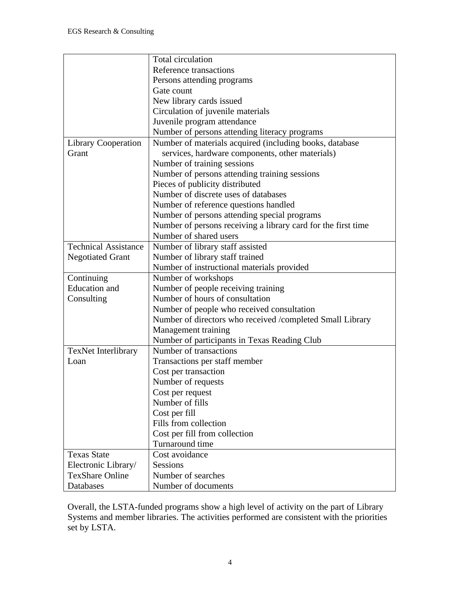|                             | Total circulation                                             |
|-----------------------------|---------------------------------------------------------------|
|                             | Reference transactions                                        |
|                             | Persons attending programs                                    |
|                             | Gate count                                                    |
|                             | New library cards issued                                      |
|                             | Circulation of juvenile materials                             |
|                             | Juvenile program attendance                                   |
|                             |                                                               |
|                             | Number of persons attending literacy programs                 |
| <b>Library Cooperation</b>  | Number of materials acquired (including books, database       |
| Grant                       | services, hardware components, other materials)               |
|                             | Number of training sessions                                   |
|                             | Number of persons attending training sessions                 |
|                             | Pieces of publicity distributed                               |
|                             | Number of discrete uses of databases                          |
|                             | Number of reference questions handled                         |
|                             | Number of persons attending special programs                  |
|                             | Number of persons receiving a library card for the first time |
|                             | Number of shared users                                        |
| <b>Technical Assistance</b> | Number of library staff assisted                              |
| <b>Negotiated Grant</b>     | Number of library staff trained                               |
|                             | Number of instructional materials provided                    |
| Continuing                  | Number of workshops                                           |
| <b>Education</b> and        | Number of people receiving training                           |
| Consulting                  | Number of hours of consultation                               |
|                             | Number of people who received consultation                    |
|                             | Number of directors who received /completed Small Library     |
|                             | Management training                                           |
|                             | Number of participants in Texas Reading Club                  |
| <b>TexNet Interlibrary</b>  | Number of transactions                                        |
| Loan                        | Transactions per staff member                                 |
|                             | Cost per transaction                                          |
|                             | Number of requests                                            |
|                             |                                                               |
|                             | Cost per request<br>Number of fills                           |
|                             |                                                               |
|                             | Cost per fill                                                 |
|                             | Fills from collection                                         |
|                             | Cost per fill from collection                                 |
|                             | Turnaround time                                               |
| <b>Texas State</b>          | Cost avoidance                                                |
| Electronic Library/         | Sessions                                                      |
| <b>TexShare Online</b>      | Number of searches                                            |
| Databases                   | Number of documents                                           |

Overall, the LSTA-funded programs show a high level of activity on the part of Library Systems and member libraries. The activities performed are consistent with the priorities set by LSTA.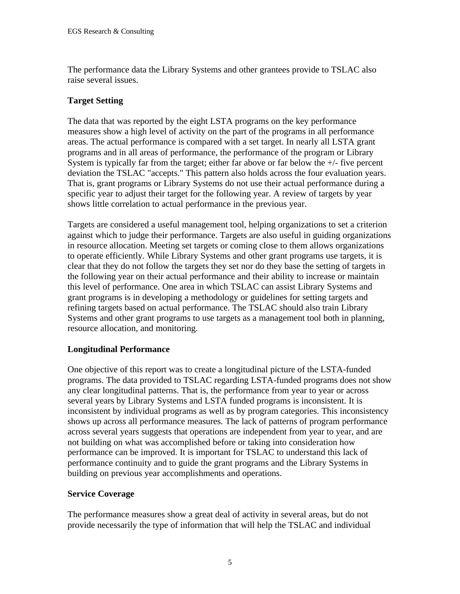The performance data the Library Systems and other grantees provide to TSLAC also raise several issues.

# **Target Setting**

The data that was reported by the eight LSTA programs on the key performance measures show a high level of activity on the part of the programs in all performance areas. The actual performance is compared with a set target. In nearly all LSTA grant programs and in all areas of performance, the performance of the program or Library System is typically far from the target; either far above or far below the  $+/-$  five percent deviation the TSLAC "accepts." This pattern also holds across the four evaluation years. That is, grant programs or Library Systems do not use their actual performance during a specific year to adjust their target for the following year. A review of targets by year shows little correlation to actual performance in the previous year.

Targets are considered a useful management tool, helping organizations to set a criterion against which to judge their performance. Targets are also useful in guiding organizations in resource allocation. Meeting set targets or coming close to them allows organizations to operate efficiently. While Library Systems and other grant programs use targets, it is clear that they do not follow the targets they set nor do they base the setting of targets in the following year on their actual performance and their ability to increase or maintain this level of performance. One area in which TSLAC can assist Library Systems and grant programs is in developing a methodology or guidelines for setting targets and refining targets based on actual performance. The TSLAC should also train Library Systems and other grant programs to use targets as a management tool both in planning, resource allocation, and monitoring.

#### **Longitudinal Performance**

One objective of this report was to create a longitudinal picture of the LSTA-funded programs. The data provided to TSLAC regarding LSTA-funded programs does not show any clear longitudinal patterns. That is, the performance from year to year or across several years by Library Systems and LSTA funded programs is inconsistent. It is inconsistent by individual programs as well as by program categories. This inconsistency shows up across all performance measures. The lack of patterns of program performance across several years suggests that operations are independent from year to year, and are not building on what was accomplished before or taking into consideration how performance can be improved. It is important for TSLAC to understand this lack of performance continuity and to guide the grant programs and the Library Systems in building on previous year accomplishments and operations.

#### **Service Coverage**

The performance measures show a great deal of activity in several areas, but do not provide necessarily the type of information that will help the TSLAC and individual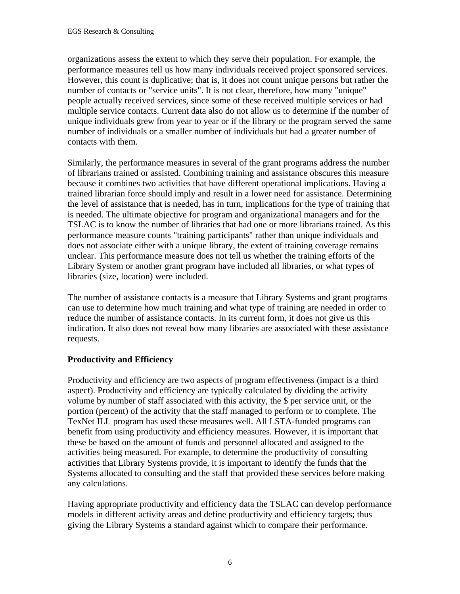organizations assess the extent to which they serve their population. For example, the performance measures tell us how many individuals received project sponsored services. However, this count is duplicative; that is, it does not count unique persons but rather the number of contacts or "service units". It is not clear, therefore, how many "unique" people actually received services, since some of these received multiple services or had multiple service contacts. Current data also do not allow us to determine if the number of unique individuals grew from year to year or if the library or the program served the same number of individuals or a smaller number of individuals but had a greater number of contacts with them.

Similarly, the performance measures in several of the grant programs address the number of librarians trained or assisted. Combining training and assistance obscures this measure because it combines two activities that have different operational implications. Having a trained librarian force should imply and result in a lower need for assistance. Determining the level of assistance that is needed, has in turn, implications for the type of training that is needed. The ultimate objective for program and organizational managers and for the TSLAC is to know the number of libraries that had one or more librarians trained. As this performance measure counts "training participants" rather than unique individuals and does not associate either with a unique library, the extent of training coverage remains unclear. This performance measure does not tell us whether the training efforts of the Library System or another grant program have included all libraries, or what types of libraries (size, location) were included.

The number of assistance contacts is a measure that Library Systems and grant programs can use to determine how much training and what type of training are needed in order to reduce the number of assistance contacts. In its current form, it does not give us this indication. It also does not reveal how many libraries are associated with these assistance requests.

# **Productivity and Efficiency**

Productivity and efficiency are two aspects of program effectiveness (impact is a third aspect). Productivity and efficiency are typically calculated by dividing the activity volume by number of staff associated with this activity, the \$ per service unit, or the portion (percent) of the activity that the staff managed to perform or to complete. The TexNet ILL program has used these measures well. All LSTA-funded programs can benefit from using productivity and efficiency measures. However, it is important that these be based on the amount of funds and personnel allocated and assigned to the activities being measured. For example, to determine the productivity of consulting activities that Library Systems provide, it is important to identify the funds that the Systems allocated to consulting and the staff that provided these services before making any calculations.

Having appropriate productivity and efficiency data the TSLAC can develop performance models in different activity areas and define productivity and efficiency targets; thus giving the Library Systems a standard against which to compare their performance.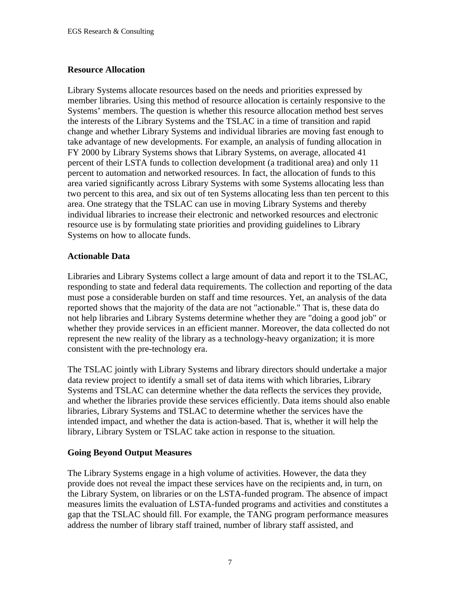#### **Resource Allocation**

Library Systems allocate resources based on the needs and priorities expressed by member libraries. Using this method of resource allocation is certainly responsive to the Systems' members. The question is whether this resource allocation method best serves the interests of the Library Systems and the TSLAC in a time of transition and rapid change and whether Library Systems and individual libraries are moving fast enough to take advantage of new developments. For example, an analysis of funding allocation in FY 2000 by Library Systems shows that Library Systems, on average, allocated 41 percent of their LSTA funds to collection development (a traditional area) and only 11 percent to automation and networked resources. In fact, the allocation of funds to this area varied significantly across Library Systems with some Systems allocating less than two percent to this area, and six out of ten Systems allocating less than ten percent to this area. One strategy that the TSLAC can use in moving Library Systems and thereby individual libraries to increase their electronic and networked resources and electronic resource use is by formulating state priorities and providing guidelines to Library Systems on how to allocate funds.

#### **Actionable Data**

Libraries and Library Systems collect a large amount of data and report it to the TSLAC, responding to state and federal data requirements. The collection and reporting of the data must pose a considerable burden on staff and time resources. Yet, an analysis of the data reported shows that the majority of the data are not "actionable." That is, these data do not help libraries and Library Systems determine whether they are "doing a good job" or whether they provide services in an efficient manner. Moreover, the data collected do not represent the new reality of the library as a technology-heavy organization; it is more consistent with the pre-technology era.

The TSLAC jointly with Library Systems and library directors should undertake a major data review project to identify a small set of data items with which libraries, Library Systems and TSLAC can determine whether the data reflects the services they provide, and whether the libraries provide these services efficiently. Data items should also enable libraries, Library Systems and TSLAC to determine whether the services have the intended impact, and whether the data is action-based. That is, whether it will help the library, Library System or TSLAC take action in response to the situation.

#### **Going Beyond Output Measures**

The Library Systems engage in a high volume of activities. However, the data they provide does not reveal the impact these services have on the recipients and, in turn, on the Library System, on libraries or on the LSTA-funded program. The absence of impact measures limits the evaluation of LSTA-funded programs and activities and constitutes a gap that the TSLAC should fill. For example, the TANG program performance measures address the number of library staff trained, number of library staff assisted, and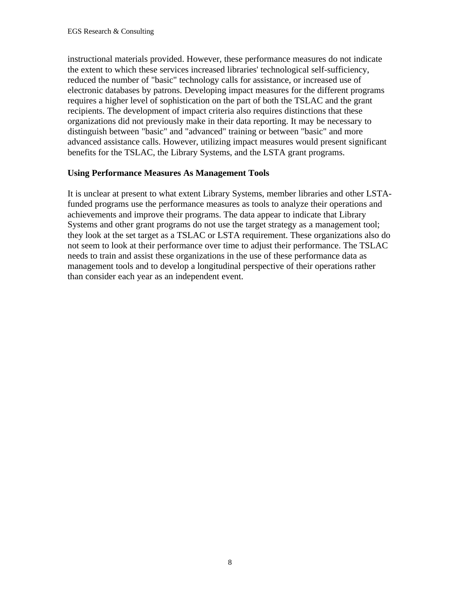instructional materials provided. However, these performance measures do not indicate the extent to which these services increased libraries' technological self-sufficiency, reduced the number of "basic" technology calls for assistance, or increased use of electronic databases by patrons. Developing impact measures for the different programs requires a higher level of sophistication on the part of both the TSLAC and the grant recipients. The development of impact criteria also requires distinctions that these organizations did not previously make in their data reporting. It may be necessary to distinguish between "basic" and "advanced" training or between "basic" and more advanced assistance calls. However, utilizing impact measures would present significant benefits for the TSLAC, the Library Systems, and the LSTA grant programs.

#### **Using Performance Measures As Management Tools**

It is unclear at present to what extent Library Systems, member libraries and other LSTAfunded programs use the performance measures as tools to analyze their operations and achievements and improve their programs. The data appear to indicate that Library Systems and other grant programs do not use the target strategy as a management tool; they look at the set target as a TSLAC or LSTA requirement. These organizations also do not seem to look at their performance over time to adjust their performance. The TSLAC needs to train and assist these organizations in the use of these performance data as management tools and to develop a longitudinal perspective of their operations rather than consider each year as an independent event.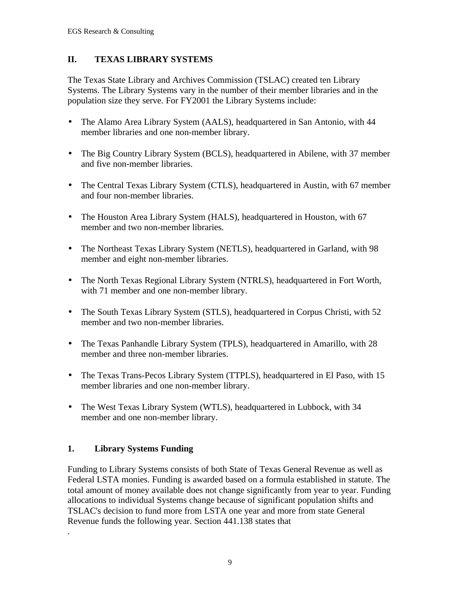# **II. TEXAS LIBRARY SYSTEMS**

The Texas State Library and Archives Commission (TSLAC) created ten Library Systems. The Library Systems vary in the number of their member libraries and in the population size they serve. For FY2001 the Library Systems include:

- The Alamo Area Library System (AALS), headquartered in San Antonio, with 44 member libraries and one non-member library.
- The Big Country Library System (BCLS), headquartered in Abilene, with 37 member and five non-member libraries.
- The Central Texas Library System (CTLS), headquartered in Austin, with 67 member and four non-member libraries.
- The Houston Area Library System (HALS), headquartered in Houston, with 67 member and two non-member libraries.
- The Northeast Texas Library System (NETLS), headquartered in Garland, with 98 member and eight non-member libraries.
- The North Texas Regional Library System (NTRLS), headquartered in Fort Worth, with 71 member and one non-member library.
- The South Texas Library System (STLS), headquartered in Corpus Christi, with 52 member and two non-member libraries.
- The Texas Panhandle Library System (TPLS), headquartered in Amarillo, with 28 member and three non-member libraries.
- The Texas Trans-Pecos Library System (TTPLS), headquartered in El Paso, with 15 member libraries and one non-member library.
- The West Texas Library System (WTLS), headquartered in Lubbock, with 34 member and one non-member library.

# **1. Library Systems Funding**

.

Funding to Library Systems consists of both State of Texas General Revenue as well as Federal LSTA monies. Funding is awarded based on a formula established in statute. The total amount of money available does not change significantly from year to year. Funding allocations to individual Systems change because of significant population shifts and TSLAC's decision to fund more from LSTA one year and more from state General Revenue funds the following year. Section 441.138 states that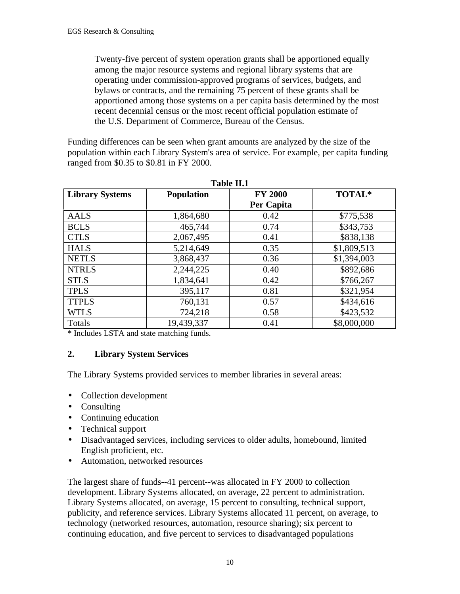Twenty-five percent of system operation grants shall be apportioned equally among the major resource systems and regional library systems that are operating under commission-approved programs of services, budgets, and bylaws or contracts, and the remaining 75 percent of these grants shall be apportioned among those systems on a per capita basis determined by the most recent decennial census or the most recent official population estimate of the U.S. Department of Commerce, Bureau of the Census.

Funding differences can be seen when grant amounts are analyzed by the size of the population within each Library System's area of service. For example, per capita funding ranged from \$0.35 to \$0.81 in FY 2000.

| 1 UIJIV 1101           |                   |                |             |  |  |  |
|------------------------|-------------------|----------------|-------------|--|--|--|
| <b>Library Systems</b> | <b>Population</b> | <b>FY 2000</b> | TOTAL*      |  |  |  |
|                        |                   | Per Capita     |             |  |  |  |
| <b>AALS</b>            | 1,864,680         | 0.42           | \$775,538   |  |  |  |
| <b>BCLS</b>            | 465,744           | 0.74           | \$343,753   |  |  |  |
| <b>CTLS</b>            | 2,067,495         | 0.41           | \$838,138   |  |  |  |
| <b>HALS</b>            | 5,214,649         | 0.35           | \$1,809,513 |  |  |  |
| <b>NETLS</b>           | 3,868,437         | 0.36           | \$1,394,003 |  |  |  |
| <b>NTRLS</b>           | 2,244,225         | 0.40           | \$892,686   |  |  |  |
| <b>STLS</b>            | 1,834,641         | 0.42           | \$766,267   |  |  |  |
| <b>TPLS</b>            | 395,117           | 0.81           | \$321,954   |  |  |  |
| <b>TTPLS</b>           | 760,131           | 0.57           | \$434,616   |  |  |  |
| <b>WTLS</b>            | 724,218           | 0.58           | \$423,532   |  |  |  |
| Totals                 | 19,439,337        | 0.41           | \$8,000,000 |  |  |  |

| <b>Table II.1</b> |  |
|-------------------|--|
|-------------------|--|

\* Includes LSTA and state matching funds.

#### **2. Library System Services**

The Library Systems provided services to member libraries in several areas:

- Collection development
- Consulting
- Continuing education
- Technical support
- Disadvantaged services, including services to older adults, homebound, limited English proficient, etc.
- Automation, networked resources

The largest share of funds--41 percent--was allocated in FY 2000 to collection development. Library Systems allocated, on average, 22 percent to administration. Library Systems allocated, on average, 15 percent to consulting, technical support, publicity, and reference services. Library Systems allocated 11 percent, on average, to technology (networked resources, automation, resource sharing); six percent to continuing education, and five percent to services to disadvantaged populations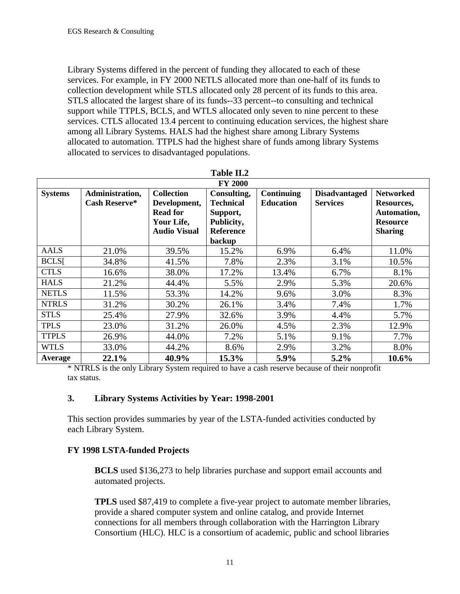Library Systems differed in the percent of funding they allocated to each of these services. For example, in FY 2000 NETLS allocated more than one-half of its funds to collection development while STLS allocated only 28 percent of its funds to this area. STLS allocated the largest share of its funds--33 percent--to consulting and technical support while TTPLS, BCLS, and WTLS allocated only seven to nine percent to these services. CTLS allocated 13.4 percent to continuing education services, the highest share among all Library Systems. HALS had the highest share among Library Systems allocated to automation. TTPLS had the highest share of funds among library Systems allocated to services to disadvantaged populations.

|                | <b>FY 2000</b>                          |                                                                                           |                                                                                         |                                       |                                         |                                                                                    |  |
|----------------|-----------------------------------------|-------------------------------------------------------------------------------------------|-----------------------------------------------------------------------------------------|---------------------------------------|-----------------------------------------|------------------------------------------------------------------------------------|--|
| <b>Systems</b> | Administration,<br><b>Cash Reserve*</b> | <b>Collection</b><br>Development,<br><b>Read for</b><br>Your Life,<br><b>Audio Visual</b> | Consulting,<br><b>Technical</b><br>Support,<br>Publicity,<br><b>Reference</b><br>backup | <b>Continuing</b><br><b>Education</b> | <b>Disadvantaged</b><br><b>Services</b> | <b>Networked</b><br>Resources,<br>Automation,<br><b>Resource</b><br><b>Sharing</b> |  |
| AALS           | 21.0%                                   | 39.5%                                                                                     | 15.2%                                                                                   | 6.9%                                  | 6.4%                                    | 11.0%                                                                              |  |
| <b>BCLS[</b>   | 34.8%                                   | 41.5%                                                                                     | 7.8%                                                                                    | 2.3%                                  | 3.1%                                    | 10.5%                                                                              |  |
| <b>CTLS</b>    | 16.6%                                   | 38.0%                                                                                     | 17.2%                                                                                   | 13.4%                                 | 6.7%                                    | 8.1%                                                                               |  |
| <b>HALS</b>    | 21.2%                                   | 44.4%                                                                                     | 5.5%                                                                                    | 2.9%                                  | 5.3%                                    | 20.6%                                                                              |  |
| <b>NETLS</b>   | 11.5%                                   | 53.3%                                                                                     | 14.2%                                                                                   | 9.6%                                  | 3.0%                                    | 8.3%                                                                               |  |
| <b>NTRLS</b>   | 31.2%                                   | 30.2%                                                                                     | 26.1%                                                                                   | 3.4%                                  | 7.4%                                    | 1.7%                                                                               |  |
| <b>STLS</b>    | 25.4%                                   | 27.9%                                                                                     | 32.6%                                                                                   | 3.9%                                  | 4.4%                                    | 5.7%                                                                               |  |
| <b>TPLS</b>    | 23.0%                                   | 31.2%                                                                                     | 26.0%                                                                                   | 4.5%                                  | 2.3%                                    | 12.9%                                                                              |  |
| <b>TTPLS</b>   | 26.9%                                   | 44.0%                                                                                     | 7.2%                                                                                    | 5.1%                                  | 9.1%                                    | 7.7%                                                                               |  |
| <b>WTLS</b>    | 33.0%                                   | 44.2%                                                                                     | 8.6%                                                                                    | 2.9%                                  | 3.2%                                    | 8.0%                                                                               |  |
| Average        | 22.1%                                   | 40.9%                                                                                     | 15.3%                                                                                   | 5.9%                                  | 5.2%                                    | 10.6%                                                                              |  |

\* NTRLS is the only Library System required to have a cash reserve because of their nonprofit tax status.

#### **3. Library Systems Activities by Year: 1998-2001**

This section provides summaries by year of the LSTA-funded activities conducted by each Library System.

#### **FY 1998 LSTA-funded Projects**

**BCLS** used \$136,273 to help libraries purchase and support email accounts and automated projects.

**TPLS** used \$87,419 to complete a five-year project to automate member libraries, provide a shared computer system and online catalog, and provide Internet connections for all members through collaboration with the Harrington Library Consortium (HLC). HLC is a consortium of academic, public and school libraries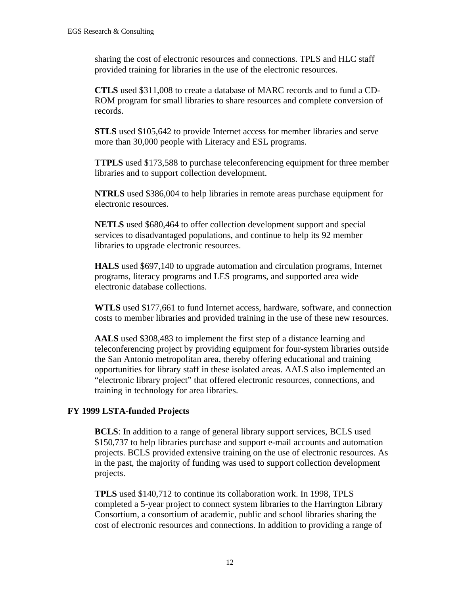sharing the cost of electronic resources and connections. TPLS and HLC staff provided training for libraries in the use of the electronic resources.

**CTLS** used \$311,008 to create a database of MARC records and to fund a CD-ROM program for small libraries to share resources and complete conversion of records.

**STLS** used \$105,642 to provide Internet access for member libraries and serve more than 30,000 people with Literacy and ESL programs.

**TTPLS** used \$173,588 to purchase teleconferencing equipment for three member libraries and to support collection development.

**NTRLS** used \$386,004 to help libraries in remote areas purchase equipment for electronic resources.

**NETLS** used \$680,464 to offer collection development support and special services to disadvantaged populations, and continue to help its 92 member libraries to upgrade electronic resources.

**HALS** used \$697,140 to upgrade automation and circulation programs, Internet programs, literacy programs and LES programs, and supported area wide electronic database collections.

**WTLS** used \$177,661 to fund Internet access, hardware, software, and connection costs to member libraries and provided training in the use of these new resources.

**AALS** used \$308,483 to implement the first step of a distance learning and teleconferencing project by providing equipment for four-system libraries outside the San Antonio metropolitan area, thereby offering educational and training opportunities for library staff in these isolated areas. AALS also implemented an "electronic library project" that offered electronic resources, connections, and training in technology for area libraries.

#### **FY 1999 LSTA-funded Projects**

**BCLS**: In addition to a range of general library support services, BCLS used \$150,737 to help libraries purchase and support e-mail accounts and automation projects. BCLS provided extensive training on the use of electronic resources. As in the past, the majority of funding was used to support collection development projects.

**TPLS** used \$140,712 to continue its collaboration work. In 1998, TPLS completed a 5-year project to connect system libraries to the Harrington Library Consortium, a consortium of academic, public and school libraries sharing the cost of electronic resources and connections. In addition to providing a range of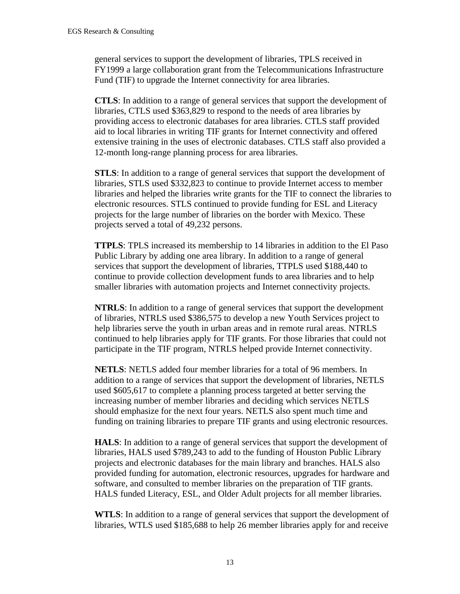general services to support the development of libraries, TPLS received in FY1999 a large collaboration grant from the Telecommunications Infrastructure Fund (TIF) to upgrade the Internet connectivity for area libraries.

**CTLS**: In addition to a range of general services that support the development of libraries, CTLS used \$363,829 to respond to the needs of area libraries by providing access to electronic databases for area libraries. CTLS staff provided aid to local libraries in writing TIF grants for Internet connectivity and offered extensive training in the uses of electronic databases. CTLS staff also provided a 12-month long-range planning process for area libraries.

**STLS**: In addition to a range of general services that support the development of libraries, STLS used \$332,823 to continue to provide Internet access to member libraries and helped the libraries write grants for the TIF to connect the libraries to electronic resources. STLS continued to provide funding for ESL and Literacy projects for the large number of libraries on the border with Mexico. These projects served a total of 49,232 persons.

**TTPLS**: TPLS increased its membership to 14 libraries in addition to the El Paso Public Library by adding one area library. In addition to a range of general services that support the development of libraries, TTPLS used \$188,440 to continue to provide collection development funds to area libraries and to help smaller libraries with automation projects and Internet connectivity projects.

**NTRLS**: In addition to a range of general services that support the development of libraries, NTRLS used \$386,575 to develop a new Youth Services project to help libraries serve the youth in urban areas and in remote rural areas. NTRLS continued to help libraries apply for TIF grants. For those libraries that could not participate in the TIF program, NTRLS helped provide Internet connectivity.

**NETLS**: NETLS added four member libraries for a total of 96 members. In addition to a range of services that support the development of libraries, NETLS used \$605,617 to complete a planning process targeted at better serving the increasing number of member libraries and deciding which services NETLS should emphasize for the next four years. NETLS also spent much time and funding on training libraries to prepare TIF grants and using electronic resources.

**HALS**: In addition to a range of general services that support the development of libraries, HALS used \$789,243 to add to the funding of Houston Public Library projects and electronic databases for the main library and branches. HALS also provided funding for automation, electronic resources, upgrades for hardware and software, and consulted to member libraries on the preparation of TIF grants. HALS funded Literacy, ESL, and Older Adult projects for all member libraries.

**WTLS**: In addition to a range of general services that support the development of libraries, WTLS used \$185,688 to help 26 member libraries apply for and receive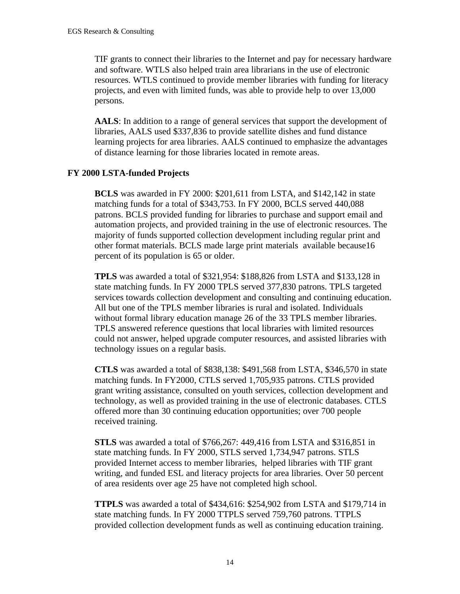TIF grants to connect their libraries to the Internet and pay for necessary hardware and software. WTLS also helped train area librarians in the use of electronic resources. WTLS continued to provide member libraries with funding for literacy projects, and even with limited funds, was able to provide help to over 13,000 persons.

**AALS**: In addition to a range of general services that support the development of libraries, AALS used \$337,836 to provide satellite dishes and fund distance learning projects for area libraries. AALS continued to emphasize the advantages of distance learning for those libraries located in remote areas.

#### **FY 2000 LSTA-funded Projects**

**BCLS** was awarded in FY 2000: \$201,611 from LSTA, and \$142,142 in state matching funds for a total of \$343,753. In FY 2000, BCLS served 440,088 patrons. BCLS provided funding for libraries to purchase and support email and automation projects, and provided training in the use of electronic resources. The majority of funds supported collection development including regular print and other format materials. BCLS made large print materials available because16 percent of its population is 65 or older.

**TPLS** was awarded a total of \$321,954: \$188,826 from LSTA and \$133,128 in state matching funds. In FY 2000 TPLS served 377,830 patrons. TPLS targeted services towards collection development and consulting and continuing education. All but one of the TPLS member libraries is rural and isolated. Individuals without formal library education manage 26 of the 33 TPLS member libraries. TPLS answered reference questions that local libraries with limited resources could not answer, helped upgrade computer resources, and assisted libraries with technology issues on a regular basis.

**CTLS** was awarded a total of \$838,138: \$491,568 from LSTA, \$346,570 in state matching funds. In FY2000, CTLS served 1,705,935 patrons. CTLS provided grant writing assistance, consulted on youth services, collection development and technology, as well as provided training in the use of electronic databases. CTLS offered more than 30 continuing education opportunities; over 700 people received training.

**STLS** was awarded a total of \$766,267: 449,416 from LSTA and \$316,851 in state matching funds. In FY 2000, STLS served 1,734,947 patrons. STLS provided Internet access to member libraries, helped libraries with TIF grant writing, and funded ESL and literacy projects for area libraries. Over 50 percent of area residents over age 25 have not completed high school.

**TTPLS** was awarded a total of \$434,616: \$254,902 from LSTA and \$179,714 in state matching funds. In FY 2000 TTPLS served 759,760 patrons. TTPLS provided collection development funds as well as continuing education training.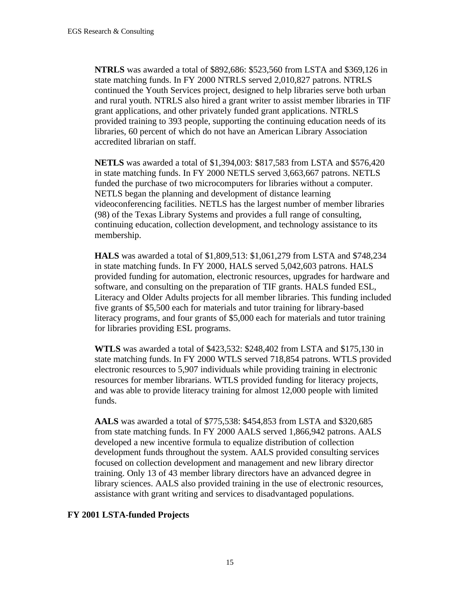**NTRLS** was awarded a total of \$892,686: \$523,560 from LSTA and \$369,126 in state matching funds. In FY 2000 NTRLS served 2,010,827 patrons. NTRLS continued the Youth Services project, designed to help libraries serve both urban and rural youth. NTRLS also hired a grant writer to assist member libraries in TIF grant applications, and other privately funded grant applications. NTRLS provided training to 393 people, supporting the continuing education needs of its libraries, 60 percent of which do not have an American Library Association accredited librarian on staff.

**NETLS** was awarded a total of \$1,394,003: \$817,583 from LSTA and \$576,420 in state matching funds. In FY 2000 NETLS served 3,663,667 patrons. NETLS funded the purchase of two microcomputers for libraries without a computer. NETLS began the planning and development of distance learning videoconferencing facilities. NETLS has the largest number of member libraries (98) of the Texas Library Systems and provides a full range of consulting, continuing education, collection development, and technology assistance to its membership.

**HALS** was awarded a total of \$1,809,513: \$1,061,279 from LSTA and \$748,234 in state matching funds. In FY 2000, HALS served 5,042,603 patrons. HALS provided funding for automation, electronic resources, upgrades for hardware and software, and consulting on the preparation of TIF grants. HALS funded ESL, Literacy and Older Adults projects for all member libraries. This funding included five grants of \$5,500 each for materials and tutor training for library-based literacy programs, and four grants of \$5,000 each for materials and tutor training for libraries providing ESL programs.

**WTLS** was awarded a total of \$423,532: \$248,402 from LSTA and \$175,130 in state matching funds. In FY 2000 WTLS served 718,854 patrons. WTLS provided electronic resources to 5,907 individuals while providing training in electronic resources for member librarians. WTLS provided funding for literacy projects, and was able to provide literacy training for almost 12,000 people with limited funds.

**AALS** was awarded a total of \$775,538: \$454,853 from LSTA and \$320,685 from state matching funds. In FY 2000 AALS served 1,866,942 patrons. AALS developed a new incentive formula to equalize distribution of collection development funds throughout the system. AALS provided consulting services focused on collection development and management and new library director training. Only 13 of 43 member library directors have an advanced degree in library sciences. AALS also provided training in the use of electronic resources, assistance with grant writing and services to disadvantaged populations.

#### **FY 2001 LSTA-funded Projects**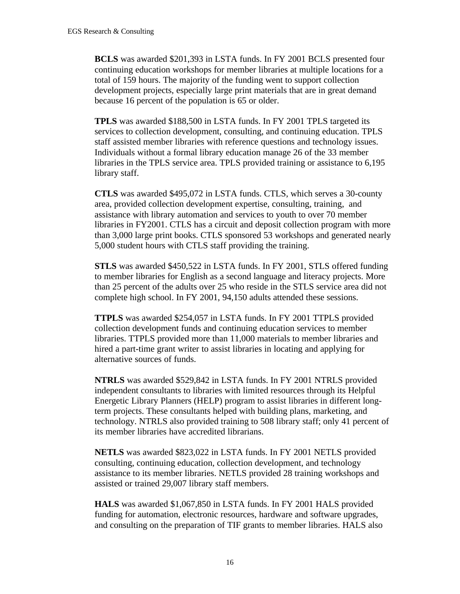**BCLS** was awarded \$201,393 in LSTA funds. In FY 2001 BCLS presented four continuing education workshops for member libraries at multiple locations for a total of 159 hours. The majority of the funding went to support collection development projects, especially large print materials that are in great demand because 16 percent of the population is 65 or older.

**TPLS** was awarded \$188,500 in LSTA funds. In FY 2001 TPLS targeted its services to collection development, consulting, and continuing education. TPLS staff assisted member libraries with reference questions and technology issues. Individuals without a formal library education manage 26 of the 33 member libraries in the TPLS service area. TPLS provided training or assistance to 6,195 library staff.

**CTLS** was awarded \$495,072 in LSTA funds. CTLS, which serves a 30-county area, provided collection development expertise, consulting, training, and assistance with library automation and services to youth to over 70 member libraries in FY2001. CTLS has a circuit and deposit collection program with more than 3,000 large print books. CTLS sponsored 53 workshops and generated nearly 5,000 student hours with CTLS staff providing the training.

**STLS** was awarded \$450,522 in LSTA funds. In FY 2001, STLS offered funding to member libraries for English as a second language and literacy projects. More than 25 percent of the adults over 25 who reside in the STLS service area did not complete high school. In FY 2001, 94,150 adults attended these sessions.

**TTPLS** was awarded \$254,057 in LSTA funds. In FY 2001 TTPLS provided collection development funds and continuing education services to member libraries. TTPLS provided more than 11,000 materials to member libraries and hired a part-time grant writer to assist libraries in locating and applying for alternative sources of funds.

**NTRLS** was awarded \$529,842 in LSTA funds. In FY 2001 NTRLS provided independent consultants to libraries with limited resources through its Helpful Energetic Library Planners (HELP) program to assist libraries in different longterm projects. These consultants helped with building plans, marketing, and technology. NTRLS also provided training to 508 library staff; only 41 percent of its member libraries have accredited librarians.

**NETLS** was awarded \$823,022 in LSTA funds. In FY 2001 NETLS provided consulting, continuing education, collection development, and technology assistance to its member libraries. NETLS provided 28 training workshops and assisted or trained 29,007 library staff members.

**HALS** was awarded \$1,067,850 in LSTA funds. In FY 2001 HALS provided funding for automation, electronic resources, hardware and software upgrades, and consulting on the preparation of TIF grants to member libraries. HALS also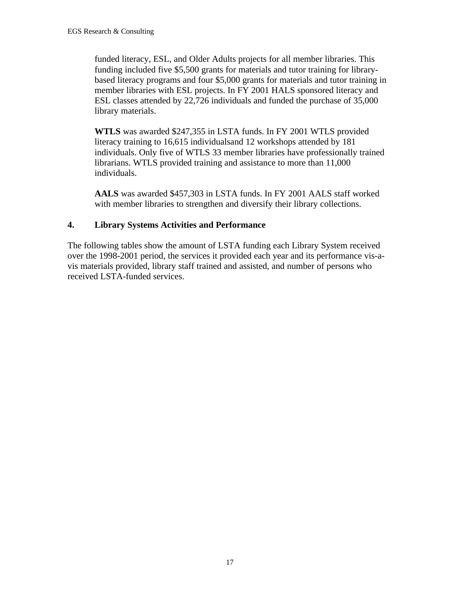funded literacy, ESL, and Older Adults projects for all member libraries. This funding included five \$5,500 grants for materials and tutor training for librarybased literacy programs and four \$5,000 grants for materials and tutor training in member libraries with ESL projects. In FY 2001 HALS sponsored literacy and ESL classes attended by 22,726 individuals and funded the purchase of 35,000 library materials.

**WTLS** was awarded \$247,355 in LSTA funds. In FY 2001 WTLS provided literacy training to 16,615 individualsand 12 workshops attended by 181 individuals. Only five of WTLS 33 member libraries have professionally trained librarians. WTLS provided training and assistance to more than 11,000 individuals.

**AALS** was awarded \$457,303 in LSTA funds. In FY 2001 AALS staff worked with member libraries to strengthen and diversify their library collections.

# **4. Library Systems Activities and Performance**

The following tables show the amount of LSTA funding each Library System received over the 1998-2001 period, the services it provided each year and its performance vis-avis materials provided, library staff trained and assisted, and number of persons who received LSTA-funded services.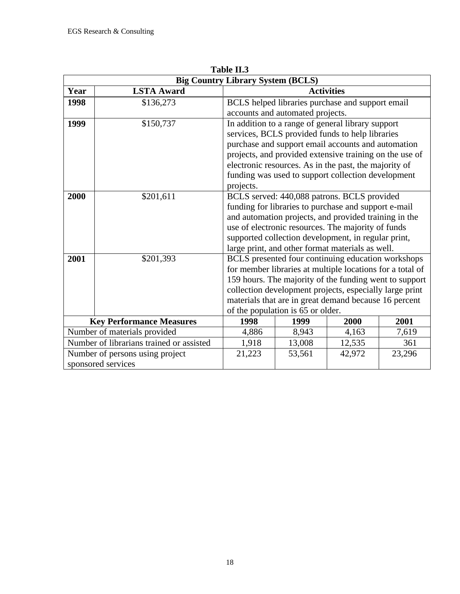| <b>Big Country Library System (BCLS)</b> |                                          |                                                                                                                     |                                                                                                                                                            |                   |        |  |
|------------------------------------------|------------------------------------------|---------------------------------------------------------------------------------------------------------------------|------------------------------------------------------------------------------------------------------------------------------------------------------------|-------------------|--------|--|
| Year                                     | <b>LSTA Award</b>                        |                                                                                                                     |                                                                                                                                                            | <b>Activities</b> |        |  |
| 1998                                     | \$136,273                                |                                                                                                                     | BCLS helped libraries purchase and support email                                                                                                           |                   |        |  |
|                                          |                                          |                                                                                                                     | accounts and automated projects.                                                                                                                           |                   |        |  |
| 1999                                     | \$150,737                                |                                                                                                                     | In addition to a range of general library support<br>services, BCLS provided funds to help libraries<br>purchase and support email accounts and automation |                   |        |  |
|                                          |                                          |                                                                                                                     | projects, and provided extensive training on the use of                                                                                                    |                   |        |  |
|                                          |                                          |                                                                                                                     | electronic resources. As in the past, the majority of                                                                                                      |                   |        |  |
|                                          |                                          |                                                                                                                     | funding was used to support collection development                                                                                                         |                   |        |  |
|                                          |                                          | projects.                                                                                                           |                                                                                                                                                            |                   |        |  |
| 2000                                     | \$201,611                                |                                                                                                                     | BCLS served: 440,088 patrons. BCLS provided                                                                                                                |                   |        |  |
|                                          |                                          |                                                                                                                     | funding for libraries to purchase and support e-mail                                                                                                       |                   |        |  |
|                                          |                                          |                                                                                                                     |                                                                                                                                                            |                   |        |  |
|                                          |                                          | and automation projects, and provided training in the                                                               |                                                                                                                                                            |                   |        |  |
|                                          |                                          | use of electronic resources. The majority of funds                                                                  |                                                                                                                                                            |                   |        |  |
|                                          |                                          | supported collection development, in regular print,                                                                 |                                                                                                                                                            |                   |        |  |
| 2001                                     |                                          | large print, and other format materials as well.                                                                    |                                                                                                                                                            |                   |        |  |
|                                          | \$201,393                                | BCLS presented four continuing education workshops                                                                  |                                                                                                                                                            |                   |        |  |
|                                          |                                          | for member libraries at multiple locations for a total of<br>159 hours. The majority of the funding went to support |                                                                                                                                                            |                   |        |  |
|                                          |                                          |                                                                                                                     |                                                                                                                                                            |                   |        |  |
|                                          |                                          | collection development projects, especially large print                                                             |                                                                                                                                                            |                   |        |  |
|                                          |                                          | materials that are in great demand because 16 percent<br>of the population is 65 or older.                          |                                                                                                                                                            |                   |        |  |
|                                          |                                          |                                                                                                                     |                                                                                                                                                            |                   |        |  |
|                                          | <b>Key Performance Measures</b>          | 1998                                                                                                                | 1999                                                                                                                                                       | 2000              | 2001   |  |
|                                          | Number of materials provided             | 4,886                                                                                                               | 8,943                                                                                                                                                      | 4,163             | 7,619  |  |
|                                          | Number of librarians trained or assisted | 1,918                                                                                                               | 13,008                                                                                                                                                     | 12,535            | 361    |  |
|                                          | Number of persons using project          | 21,223                                                                                                              | 53,561                                                                                                                                                     | 42,972            | 23,296 |  |
|                                          | sponsored services                       |                                                                                                                     |                                                                                                                                                            |                   |        |  |

**Table II.3**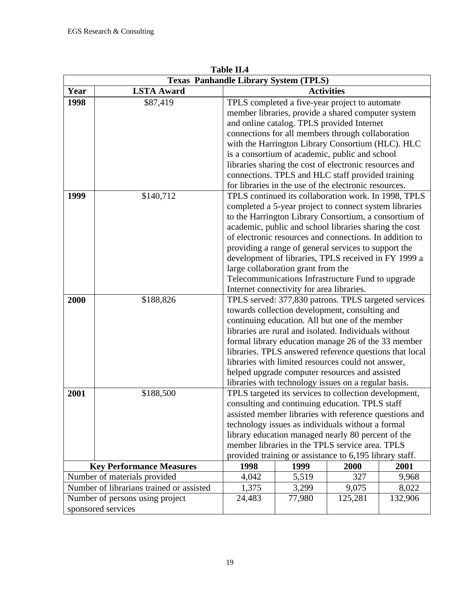|                    | 1 avil 11.7<br><b>Texas Panhandle Library System (TPLS)</b> |                                                                                                                 |                                                                                         |                   |         |  |
|--------------------|-------------------------------------------------------------|-----------------------------------------------------------------------------------------------------------------|-----------------------------------------------------------------------------------------|-------------------|---------|--|
| Year               | <b>LSTA Award</b>                                           |                                                                                                                 |                                                                                         | <b>Activities</b> |         |  |
| 1998               | \$87,419                                                    |                                                                                                                 | TPLS completed a five-year project to automate                                          |                   |         |  |
|                    |                                                             |                                                                                                                 | member libraries, provide a shared computer system                                      |                   |         |  |
|                    |                                                             |                                                                                                                 | and online catalog. TPLS provided Internet                                              |                   |         |  |
|                    |                                                             |                                                                                                                 | connections for all members through collaboration                                       |                   |         |  |
|                    |                                                             |                                                                                                                 | with the Harrington Library Consortium (HLC). HLC                                       |                   |         |  |
|                    |                                                             |                                                                                                                 | is a consortium of academic, public and school                                          |                   |         |  |
|                    |                                                             |                                                                                                                 | libraries sharing the cost of electronic resources and                                  |                   |         |  |
|                    |                                                             |                                                                                                                 | connections. TPLS and HLC staff provided training                                       |                   |         |  |
|                    |                                                             | for libraries in the use of the electronic resources.                                                           |                                                                                         |                   |         |  |
| 1999               | \$140,712                                                   |                                                                                                                 | TPLS continued its collaboration work. In 1998, TPLS                                    |                   |         |  |
|                    |                                                             |                                                                                                                 |                                                                                         |                   |         |  |
|                    |                                                             | completed a 5-year project to connect system libraries<br>to the Harrington Library Consortium, a consortium of |                                                                                         |                   |         |  |
|                    |                                                             |                                                                                                                 | academic, public and school libraries sharing the cost                                  |                   |         |  |
|                    |                                                             |                                                                                                                 | of electronic resources and connections. In addition to                                 |                   |         |  |
|                    |                                                             |                                                                                                                 | providing a range of general services to support the                                    |                   |         |  |
|                    |                                                             |                                                                                                                 | development of libraries, TPLS received in FY 1999 a                                    |                   |         |  |
|                    |                                                             |                                                                                                                 |                                                                                         |                   |         |  |
|                    |                                                             |                                                                                                                 | large collaboration grant from the<br>Telecommunications Infrastructure Fund to upgrade |                   |         |  |
|                    |                                                             | Internet connectivity for area libraries.                                                                       |                                                                                         |                   |         |  |
| 2000               | \$188,826                                                   | TPLS served: 377,830 patrons. TPLS targeted services                                                            |                                                                                         |                   |         |  |
|                    |                                                             |                                                                                                                 | towards collection development, consulting and                                          |                   |         |  |
|                    |                                                             |                                                                                                                 | continuing education. All but one of the member                                         |                   |         |  |
|                    |                                                             |                                                                                                                 | libraries are rural and isolated. Individuals without                                   |                   |         |  |
|                    |                                                             |                                                                                                                 | formal library education manage 26 of the 33 member                                     |                   |         |  |
|                    |                                                             | libraries. TPLS answered reference questions that local                                                         |                                                                                         |                   |         |  |
|                    |                                                             |                                                                                                                 | libraries with limited resources could not answer,                                      |                   |         |  |
|                    |                                                             |                                                                                                                 | helped upgrade computer resources and assisted                                          |                   |         |  |
|                    |                                                             |                                                                                                                 | libraries with technology issues on a regular basis.                                    |                   |         |  |
| 2001               | \$188,500                                                   |                                                                                                                 | TPLS targeted its services to collection development,                                   |                   |         |  |
|                    |                                                             |                                                                                                                 | consulting and continuing education. TPLS staff                                         |                   |         |  |
|                    |                                                             | assisted member libraries with reference questions and                                                          |                                                                                         |                   |         |  |
|                    |                                                             | technology issues as individuals without a formal                                                               |                                                                                         |                   |         |  |
|                    |                                                             | library education managed nearly 80 percent of the                                                              |                                                                                         |                   |         |  |
|                    |                                                             | member libraries in the TPLS service area. TPLS                                                                 |                                                                                         |                   |         |  |
|                    | provided training or assistance to 6,195 library staff.     |                                                                                                                 |                                                                                         |                   |         |  |
|                    | <b>Key Performance Measures</b>                             | 1998                                                                                                            | 1999                                                                                    | 2000              | 2001    |  |
|                    | Number of materials provided                                | 4,042                                                                                                           | 5,519                                                                                   | 327               | 9,968   |  |
|                    | Number of librarians trained or assisted                    | 1,375                                                                                                           | 3,299                                                                                   | 9,075             | 8,022   |  |
|                    | Number of persons using project                             | 24,483                                                                                                          | 77,980                                                                                  | 125,281           | 132,906 |  |
| sponsored services |                                                             |                                                                                                                 |                                                                                         |                   |         |  |

**Table II.4**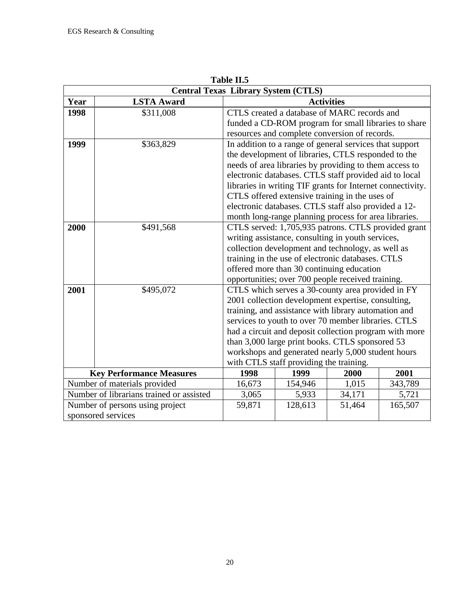|      | <b>Central Texas Library System (CTLS)</b> |                                                                                                                                                                      |                                                            |                   |         |  |
|------|--------------------------------------------|----------------------------------------------------------------------------------------------------------------------------------------------------------------------|------------------------------------------------------------|-------------------|---------|--|
| Year | <b>LSTA Award</b>                          |                                                                                                                                                                      |                                                            | <b>Activities</b> |         |  |
| 1998 | \$311,008                                  |                                                                                                                                                                      | CTLS created a database of MARC records and                |                   |         |  |
|      |                                            |                                                                                                                                                                      | funded a CD-ROM program for small libraries to share       |                   |         |  |
|      |                                            |                                                                                                                                                                      | resources and complete conversion of records.              |                   |         |  |
| 1999 | \$363,829                                  |                                                                                                                                                                      | In addition to a range of general services that support    |                   |         |  |
|      |                                            |                                                                                                                                                                      | the development of libraries, CTLS responded to the        |                   |         |  |
|      |                                            |                                                                                                                                                                      | needs of area libraries by providing to them access to     |                   |         |  |
|      |                                            |                                                                                                                                                                      | electronic databases. CTLS staff provided aid to local     |                   |         |  |
|      |                                            |                                                                                                                                                                      | libraries in writing TIF grants for Internet connectivity. |                   |         |  |
|      |                                            |                                                                                                                                                                      | CTLS offered extensive training in the uses of             |                   |         |  |
|      |                                            |                                                                                                                                                                      |                                                            |                   |         |  |
|      |                                            | electronic databases. CTLS staff also provided a 12-<br>month long-range planning process for area libraries.<br>CTLS served: 1,705,935 patrons. CTLS provided grant |                                                            |                   |         |  |
| 2000 | \$491,568                                  |                                                                                                                                                                      |                                                            |                   |         |  |
|      |                                            |                                                                                                                                                                      | writing assistance, consulting in youth services,          |                   |         |  |
|      |                                            |                                                                                                                                                                      | collection development and technology, as well as          |                   |         |  |
|      |                                            |                                                                                                                                                                      | training in the use of electronic databases. CTLS          |                   |         |  |
|      |                                            |                                                                                                                                                                      | offered more than 30 continuing education                  |                   |         |  |
|      |                                            |                                                                                                                                                                      | opportunities; over 700 people received training.          |                   |         |  |
| 2001 | \$495,072                                  |                                                                                                                                                                      | CTLS which serves a 30-county area provided in FY          |                   |         |  |
|      |                                            |                                                                                                                                                                      | 2001 collection development expertise, consulting,         |                   |         |  |
|      |                                            |                                                                                                                                                                      | training, and assistance with library automation and       |                   |         |  |
|      |                                            |                                                                                                                                                                      | services to youth to over 70 member libraries. CTLS        |                   |         |  |
|      |                                            |                                                                                                                                                                      | had a circuit and deposit collection program with more     |                   |         |  |
|      |                                            |                                                                                                                                                                      | than 3,000 large print books. CTLS sponsored 53            |                   |         |  |
|      |                                            |                                                                                                                                                                      | workshops and generated nearly 5,000 student hours         |                   |         |  |
|      |                                            |                                                                                                                                                                      | with CTLS staff providing the training.                    |                   |         |  |
|      | <b>Key Performance Measures</b>            | 1998                                                                                                                                                                 | 1999                                                       | 2000              | 2001    |  |
|      | Number of materials provided               | 16,673                                                                                                                                                               | 154,946                                                    | 1,015             | 343,789 |  |
|      | Number of librarians trained or assisted   | 3,065                                                                                                                                                                | 5,933                                                      | 34,171            | 5,721   |  |
|      | Number of persons using project            | 59,871                                                                                                                                                               | 128,613                                                    | 51,464            | 165,507 |  |
|      | sponsored services                         |                                                                                                                                                                      |                                                            |                   |         |  |

**Table II.5**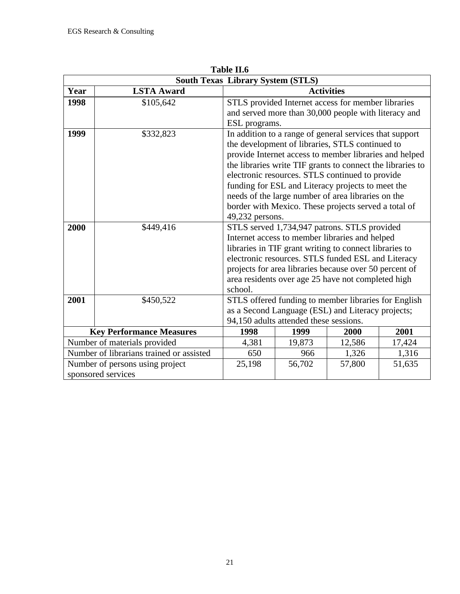|      | 1 avit 11.v<br><b>South Texas Library System (STLS)</b> |                                                                                                                                                                                                                                                                                                                                                                                                                                                                             |                                                                                                            |                   |        |  |  |  |
|------|---------------------------------------------------------|-----------------------------------------------------------------------------------------------------------------------------------------------------------------------------------------------------------------------------------------------------------------------------------------------------------------------------------------------------------------------------------------------------------------------------------------------------------------------------|------------------------------------------------------------------------------------------------------------|-------------------|--------|--|--|--|
| Year | <b>LSTA Award</b>                                       |                                                                                                                                                                                                                                                                                                                                                                                                                                                                             |                                                                                                            | <b>Activities</b> |        |  |  |  |
| 1998 | \$105,642                                               | ESL programs.                                                                                                                                                                                                                                                                                                                                                                                                                                                               | STLS provided Internet access for member libraries<br>and served more than 30,000 people with literacy and |                   |        |  |  |  |
| 1999 | \$332,823                                               | In addition to a range of general services that support<br>the development of libraries, STLS continued to<br>provide Internet access to member libraries and helped<br>the libraries write TIF grants to connect the libraries to<br>electronic resources. STLS continued to provide<br>funding for ESL and Literacy projects to meet the<br>needs of the large number of area libraries on the<br>border with Mexico. These projects served a total of<br>49,232 persons. |                                                                                                            |                   |        |  |  |  |
| 2000 | \$449,416                                               | STLS served 1,734,947 patrons. STLS provided<br>Internet access to member libraries and helped<br>libraries in TIF grant writing to connect libraries to<br>electronic resources. STLS funded ESL and Literacy<br>projects for area libraries because over 50 percent of<br>area residents over age 25 have not completed high<br>school.                                                                                                                                   |                                                                                                            |                   |        |  |  |  |
| 2001 | \$450,522                                               | STLS offered funding to member libraries for English<br>as a Second Language (ESL) and Literacy projects;<br>94,150 adults attended these sessions.                                                                                                                                                                                                                                                                                                                         |                                                                                                            |                   |        |  |  |  |
|      | <b>Key Performance Measures</b>                         | 1998                                                                                                                                                                                                                                                                                                                                                                                                                                                                        | 1999                                                                                                       | 2000              | 2001   |  |  |  |
|      | Number of materials provided                            | 4,381                                                                                                                                                                                                                                                                                                                                                                                                                                                                       | 19,873                                                                                                     | 12,586            | 17,424 |  |  |  |
|      | Number of librarians trained or assisted                | 650                                                                                                                                                                                                                                                                                                                                                                                                                                                                         | 966                                                                                                        | 1,326             | 1,316  |  |  |  |
|      | Number of persons using project<br>sponsored services   | 25,198                                                                                                                                                                                                                                                                                                                                                                                                                                                                      | 56,702                                                                                                     | 57,800            | 51,635 |  |  |  |

**Table II.6**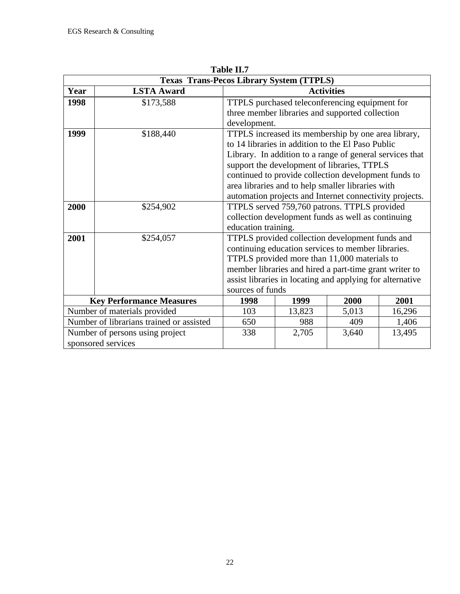|      | <b>Texas Trans-Pecos Library System (TTPLS)</b> |                                              |                                                                                                               |                                                           |        |  |  |  |
|------|-------------------------------------------------|----------------------------------------------|---------------------------------------------------------------------------------------------------------------|-----------------------------------------------------------|--------|--|--|--|
| Year | <b>LSTA Award</b>                               |                                              |                                                                                                               | <b>Activities</b>                                         |        |  |  |  |
| 1998 | \$173,588                                       |                                              |                                                                                                               | TTPLS purchased teleconferencing equipment for            |        |  |  |  |
|      |                                                 |                                              |                                                                                                               | three member libraries and supported collection           |        |  |  |  |
|      |                                                 | development.                                 |                                                                                                               |                                                           |        |  |  |  |
| 1999 | \$188,440                                       |                                              | TTPLS increased its membership by one area library,                                                           |                                                           |        |  |  |  |
|      |                                                 |                                              | to 14 libraries in addition to the El Paso Public<br>Library. In addition to a range of general services that |                                                           |        |  |  |  |
|      |                                                 |                                              |                                                                                                               |                                                           |        |  |  |  |
|      |                                                 |                                              |                                                                                                               | support the development of libraries, TTPLS               |        |  |  |  |
|      |                                                 |                                              |                                                                                                               | continued to provide collection development funds to      |        |  |  |  |
|      |                                                 |                                              |                                                                                                               | area libraries and to help smaller libraries with         |        |  |  |  |
|      |                                                 |                                              | automation projects and Internet connectivity projects.                                                       |                                                           |        |  |  |  |
| 2000 | \$254,902                                       | TTPLS served 759,760 patrons. TTPLS provided |                                                                                                               |                                                           |        |  |  |  |
|      |                                                 |                                              |                                                                                                               | collection development funds as well as continuing        |        |  |  |  |
|      |                                                 | education training.                          |                                                                                                               |                                                           |        |  |  |  |
| 2001 | \$254,057                                       |                                              |                                                                                                               | TTPLS provided collection development funds and           |        |  |  |  |
|      |                                                 |                                              |                                                                                                               | continuing education services to member libraries.        |        |  |  |  |
|      |                                                 |                                              |                                                                                                               | TTPLS provided more than 11,000 materials to              |        |  |  |  |
|      |                                                 |                                              |                                                                                                               | member libraries and hired a part-time grant writer to    |        |  |  |  |
|      |                                                 |                                              |                                                                                                               | assist libraries in locating and applying for alternative |        |  |  |  |
|      |                                                 | sources of funds                             |                                                                                                               |                                                           |        |  |  |  |
|      | <b>Key Performance Measures</b>                 | 1998                                         | 1999                                                                                                          | 2000                                                      | 2001   |  |  |  |
|      | Number of materials provided                    | 103                                          | 13,823                                                                                                        | 5,013                                                     | 16,296 |  |  |  |
|      | Number of librarians trained or assisted        | 650                                          | 988                                                                                                           | 409                                                       | 1,406  |  |  |  |
|      | Number of persons using project                 | 338                                          | 2,705                                                                                                         | 3,640                                                     | 13,495 |  |  |  |
|      | sponsored services                              |                                              |                                                                                                               |                                                           |        |  |  |  |

**Table II.7**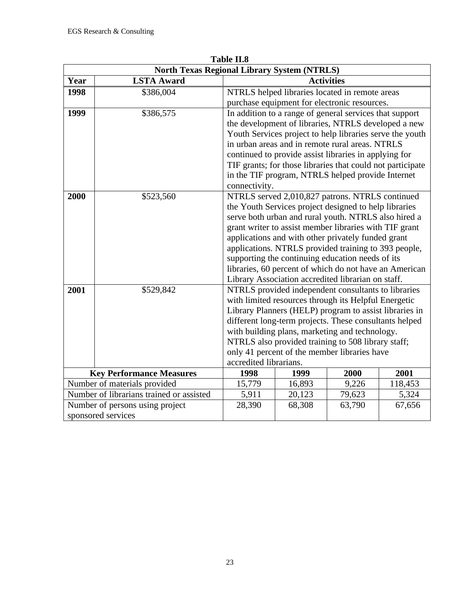| <b>North Texas Regional Library System (NTRLS)</b> |                                                       |                                                                                                                                                                                                                                                                                                                                                                                                                                                                         |                                                                                                                                                                                                                                                                                                                                                                                                                                                        |        |         |  |
|----------------------------------------------------|-------------------------------------------------------|-------------------------------------------------------------------------------------------------------------------------------------------------------------------------------------------------------------------------------------------------------------------------------------------------------------------------------------------------------------------------------------------------------------------------------------------------------------------------|--------------------------------------------------------------------------------------------------------------------------------------------------------------------------------------------------------------------------------------------------------------------------------------------------------------------------------------------------------------------------------------------------------------------------------------------------------|--------|---------|--|
| Year                                               | <b>LSTA Award</b>                                     |                                                                                                                                                                                                                                                                                                                                                                                                                                                                         | <b>Activities</b>                                                                                                                                                                                                                                                                                                                                                                                                                                      |        |         |  |
| 1998                                               | \$386,004                                             |                                                                                                                                                                                                                                                                                                                                                                                                                                                                         | NTRLS helped libraries located in remote areas<br>purchase equipment for electronic resources.                                                                                                                                                                                                                                                                                                                                                         |        |         |  |
| 1999                                               | \$386,575                                             | connectivity.                                                                                                                                                                                                                                                                                                                                                                                                                                                           | In addition to a range of general services that support<br>the development of libraries, NTRLS developed a new<br>Youth Services project to help libraries serve the youth<br>in urban areas and in remote rural areas. NTRLS<br>continued to provide assist libraries in applying for<br>TIF grants; for those libraries that could not participate<br>in the TIF program, NTRLS helped provide Internet                                              |        |         |  |
| 2000                                               | \$523,560                                             |                                                                                                                                                                                                                                                                                                                                                                                                                                                                         | NTRLS served 2,010,827 patrons. NTRLS continued<br>the Youth Services project designed to help libraries<br>serve both urban and rural youth. NTRLS also hired a<br>grant writer to assist member libraries with TIF grant<br>applications and with other privately funded grant<br>applications. NTRLS provided training to 393 people,<br>supporting the continuing education needs of its<br>libraries, 60 percent of which do not have an American |        |         |  |
| 2001                                               | \$529,842                                             | Library Association accredited librarian on staff.<br>NTRLS provided independent consultants to libraries<br>with limited resources through its Helpful Energetic<br>Library Planners (HELP) program to assist libraries in<br>different long-term projects. These consultants helped<br>with building plans, marketing and technology.<br>NTRLS also provided training to 508 library staff;<br>only 41 percent of the member libraries have<br>accredited librarians. |                                                                                                                                                                                                                                                                                                                                                                                                                                                        |        |         |  |
|                                                    | <b>Key Performance Measures</b>                       | 1998                                                                                                                                                                                                                                                                                                                                                                                                                                                                    | 1999                                                                                                                                                                                                                                                                                                                                                                                                                                                   | 2000   | 2001    |  |
|                                                    | Number of materials provided                          | 15,779                                                                                                                                                                                                                                                                                                                                                                                                                                                                  | 16,893                                                                                                                                                                                                                                                                                                                                                                                                                                                 | 9,226  | 118,453 |  |
|                                                    | Number of librarians trained or assisted              | 5,911                                                                                                                                                                                                                                                                                                                                                                                                                                                                   | 20,123                                                                                                                                                                                                                                                                                                                                                                                                                                                 | 79,623 | 5,324   |  |
|                                                    | Number of persons using project<br>sponsored services | 28,390                                                                                                                                                                                                                                                                                                                                                                                                                                                                  | 68,308                                                                                                                                                                                                                                                                                                                                                                                                                                                 | 63,790 | 67,656  |  |

**Table II.8**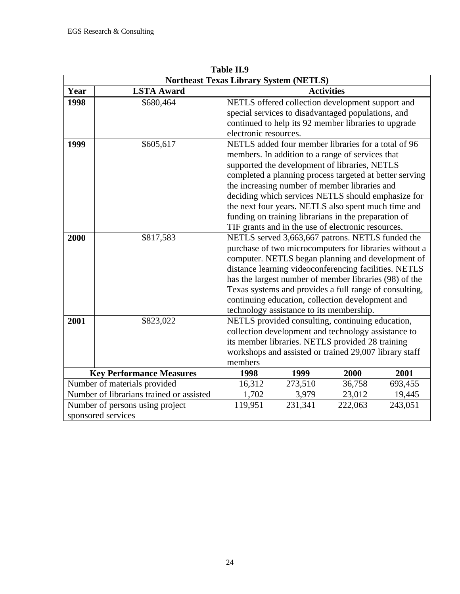|      | <b>Northeast Texas Library System (NETLS)</b>         |                                                                                                                                                                                                                                                                              |         |                                                                                                                                                                                                                                                                                                                                                                                                                                                                                                 |         |  |
|------|-------------------------------------------------------|------------------------------------------------------------------------------------------------------------------------------------------------------------------------------------------------------------------------------------------------------------------------------|---------|-------------------------------------------------------------------------------------------------------------------------------------------------------------------------------------------------------------------------------------------------------------------------------------------------------------------------------------------------------------------------------------------------------------------------------------------------------------------------------------------------|---------|--|
| Year | <b>LSTA Award</b>                                     |                                                                                                                                                                                                                                                                              |         | <b>Activities</b>                                                                                                                                                                                                                                                                                                                                                                                                                                                                               |         |  |
| 1998 | \$680,464                                             | electronic resources.                                                                                                                                                                                                                                                        |         | NETLS offered collection development support and<br>special services to disadvantaged populations, and<br>continued to help its 92 member libraries to upgrade                                                                                                                                                                                                                                                                                                                                  |         |  |
| 1999 | \$605,617                                             |                                                                                                                                                                                                                                                                              |         | NETLS added four member libraries for a total of 96<br>members. In addition to a range of services that<br>supported the development of libraries, NETLS<br>completed a planning process targeted at better serving<br>the increasing number of member libraries and<br>deciding which services NETLS should emphasize for<br>the next four years. NETLS also spent much time and<br>funding on training librarians in the preparation of<br>TIF grants and in the use of electronic resources. |         |  |
| 2000 | \$817,583                                             |                                                                                                                                                                                                                                                                              |         | NETLS served 3,663,667 patrons. NETLS funded the<br>purchase of two microcomputers for libraries without a<br>computer. NETLS began planning and development of<br>distance learning videoconferencing facilities. NETLS<br>has the largest number of member libraries (98) of the<br>Texas systems and provides a full range of consulting,<br>continuing education, collection development and                                                                                                |         |  |
| 2001 | \$823,022                                             | technology assistance to its membership.<br>NETLS provided consulting, continuing education,<br>collection development and technology assistance to<br>its member libraries. NETLS provided 28 training<br>workshops and assisted or trained 29,007 library staff<br>members |         |                                                                                                                                                                                                                                                                                                                                                                                                                                                                                                 |         |  |
|      | <b>Key Performance Measures</b>                       | 1998                                                                                                                                                                                                                                                                         | 1999    | 2000                                                                                                                                                                                                                                                                                                                                                                                                                                                                                            | 2001    |  |
|      | Number of materials provided                          | 16,312<br>273,510<br>36,758                                                                                                                                                                                                                                                  |         |                                                                                                                                                                                                                                                                                                                                                                                                                                                                                                 | 693,455 |  |
|      | Number of librarians trained or assisted              | 1,702                                                                                                                                                                                                                                                                        | 3,979   | 23,012                                                                                                                                                                                                                                                                                                                                                                                                                                                                                          | 19,445  |  |
|      | Number of persons using project<br>sponsored services | 119,951                                                                                                                                                                                                                                                                      | 231,341 | 222,063                                                                                                                                                                                                                                                                                                                                                                                                                                                                                         | 243,051 |  |

**Table II.9**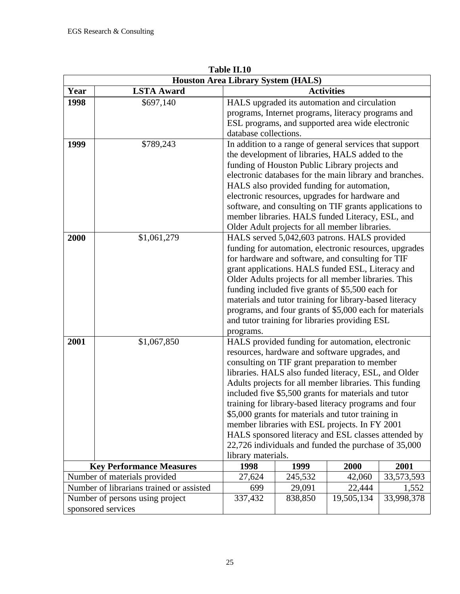|      |                                          | 1 AMC 11.1V<br><b>Houston Area Library System (HALS)</b>                                                                                                                                                                                                                                                                                                                                                                                                                                                                                                                                                                                         |                                                                                                                                                                                                                                                                                                                                                                                                                                                                                          |            |            |  |
|------|------------------------------------------|--------------------------------------------------------------------------------------------------------------------------------------------------------------------------------------------------------------------------------------------------------------------------------------------------------------------------------------------------------------------------------------------------------------------------------------------------------------------------------------------------------------------------------------------------------------------------------------------------------------------------------------------------|------------------------------------------------------------------------------------------------------------------------------------------------------------------------------------------------------------------------------------------------------------------------------------------------------------------------------------------------------------------------------------------------------------------------------------------------------------------------------------------|------------|------------|--|
| Year | <b>LSTA Award</b>                        |                                                                                                                                                                                                                                                                                                                                                                                                                                                                                                                                                                                                                                                  | <b>Activities</b>                                                                                                                                                                                                                                                                                                                                                                                                                                                                        |            |            |  |
| 1998 | \$697,140                                | HALS upgraded its automation and circulation<br>programs, Internet programs, literacy programs and<br>ESL programs, and supported area wide electronic<br>database collections.                                                                                                                                                                                                                                                                                                                                                                                                                                                                  |                                                                                                                                                                                                                                                                                                                                                                                                                                                                                          |            |            |  |
| 1999 | \$789,243                                |                                                                                                                                                                                                                                                                                                                                                                                                                                                                                                                                                                                                                                                  | In addition to a range of general services that support<br>the development of libraries, HALS added to the<br>funding of Houston Public Library projects and<br>electronic databases for the main library and branches.<br>HALS also provided funding for automation,<br>electronic resources, upgrades for hardware and<br>software, and consulting on TIF grants applications to<br>member libraries. HALS funded Literacy, ESL, and<br>Older Adult projects for all member libraries. |            |            |  |
| 2000 | \$1,061,279                              | HALS served 5,042,603 patrons. HALS provided<br>funding for automation, electronic resources, upgrades<br>for hardware and software, and consulting for TIF<br>grant applications. HALS funded ESL, Literacy and<br>Older Adults projects for all member libraries. This<br>funding included five grants of \$5,500 each for<br>materials and tutor training for library-based literacy<br>programs, and four grants of \$5,000 each for materials<br>and tutor training for libraries providing ESL                                                                                                                                             |                                                                                                                                                                                                                                                                                                                                                                                                                                                                                          |            |            |  |
| 2001 | \$1,067,850                              | programs.<br>HALS provided funding for automation, electronic<br>resources, hardware and software upgrades, and<br>consulting on TIF grant preparation to member<br>libraries. HALS also funded literacy, ESL, and Older<br>Adults projects for all member libraries. This funding<br>included five \$5,500 grants for materials and tutor<br>training for library-based literacy programs and four<br>\$5,000 grants for materials and tutor training in<br>member libraries with ESL projects. In FY 2001<br>HALS sponsored literacy and ESL classes attended by<br>22,726 individuals and funded the purchase of 35,000<br>library materials. |                                                                                                                                                                                                                                                                                                                                                                                                                                                                                          |            |            |  |
|      | <b>Key Performance Measures</b>          | 1998                                                                                                                                                                                                                                                                                                                                                                                                                                                                                                                                                                                                                                             | 1999                                                                                                                                                                                                                                                                                                                                                                                                                                                                                     | 2000       | 2001       |  |
|      | Number of materials provided             | 27,624                                                                                                                                                                                                                                                                                                                                                                                                                                                                                                                                                                                                                                           | 245,532                                                                                                                                                                                                                                                                                                                                                                                                                                                                                  | 42,060     | 33,573,593 |  |
|      | Number of librarians trained or assisted | 699                                                                                                                                                                                                                                                                                                                                                                                                                                                                                                                                                                                                                                              | 29,091                                                                                                                                                                                                                                                                                                                                                                                                                                                                                   | 22,444     | 1,552      |  |
|      | Number of persons using project          | 337,432                                                                                                                                                                                                                                                                                                                                                                                                                                                                                                                                                                                                                                          | 838,850                                                                                                                                                                                                                                                                                                                                                                                                                                                                                  | 19,505,134 | 33,998,378 |  |
|      | sponsored services                       |                                                                                                                                                                                                                                                                                                                                                                                                                                                                                                                                                                                                                                                  |                                                                                                                                                                                                                                                                                                                                                                                                                                                                                          |            |            |  |

**Table II.10**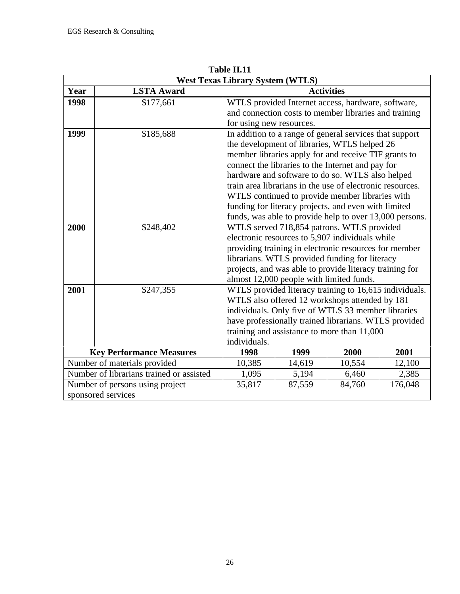| <b>West Texas Library System (WTLS)</b> |                                          |                                            |                                                           |                   |         |  |
|-----------------------------------------|------------------------------------------|--------------------------------------------|-----------------------------------------------------------|-------------------|---------|--|
| Year                                    | <b>LSTA Award</b>                        |                                            |                                                           | <b>Activities</b> |         |  |
| 1998                                    | \$177,661                                |                                            | WTLS provided Internet access, hardware, software,        |                   |         |  |
|                                         |                                          |                                            | and connection costs to member libraries and training     |                   |         |  |
|                                         |                                          | for using new resources.                   |                                                           |                   |         |  |
| 1999                                    | \$185,688                                |                                            | In addition to a range of general services that support   |                   |         |  |
|                                         |                                          |                                            | the development of libraries, WTLS helped 26              |                   |         |  |
|                                         |                                          |                                            | member libraries apply for and receive TIF grants to      |                   |         |  |
|                                         |                                          |                                            | connect the libraries to the Internet and pay for         |                   |         |  |
|                                         |                                          |                                            | hardware and software to do so. WTLS also helped          |                   |         |  |
|                                         |                                          |                                            | train area librarians in the use of electronic resources. |                   |         |  |
|                                         |                                          |                                            | WTLS continued to provide member libraries with           |                   |         |  |
|                                         |                                          |                                            | funding for literacy projects, and even with limited      |                   |         |  |
|                                         |                                          |                                            | funds, was able to provide help to over 13,000 persons.   |                   |         |  |
| 2000                                    | \$248,402                                | WTLS served 718,854 patrons. WTLS provided |                                                           |                   |         |  |
|                                         |                                          |                                            | electronic resources to 5,907 individuals while           |                   |         |  |
|                                         |                                          |                                            | providing training in electronic resources for member     |                   |         |  |
|                                         |                                          |                                            | librarians. WTLS provided funding for literacy            |                   |         |  |
|                                         |                                          |                                            | projects, and was able to provide literacy training for   |                   |         |  |
|                                         |                                          |                                            | almost 12,000 people with limited funds.                  |                   |         |  |
| 2001                                    | \$247,355                                |                                            | WTLS provided literacy training to 16,615 individuals.    |                   |         |  |
|                                         |                                          |                                            | WTLS also offered 12 workshops attended by 181            |                   |         |  |
|                                         |                                          |                                            | individuals. Only five of WTLS 33 member libraries        |                   |         |  |
|                                         |                                          |                                            | have professionally trained librarians. WTLS provided     |                   |         |  |
|                                         |                                          |                                            | training and assistance to more than 11,000               |                   |         |  |
|                                         |                                          | individuals.                               |                                                           |                   |         |  |
|                                         | <b>Key Performance Measures</b>          | 2000<br>1998<br>2001<br>1999               |                                                           |                   |         |  |
|                                         | Number of materials provided             | 12,100<br>10,385<br>14,619<br>10,554       |                                                           |                   |         |  |
|                                         | Number of librarians trained or assisted | 1,095                                      | 5,194                                                     | 6,460             | 2,385   |  |
|                                         | Number of persons using project          | 35,817                                     | 87,559                                                    | 84,760            | 176,048 |  |
|                                         | sponsored services                       |                                            |                                                           |                   |         |  |

**Table II.11**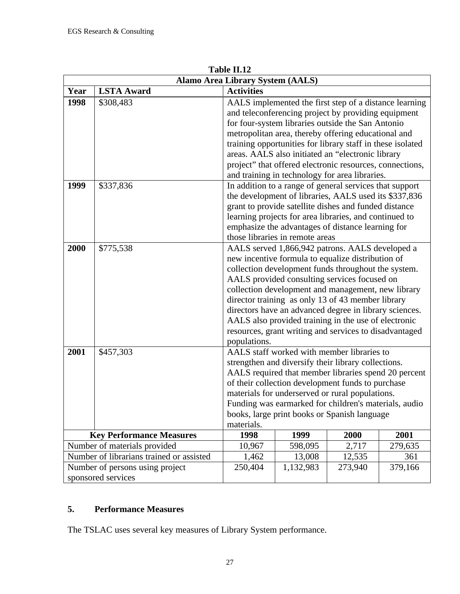|                                                         |                                          | <b>Alamo Area Library System (AALS)</b>                                                               |                                 |                                                                                                             |         |  |  |
|---------------------------------------------------------|------------------------------------------|-------------------------------------------------------------------------------------------------------|---------------------------------|-------------------------------------------------------------------------------------------------------------|---------|--|--|
| Year                                                    | <b>LSTA Award</b>                        | <b>Activities</b>                                                                                     |                                 |                                                                                                             |         |  |  |
| 1998                                                    | \$308,483                                |                                                                                                       |                                 | AALS implemented the first step of a distance learning                                                      |         |  |  |
|                                                         |                                          |                                                                                                       |                                 | and teleconferencing project by providing equipment                                                         |         |  |  |
|                                                         |                                          | for four-system libraries outside the San Antonio                                                     |                                 |                                                                                                             |         |  |  |
|                                                         |                                          |                                                                                                       |                                 | metropolitan area, thereby offering educational and                                                         |         |  |  |
|                                                         |                                          |                                                                                                       |                                 | training opportunities for library staff in these isolated                                                  |         |  |  |
|                                                         |                                          | areas. AALS also initiated an "electronic library                                                     |                                 |                                                                                                             |         |  |  |
|                                                         |                                          |                                                                                                       |                                 | project" that offered electronic resources, connections,                                                    |         |  |  |
|                                                         |                                          |                                                                                                       |                                 | and training in technology for area libraries.                                                              |         |  |  |
| 1999                                                    | \$337,836                                |                                                                                                       |                                 | In addition to a range of general services that support                                                     |         |  |  |
|                                                         |                                          |                                                                                                       |                                 | the development of libraries, AALS used its \$337,836                                                       |         |  |  |
|                                                         |                                          |                                                                                                       |                                 | grant to provide satellite dishes and funded distance                                                       |         |  |  |
|                                                         |                                          |                                                                                                       |                                 | learning projects for area libraries, and continued to                                                      |         |  |  |
|                                                         |                                          |                                                                                                       |                                 | emphasize the advantages of distance learning for                                                           |         |  |  |
|                                                         |                                          |                                                                                                       | those libraries in remote areas |                                                                                                             |         |  |  |
| 2000                                                    | \$775,538                                |                                                                                                       |                                 | AALS served 1,866,942 patrons. AALS developed a                                                             |         |  |  |
|                                                         |                                          |                                                                                                       |                                 | new incentive formula to equalize distribution of                                                           |         |  |  |
|                                                         |                                          |                                                                                                       |                                 | collection development funds throughout the system.                                                         |         |  |  |
|                                                         |                                          |                                                                                                       |                                 | AALS provided consulting services focused on                                                                |         |  |  |
|                                                         |                                          |                                                                                                       |                                 | collection development and management, new library                                                          |         |  |  |
|                                                         |                                          |                                                                                                       |                                 | director training as only 13 of 43 member library                                                           |         |  |  |
|                                                         |                                          |                                                                                                       |                                 | directors have an advanced degree in library sciences.                                                      |         |  |  |
|                                                         |                                          |                                                                                                       |                                 | AALS also provided training in the use of electronic                                                        |         |  |  |
|                                                         |                                          |                                                                                                       |                                 | resources, grant writing and services to disadvantaged                                                      |         |  |  |
|                                                         |                                          | populations.                                                                                          |                                 | AALS staff worked with member libraries to                                                                  |         |  |  |
| 2001                                                    | \$457,303                                |                                                                                                       |                                 |                                                                                                             |         |  |  |
|                                                         |                                          |                                                                                                       |                                 | strengthen and diversify their library collections.<br>AALS required that member libraries spend 20 percent |         |  |  |
|                                                         |                                          |                                                                                                       |                                 | of their collection development funds to purchase                                                           |         |  |  |
|                                                         |                                          |                                                                                                       |                                 |                                                                                                             |         |  |  |
|                                                         |                                          | materials for underserved or rural populations.                                                       |                                 |                                                                                                             |         |  |  |
|                                                         |                                          | Funding was earmarked for children's materials, audio<br>books, large print books or Spanish language |                                 |                                                                                                             |         |  |  |
|                                                         |                                          | materials.                                                                                            |                                 |                                                                                                             |         |  |  |
| 1998<br><b>Key Performance Measures</b><br>1999<br>2000 |                                          |                                                                                                       |                                 |                                                                                                             | 2001    |  |  |
|                                                         | Number of materials provided             | 10,967                                                                                                | 598,095                         | 2,717                                                                                                       | 279,635 |  |  |
|                                                         | Number of librarians trained or assisted | 1,462                                                                                                 | 13,008                          | 12,535                                                                                                      | 361     |  |  |
|                                                         | Number of persons using project          | 250,404                                                                                               | 1,132,983                       | 273,940                                                                                                     | 379,166 |  |  |
|                                                         | sponsored services                       |                                                                                                       |                                 |                                                                                                             |         |  |  |

**Table II.12**

# **5. Performance Measures**

The TSLAC uses several key measures of Library System performance.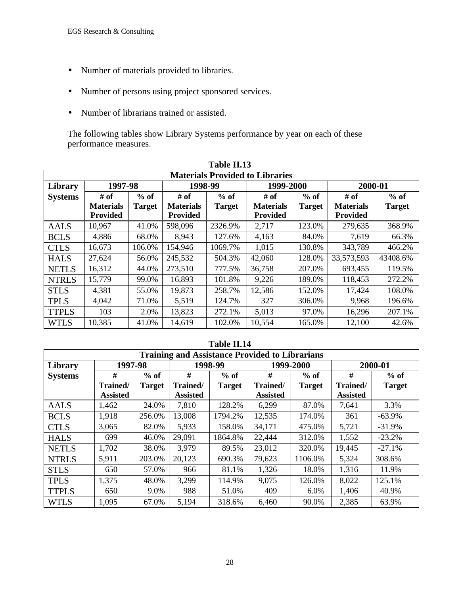- Number of materials provided to libraries.
- Number of persons using project sponsored services.
- Number of librarians trained or assisted.

The following tables show Library Systems performance by year on each of these performance measures.

|                | Table II.13      |               |                  |               |                                        |               |                  |               |
|----------------|------------------|---------------|------------------|---------------|----------------------------------------|---------------|------------------|---------------|
|                |                  |               |                  |               | <b>Materials Provided to Libraries</b> |               |                  |               |
| Library        | 1997-98          |               | 1998-99          |               | 1999-2000                              |               | 2000-01          |               |
| <b>Systems</b> | # of             | $%$ of        | # of             | $%$ of        | # of                                   | $%$ of        | # of             | $%$ of        |
|                | <b>Materials</b> | <b>Target</b> | <b>Materials</b> | <b>Target</b> | <b>Materials</b>                       | <b>Target</b> | <b>Materials</b> | <b>Target</b> |
|                | <b>Provided</b>  |               | <b>Provided</b>  |               | <b>Provided</b>                        |               | <b>Provided</b>  |               |
| <b>AALS</b>    | 10,967           | 41.0%         | 598,096          | 2326.9%       | 2,717                                  | 123.0%        | 279,635          | 368.9%        |
| <b>BCLS</b>    | 4,886            | 68.0%         | 8,943            | 127.6%        | 4,163                                  | 84.0%         | 7,619            | 66.3%         |
| <b>CTLS</b>    | 16,673           | 106.0%        | 154,946          | 1069.7%       | 1,015                                  | 130.8%        | 343,789          | 466.2%        |
| <b>HALS</b>    | 27,624           | 56.0%         | 245,532          | 504.3%        | 42,060                                 | 128.0%        | 33,573,593       | 43408.6%      |
| <b>NETLS</b>   | 16,312           | 44.0%         | 273,510          | 777.5%        | 36,758                                 | 207.0%        | 693,455          | 119.5%        |
| <b>NTRLS</b>   | 15,779           | 99.0%         | 16,893           | 101.8%        | 9,226                                  | 189.0%        | 118,453          | 272.2%        |
| <b>STLS</b>    | 4,381            | 55.0%         | 19,873           | 258.7%        | 12,586                                 | 152.0%        | 17,424           | 108.0%        |
| <b>TPLS</b>    | 4,042            | 71.0%         | 5,519            | 124.7%        | 327                                    | 306.0%        | 9,968            | 196.6%        |
| <b>TTPLS</b>   | 103              | 2.0%          | 13,823           | 272.1%        | 5,013                                  | 97.0%         | 16,296           | 207.1%        |
| <b>WTLS</b>    | 10,385           | 41.0%         | 14,619           | 102.0%        | 10,554                                 | 165.0%        | 12,100           | 42.6%         |

|                | <b>Training and Assistance Provided to Librarians</b> |               |                 |               |                 |               |                 |               |
|----------------|-------------------------------------------------------|---------------|-----------------|---------------|-----------------|---------------|-----------------|---------------|
| Library        | 1997-98                                               |               |                 | 1998-99       |                 | 1999-2000     | 2000-01         |               |
| <b>Systems</b> | #                                                     | $%$ of        | #               | $%$ of        | #               | $%$ of        | #               | $%$ of        |
|                | Trained/                                              | <b>Target</b> | Trained/        | <b>Target</b> | Trained/        | <b>Target</b> | Trained/        | <b>Target</b> |
|                | <b>Assisted</b>                                       |               | <b>Assisted</b> |               | <b>Assisted</b> |               | <b>Assisted</b> |               |
| <b>AALS</b>    | 1,462                                                 | 24.0%         | 7,810           | 128.2%        | 6,299           | 87.0%         | 7,641           | 3.3%          |
| <b>BCLS</b>    | 1,918                                                 | 256.0%        | 13,008          | 1794.2%       | 12,535          | 174.0%        | 361             | $-63.9%$      |
| <b>CTLS</b>    | 3,065                                                 | 82.0%         | 5,933           | 158.0%        | 34,171          | 475.0%        | 5,721           | $-31.9%$      |
| <b>HALS</b>    | 699                                                   | 46.0%         | 29,091          | 1864.8%       | 22,444          | 312.0%        | 1,552           | $-23.2%$      |
| <b>NETLS</b>   | 1,702                                                 | 38.0%         | 3,979           | 89.5%         | 23,012          | 320.0%        | 19,445          | $-27.1%$      |
| <b>NTRLS</b>   | 5,911                                                 | 203.0%        | 20,123          | 690.3%        | 79,623          | 1106.0%       | 5,324           | 308.6%        |
| <b>STLS</b>    | 650                                                   | 57.0%         | 966             | 81.1%         | 1,326           | 18.0%         | 1,316           | 11.9%         |
| <b>TPLS</b>    | 1,375                                                 | 48.0%         | 3,299           | 114.9%        | 9,075           | 126.0%        | 8,022           | 125.1%        |
| <b>TTPLS</b>   | 650                                                   | 9.0%          | 988             | 51.0%         | 409             | 6.0%          | 1,406           | 40.9%         |
| <b>WTLS</b>    | 1,095                                                 | 67.0%         | 5,194           | 318.6%        | 6,460           | 90.0%         | 2,385           | 63.9%         |

### **Table II.14**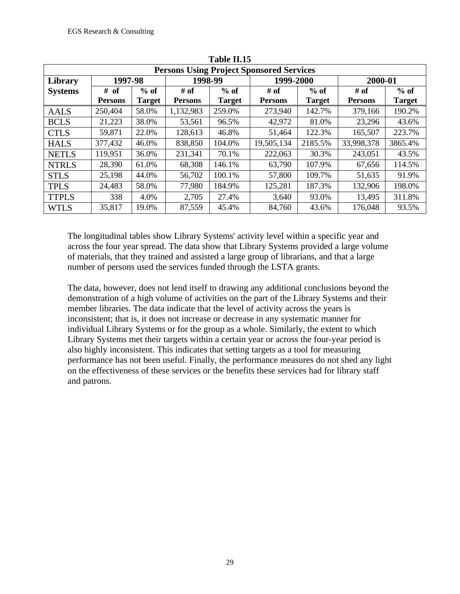|                | ravit 11.19    |        |                |               |                                                 |               |                |               |  |
|----------------|----------------|--------|----------------|---------------|-------------------------------------------------|---------------|----------------|---------------|--|
|                |                |        |                |               | <b>Persons Using Project Sponsored Services</b> |               |                |               |  |
| Library        | 1997-98        |        | 1998-99        |               | 1999-2000                                       |               | 2000-01        |               |  |
| <b>Systems</b> | # of           | $%$ of | # of           | $%$ of        | # of                                            | $%$ of        | # of           | $%$ of        |  |
|                | <b>Persons</b> | Target | <b>Persons</b> | <b>Target</b> | <b>Persons</b>                                  | <b>Target</b> | <b>Persons</b> | <b>Target</b> |  |
| <b>AALS</b>    | 250,404        | 58.0%  | 1,132,983      | 259.0%        | 273,940                                         | 142.7%        | 379,166        | 190.2%        |  |
| <b>BCLS</b>    | 21,223         | 38.0%  | 53,561         | 96.5%         | 42,972                                          | 81.0%         | 23,296         | 43.6%         |  |
| <b>CTLS</b>    | 59,871         | 22.0%  | 128,613        | 46.8%         | 51,464                                          | 122.3%        | 165,507        | 223.7%        |  |
| <b>HALS</b>    | 377,432        | 46.0%  | 838,850        | 104.0%        | 19,505,134                                      | 2185.5%       | 33,998,378     | 3865.4%       |  |
| <b>NETLS</b>   | 119,951        | 36.0%  | 231,341        | 70.1%         | 222,063                                         | 30.3%         | 243,051        | 43.5%         |  |
| <b>NTRLS</b>   | 28,390         | 61.0%  | 68,308         | 146.1%        | 63,790                                          | 107.9%        | 67,656         | 114.5%        |  |
| <b>STLS</b>    | 25,198         | 44.0%  | 56,702         | 100.1%        | 57,800                                          | 109.7%        | 51,635         | 91.9%         |  |
| <b>TPLS</b>    | 24,483         | 58.0%  | 77,980         | 184.9%        | 125,281                                         | 187.3%        | 132,906        | 198.0%        |  |
| <b>TTPLS</b>   | 338            | 4.0%   | 2,705          | 27.4%         | 3,640                                           | 93.0%         | 13,495         | 311.8%        |  |
| <b>WTLS</b>    | 35,817         | 19.0%  | 87,559         | 45.4%         | 84,760                                          | 43.6%         | 176,048        | 93.5%         |  |

**Table II.15**

The longitudinal tables show Library Systems' activity level within a specific year and across the four year spread. The data show that Library Systems provided a large volume of materials, that they trained and assisted a large group of librarians, and that a large number of persons used the services funded through the LSTA grants.

The data, however, does not lend itself to drawing any additional conclusions beyond the demonstration of a high volume of activities on the part of the Library Systems and their member libraries. The data indicate that the level of activity across the years is inconsistent; that is, it does not increase or decrease in any systematic manner for individual Library Systems or for the group as a whole. Similarly, the extent to which Library Systems met their targets within a certain year or across the four-year period is also highly inconsistent. This indicates that setting targets as a tool for measuring performance has not been useful. Finally, the performance measures do not shed any light on the effectiveness of these services or the benefits these services had for library staff and patrons.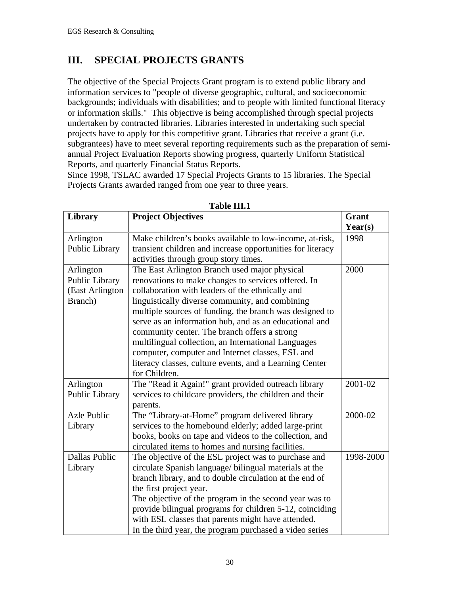# **III. SPECIAL PROJECTS GRANTS**

The objective of the Special Projects Grant program is to extend public library and information services to "people of diverse geographic, cultural, and socioeconomic backgrounds; individuals with disabilities; and to people with limited functional literacy or information skills." This objective is being accomplished through special projects undertaken by contracted libraries. Libraries interested in undertaking such special projects have to apply for this competitive grant. Libraries that receive a grant (i.e. subgrantees) have to meet several reporting requirements such as the preparation of semiannual Project Evaluation Reports showing progress, quarterly Uniform Statistical Reports, and quarterly Financial Status Reports.

Since 1998, TSLAC awarded 17 Special Projects Grants to 15 libraries. The Special Projects Grants awarded ranged from one year to three years.

| <b>Library</b>                                            | <b>Project Objectives</b>                                                                                                                                                                                                                                                                                                                                                                                                                                                                                                                                               | Grant<br>Year(s) |
|-----------------------------------------------------------|-------------------------------------------------------------------------------------------------------------------------------------------------------------------------------------------------------------------------------------------------------------------------------------------------------------------------------------------------------------------------------------------------------------------------------------------------------------------------------------------------------------------------------------------------------------------------|------------------|
| Arlington<br>Public Library                               | Make children's books available to low-income, at-risk,<br>transient children and increase opportunities for literacy<br>activities through group story times.                                                                                                                                                                                                                                                                                                                                                                                                          | 1998             |
| Arlington<br>Public Library<br>(East Arlington<br>Branch) | The East Arlington Branch used major physical<br>renovations to make changes to services offered. In<br>collaboration with leaders of the ethnically and<br>linguistically diverse community, and combining<br>multiple sources of funding, the branch was designed to<br>serve as an information hub, and as an educational and<br>community center. The branch offers a strong<br>multilingual collection, an International Languages<br>computer, computer and Internet classes, ESL and<br>literacy classes, culture events, and a Learning Center<br>for Children. | 2000             |
| Arlington<br>Public Library                               | The "Read it Again!" grant provided outreach library<br>services to childcare providers, the children and their<br>parents.                                                                                                                                                                                                                                                                                                                                                                                                                                             | 2001-02          |
| <b>Azle Public</b><br>Library                             | The "Library-at-Home" program delivered library<br>services to the homebound elderly; added large-print<br>books, books on tape and videos to the collection, and<br>circulated items to homes and nursing facilities.                                                                                                                                                                                                                                                                                                                                                  | 2000-02          |
| Dallas Public<br>Library                                  | The objective of the ESL project was to purchase and<br>circulate Spanish language/ bilingual materials at the<br>branch library, and to double circulation at the end of<br>the first project year.<br>The objective of the program in the second year was to<br>provide bilingual programs for children 5-12, coinciding<br>with ESL classes that parents might have attended.<br>In the third year, the program purchased a video series                                                                                                                             | 1998-2000        |

#### **Table III.1**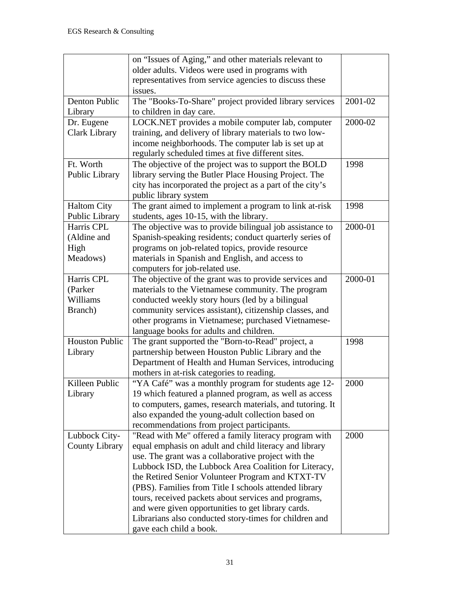|                       | on "Issues of Aging," and other materials relevant to     |         |
|-----------------------|-----------------------------------------------------------|---------|
|                       | older adults. Videos were used in programs with           |         |
|                       | representatives from service agencies to discuss these    |         |
|                       | issues.                                                   |         |
| Denton Public         | The "Books-To-Share" project provided library services    | 2001-02 |
| Library               | to children in day care.                                  |         |
| Dr. Eugene            | LOCK.NET provides a mobile computer lab, computer         | 2000-02 |
| <b>Clark Library</b>  | training, and delivery of library materials to two low-   |         |
|                       | income neighborhoods. The computer lab is set up at       |         |
|                       | regularly scheduled times at five different sites.        |         |
| Ft. Worth             | The objective of the project was to support the BOLD      | 1998    |
| Public Library        | library serving the Butler Place Housing Project. The     |         |
|                       | city has incorporated the project as a part of the city's |         |
|                       | public library system                                     |         |
| <b>Haltom City</b>    | The grant aimed to implement a program to link at-risk    | 1998    |
| Public Library        | students, ages 10-15, with the library.                   |         |
| Harris CPL            | The objective was to provide bilingual job assistance to  | 2000-01 |
| (Aldine and           | Spanish-speaking residents; conduct quarterly series of   |         |
| High                  | programs on job-related topics, provide resource          |         |
| Meadows)              | materials in Spanish and English, and access to           |         |
|                       | computers for job-related use.                            |         |
| Harris CPL            | The objective of the grant was to provide services and    | 2000-01 |
| (Parker               | materials to the Vietnamese community. The program        |         |
| Williams              | conducted weekly story hours (led by a bilingual          |         |
| Branch)               | community services assistant), citizenship classes, and   |         |
|                       | other programs in Vietnamese; purchased Vietnamese-       |         |
|                       | language books for adults and children.                   |         |
| <b>Houston Public</b> | The grant supported the "Born-to-Read" project, a         | 1998    |
| Library               | partnership between Houston Public Library and the        |         |
|                       | Department of Health and Human Services, introducing      |         |
|                       | mothers in at-risk categories to reading.                 |         |
| Killeen Public        | "YA Café" was a monthly program for students age 12-      | 2000    |
| Library               | 19 which featured a planned program, as well as access    |         |
|                       | to computers, games, research materials, and tutoring. It |         |
|                       | also expanded the young-adult collection based on         |         |
|                       | recommendations from project participants.                |         |
| Lubbock City-         | "Read with Me" offered a family literacy program with     | 2000    |
| <b>County Library</b> | equal emphasis on adult and child literacy and library    |         |
|                       | use. The grant was a collaborative project with the       |         |
|                       | Lubbock ISD, the Lubbock Area Coalition for Literacy,     |         |
|                       | the Retired Senior Volunteer Program and KTXT-TV          |         |
|                       | (PBS). Families from Title I schools attended library     |         |
|                       | tours, received packets about services and programs,      |         |
|                       | and were given opportunities to get library cards.        |         |
|                       | Librarians also conducted story-times for children and    |         |
|                       | gave each child a book.                                   |         |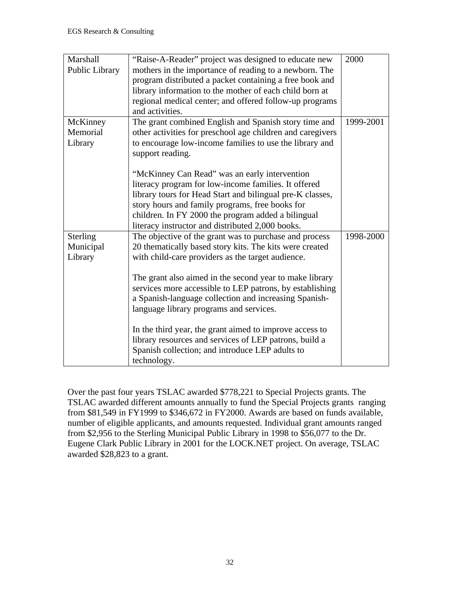| Marshall        | "Raise-A-Reader" project was designed to educate new       | 2000      |
|-----------------|------------------------------------------------------------|-----------|
| Public Library  | mothers in the importance of reading to a newborn. The     |           |
|                 | program distributed a packet containing a free book and    |           |
|                 | library information to the mother of each child born at    |           |
|                 | regional medical center; and offered follow-up programs    |           |
|                 | and activities.                                            |           |
| McKinney        | The grant combined English and Spanish story time and      | 1999-2001 |
| Memorial        | other activities for preschool age children and caregivers |           |
| Library         | to encourage low-income families to use the library and    |           |
|                 | support reading.                                           |           |
|                 |                                                            |           |
|                 | "McKinney Can Read" was an early intervention              |           |
|                 | literacy program for low-income families. It offered       |           |
|                 | library tours for Head Start and bilingual pre-K classes,  |           |
|                 | story hours and family programs, free books for            |           |
|                 | children. In FY 2000 the program added a bilingual         |           |
|                 | literacy instructor and distributed 2,000 books.           |           |
| <b>Sterling</b> | The objective of the grant was to purchase and process     | 1998-2000 |
| Municipal       | 20 thematically based story kits. The kits were created    |           |
| Library         | with child-care providers as the target audience.          |           |
|                 |                                                            |           |
|                 | The grant also aimed in the second year to make library    |           |
|                 | services more accessible to LEP patrons, by establishing   |           |
|                 | a Spanish-language collection and increasing Spanish-      |           |
|                 | language library programs and services.                    |           |
|                 |                                                            |           |
|                 | In the third year, the grant aimed to improve access to    |           |
|                 | library resources and services of LEP patrons, build a     |           |
|                 | Spanish collection; and introduce LEP adults to            |           |
|                 | technology.                                                |           |

Over the past four years TSLAC awarded \$778,221 to Special Projects grants. The TSLAC awarded different amounts annually to fund the Special Projects grants ranging from \$81,549 in FY1999 to \$346,672 in FY2000. Awards are based on funds available, number of eligible applicants, and amounts requested. Individual grant amounts ranged from \$2,956 to the Sterling Municipal Public Library in 1998 to \$56,077 to the Dr. Eugene Clark Public Library in 2001 for the LOCK.NET project. On average, TSLAC awarded \$28,823 to a grant.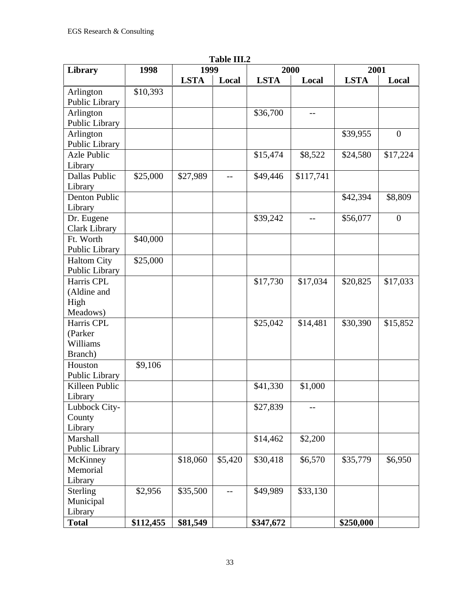| <b>Library</b>       | 1 adie 111.2<br>1998<br>1999<br>2000 |             |         |             | 2001      |             |                  |
|----------------------|--------------------------------------|-------------|---------|-------------|-----------|-------------|------------------|
|                      |                                      | <b>LSTA</b> | Local   | <b>LSTA</b> | Local     | <b>LSTA</b> | Local            |
| Arlington            | \$10,393                             |             |         |             |           |             |                  |
| Public Library       |                                      |             |         |             |           |             |                  |
| Arlington            |                                      |             |         | \$36,700    | --        |             |                  |
| Public Library       |                                      |             |         |             |           |             |                  |
| Arlington            |                                      |             |         |             |           | \$39,955    | $\mathbf{0}$     |
| Public Library       |                                      |             |         |             |           |             |                  |
| <b>Azle Public</b>   |                                      |             |         | \$15,474    | \$8,522   | \$24,580    | \$17,224         |
| Library              |                                      |             |         |             |           |             |                  |
| <b>Dallas Public</b> | \$25,000                             | \$27,989    | $-$     | \$49,446    | \$117,741 |             |                  |
| Library              |                                      |             |         |             |           |             |                  |
| Denton Public        |                                      |             |         |             |           | \$42,394    | \$8,809          |
| Library              |                                      |             |         |             |           |             |                  |
| Dr. Eugene           |                                      |             |         | \$39,242    | $-$       | \$56,077    | $\boldsymbol{0}$ |
| <b>Clark Library</b> |                                      |             |         |             |           |             |                  |
| Ft. Worth            | \$40,000                             |             |         |             |           |             |                  |
| Public Library       |                                      |             |         |             |           |             |                  |
| <b>Haltom City</b>   | \$25,000                             |             |         |             |           |             |                  |
| Public Library       |                                      |             |         |             |           |             |                  |
| Harris CPL           |                                      |             |         | \$17,730    | \$17,034  | \$20,825    | \$17,033         |
| (Aldine and          |                                      |             |         |             |           |             |                  |
| High                 |                                      |             |         |             |           |             |                  |
| Meadows)             |                                      |             |         |             |           |             |                  |
| Harris CPL           |                                      |             |         | \$25,042    | \$14,481  | \$30,390    | \$15,852         |
| (Parker              |                                      |             |         |             |           |             |                  |
| Williams             |                                      |             |         |             |           |             |                  |
| Branch)              |                                      |             |         |             |           |             |                  |
| Houston              | \$9,106                              |             |         |             |           |             |                  |
| Public Library       |                                      |             |         |             |           |             |                  |
| Killeen Public       |                                      |             |         | \$41,330    | \$1,000   |             |                  |
| Library              |                                      |             |         |             |           |             |                  |
| Lubbock City-        |                                      |             |         | \$27,839    | --        |             |                  |
| County               |                                      |             |         |             |           |             |                  |
| Library              |                                      |             |         |             |           |             |                  |
| Marshall             |                                      |             |         | \$14,462    | \$2,200   |             |                  |
| Public Library       |                                      |             |         |             |           |             |                  |
| McKinney             |                                      | \$18,060    | \$5,420 | \$30,418    | \$6,570   | \$35,779    | \$6,950          |
| Memorial             |                                      |             |         |             |           |             |                  |
| Library              |                                      |             |         |             |           |             |                  |
| Sterling             | \$2,956                              | \$35,500    | $-$     | \$49,989    | \$33,130  |             |                  |
| Municipal            |                                      |             |         |             |           |             |                  |
| Library              |                                      |             |         |             |           |             |                  |
| <b>Total</b>         | \$112,455                            | \$81,549    |         | \$347,672   |           | \$250,000   |                  |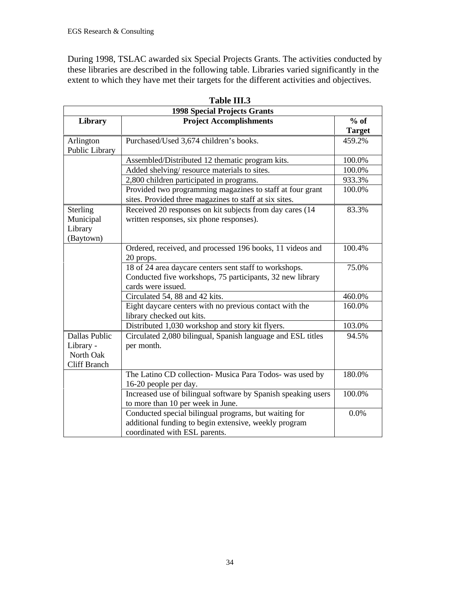During 1998, TSLAC awarded six Special Projects Grants. The activities conducted by these libraries are described in the following table. Libraries varied significantly in the extent to which they have met their targets for the different activities and objectives.

|                                                                | <b>1998 Special Projects Grants</b>                                                                                                             |                         |  |  |  |  |  |
|----------------------------------------------------------------|-------------------------------------------------------------------------------------------------------------------------------------------------|-------------------------|--|--|--|--|--|
| Library                                                        | <b>Project Accomplishments</b>                                                                                                                  | $%$ of<br><b>Target</b> |  |  |  |  |  |
| Arlington<br>Public Library                                    | Purchased/Used 3,674 children's books.                                                                                                          | 459.2%                  |  |  |  |  |  |
|                                                                | Assembled/Distributed 12 thematic program kits.                                                                                                 | 100.0%                  |  |  |  |  |  |
|                                                                | Added shelving/resource materials to sites.                                                                                                     | 100.0%                  |  |  |  |  |  |
|                                                                | 2,800 children participated in programs.                                                                                                        | 933.3%                  |  |  |  |  |  |
|                                                                | Provided two programming magazines to staff at four grant<br>sites. Provided three magazines to staff at six sites.                             | 100.0%                  |  |  |  |  |  |
| <b>Sterling</b><br>Municipal<br>Library<br>(Baytown)           | Received 20 responses on kit subjects from day cares (14<br>written responses, six phone responses).                                            | 83.3%                   |  |  |  |  |  |
|                                                                | Ordered, received, and processed 196 books, 11 videos and<br>20 props.                                                                          | 100.4%                  |  |  |  |  |  |
|                                                                | 18 of 24 area daycare centers sent staff to workshops.<br>Conducted five workshops, 75 participants, 32 new library<br>cards were issued.       | 75.0%                   |  |  |  |  |  |
|                                                                | Circulated 54, 88 and 42 kits.                                                                                                                  | 460.0%                  |  |  |  |  |  |
|                                                                | Eight daycare centers with no previous contact with the<br>library checked out kits.                                                            | 160.0%                  |  |  |  |  |  |
|                                                                | Distributed 1,030 workshop and story kit flyers.                                                                                                | 103.0%                  |  |  |  |  |  |
| Dallas Public<br>Library -<br>North Oak<br><b>Cliff Branch</b> | Circulated 2,080 bilingual, Spanish language and ESL titles<br>per month.                                                                       | 94.5%                   |  |  |  |  |  |
|                                                                | The Latino CD collection- Musica Para Todos- was used by<br>16-20 people per day.                                                               | 180.0%                  |  |  |  |  |  |
|                                                                | Increased use of bilingual software by Spanish speaking users<br>to more than 10 per week in June.                                              | 100.0%                  |  |  |  |  |  |
|                                                                | Conducted special bilingual programs, but waiting for<br>additional funding to begin extensive, weekly program<br>coordinated with ESL parents. | 0.0%                    |  |  |  |  |  |

**Table III.3**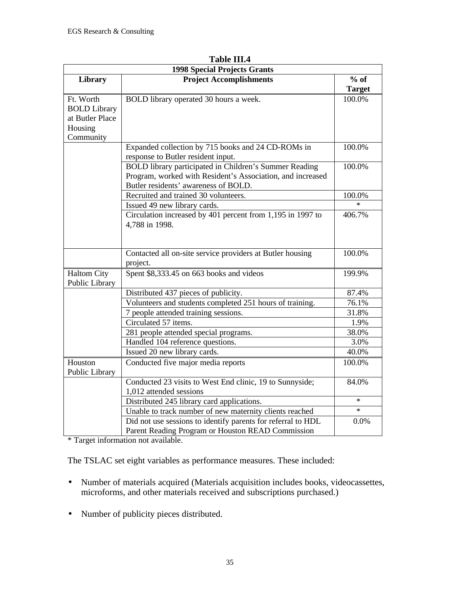|                     | <b>1998 Special Projects Grants</b>                          |               |  |  |  |  |
|---------------------|--------------------------------------------------------------|---------------|--|--|--|--|
| Library             | <b>Project Accomplishments</b>                               | $%$ of        |  |  |  |  |
|                     |                                                              | <b>Target</b> |  |  |  |  |
| Ft. Worth           | BOLD library operated 30 hours a week.                       | 100.0%        |  |  |  |  |
| <b>BOLD Library</b> |                                                              |               |  |  |  |  |
| at Butler Place     |                                                              |               |  |  |  |  |
| Housing             |                                                              |               |  |  |  |  |
| Community           |                                                              |               |  |  |  |  |
|                     | Expanded collection by 715 books and 24 CD-ROMs in           | 100.0%        |  |  |  |  |
|                     | response to Butler resident input.                           |               |  |  |  |  |
|                     | BOLD library participated in Children's Summer Reading       | 100.0%        |  |  |  |  |
|                     | Program, worked with Resident's Association, and increased   |               |  |  |  |  |
|                     | Butler residents' awareness of BOLD.                         |               |  |  |  |  |
|                     | Recruited and trained 30 volunteers.                         | 100.0%        |  |  |  |  |
|                     | Issued 49 new library cards.                                 | $\star$       |  |  |  |  |
|                     | Circulation increased by 401 percent from 1,195 in 1997 to   | 406.7%        |  |  |  |  |
|                     | 4,788 in 1998.                                               |               |  |  |  |  |
|                     |                                                              |               |  |  |  |  |
|                     | Contacted all on-site service providers at Butler housing    | 100.0%        |  |  |  |  |
|                     | project.                                                     |               |  |  |  |  |
| <b>Haltom City</b>  | Spent \$8,333.45 on 663 books and videos                     | 199.9%        |  |  |  |  |
| Public Library      |                                                              |               |  |  |  |  |
|                     | Distributed 437 pieces of publicity.                         | 87.4%         |  |  |  |  |
|                     | Volunteers and students completed 251 hours of training.     | 76.1%         |  |  |  |  |
|                     | 7 people attended training sessions.                         | 31.8%         |  |  |  |  |
|                     | Circulated 57 items.                                         | 1.9%          |  |  |  |  |
|                     | 281 people attended special programs.                        | 38.0%         |  |  |  |  |
|                     | Handled 104 reference questions.                             | 3.0%          |  |  |  |  |
|                     | Issued 20 new library cards.                                 | 40.0%         |  |  |  |  |
| Houston             | Conducted five major media reports                           | 100.0%        |  |  |  |  |
| Public Library      |                                                              |               |  |  |  |  |
|                     | Conducted 23 visits to West End clinic, 19 to Sunnyside;     | 84.0%         |  |  |  |  |
|                     | 1,012 attended sessions                                      |               |  |  |  |  |
|                     | Distributed 245 library card applications.                   | $\ast$        |  |  |  |  |
|                     | Unable to track number of new maternity clients reached      | $\ast$        |  |  |  |  |
|                     | Did not use sessions to identify parents for referral to HDL | 0.0%          |  |  |  |  |
|                     | Parent Reading Program or Houston READ Commission            |               |  |  |  |  |

**Table III.4**

\* Target information not available.

The TSLAC set eight variables as performance measures. These included:

- Number of materials acquired (Materials acquisition includes books, videocassettes, microforms, and other materials received and subscriptions purchased.)
- Number of publicity pieces distributed.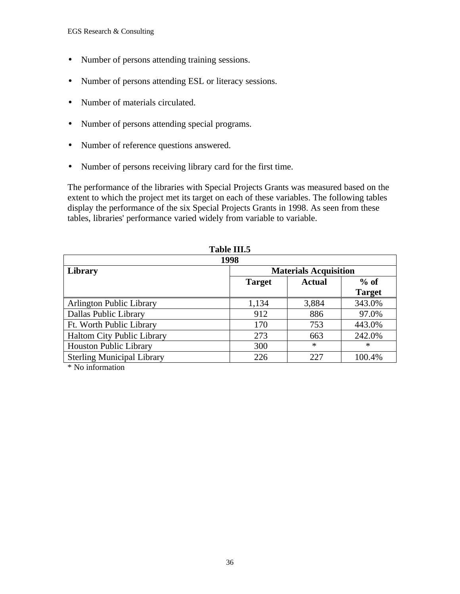- Number of persons attending training sessions.
- Number of persons attending ESL or literacy sessions.
- Number of materials circulated.
- Number of persons attending special programs.
- Number of reference questions answered.
- Number of persons receiving library card for the first time.

The performance of the libraries with Special Projects Grants was measured based on the extent to which the project met its target on each of these variables. The following tables display the performance of the six Special Projects Grants in 1998. As seen from these tables, libraries' performance varied widely from variable to variable.

| TANIC ITIO                                                               |        |        |  |  |  |  |
|--------------------------------------------------------------------------|--------|--------|--|--|--|--|
| 1998                                                                     |        |        |  |  |  |  |
| <b>Materials Acquisition</b><br>$%$ of<br><b>Target</b><br><b>Actual</b> |        |        |  |  |  |  |
|                                                                          |        |        |  |  |  |  |
| 1,134                                                                    | 3,884  | 343.0% |  |  |  |  |
| 912                                                                      | 886    | 97.0%  |  |  |  |  |
| 170                                                                      | 753    | 443.0% |  |  |  |  |
| 273                                                                      | 663    | 242.0% |  |  |  |  |
| 300                                                                      | $\ast$ | $\ast$ |  |  |  |  |
| 226                                                                      | 227    | 100.4% |  |  |  |  |
|                                                                          |        |        |  |  |  |  |

**Table III.5**

\* No information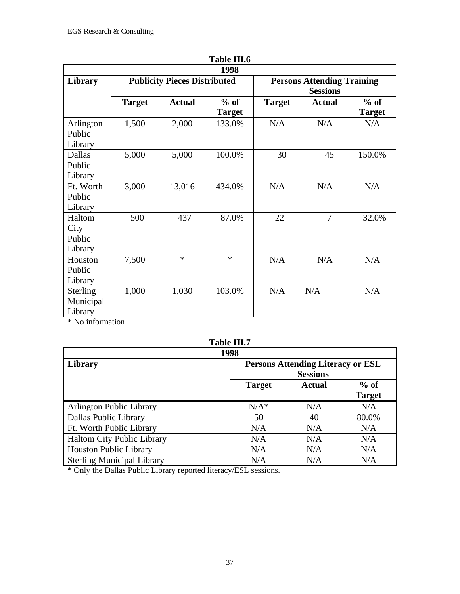| 1 adie 111.0                            |               |                                     |                         |                                                      |                |                         |  |  |  |
|-----------------------------------------|---------------|-------------------------------------|-------------------------|------------------------------------------------------|----------------|-------------------------|--|--|--|
| Library                                 |               | <b>Publicity Pieces Distributed</b> | 1998                    | <b>Persons Attending Training</b><br><b>Sessions</b> |                |                         |  |  |  |
|                                         | <b>Target</b> | <b>Actual</b>                       | $%$ of<br><b>Target</b> | <b>Target</b>                                        | <b>Actual</b>  | $%$ of<br><b>Target</b> |  |  |  |
| Arlington<br>Public<br>Library          | 1,500         | 2,000                               | 133.0%                  | N/A                                                  | N/A            | N/A                     |  |  |  |
| Dallas<br>Public<br>Library             | 5,000         | 5,000                               | 100.0%                  | 30                                                   | 45             | 150.0%                  |  |  |  |
| Ft. Worth<br>Public<br>Library          | 3,000         | 13,016                              | 434.0%                  | N/A                                                  | N/A            | N/A                     |  |  |  |
| Haltom<br>City<br>Public<br>Library     | 500           | 437                                 | 87.0%                   | 22                                                   | $\overline{7}$ | 32.0%                   |  |  |  |
| Houston<br>Public<br>Library            | 7,500         | $\ast$                              | $\ast$                  | N/A                                                  | N/A            | N/A                     |  |  |  |
| <b>Sterling</b><br>Municipal<br>Library | 1,000         | 1,030                               | 103.0%                  | N/A                                                  | N/A            | N/A                     |  |  |  |

\* No information

## **Table III.7**

| 1998                              |                                                             |               |                         |  |  |  |
|-----------------------------------|-------------------------------------------------------------|---------------|-------------------------|--|--|--|
| <b>Library</b>                    | <b>Persons Attending Literacy or ESL</b><br><b>Sessions</b> |               |                         |  |  |  |
|                                   | <b>Target</b>                                               | <b>Actual</b> | $%$ of<br><b>Target</b> |  |  |  |
| <b>Arlington Public Library</b>   | $N/A^*$                                                     | N/A           | N/A                     |  |  |  |
| Dallas Public Library             | 50                                                          | 40            | 80.0%                   |  |  |  |
| Ft. Worth Public Library          | N/A                                                         | N/A           | N/A                     |  |  |  |
| <b>Haltom City Public Library</b> | N/A                                                         | N/A           | N/A                     |  |  |  |
| <b>Houston Public Library</b>     | N/A                                                         | N/A           | N/A                     |  |  |  |
| <b>Sterling Municipal Library</b> | N/A                                                         | N/A           | N/A                     |  |  |  |

\* Only the Dallas Public Library reported literacy/ESL sessions.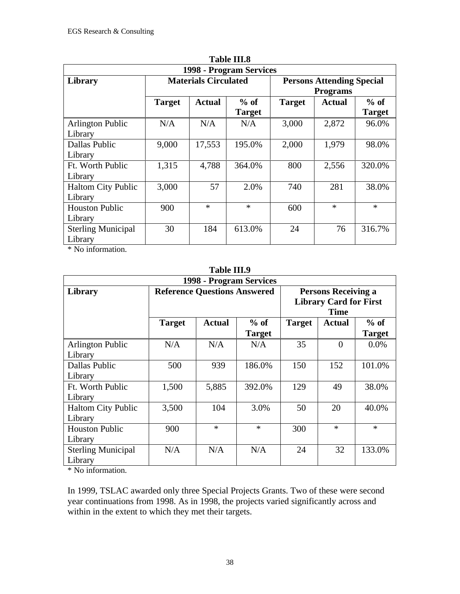| <b>Table III.8</b>                   |                             |               |                         |                                                     |               |                         |  |  |
|--------------------------------------|-----------------------------|---------------|-------------------------|-----------------------------------------------------|---------------|-------------------------|--|--|
| 1998 - Program Services              |                             |               |                         |                                                     |               |                         |  |  |
| Library                              | <b>Materials Circulated</b> |               |                         | <b>Persons Attending Special</b><br><b>Programs</b> |               |                         |  |  |
|                                      | <b>Target</b>               | <b>Actual</b> | $%$ of<br><b>Target</b> | <b>Target</b>                                       | <b>Actual</b> | $%$ of<br><b>Target</b> |  |  |
| <b>Arlington Public</b><br>Library   | N/A                         | N/A           | N/A                     | 3,000                                               | 2,872         | 96.0%                   |  |  |
| <b>Dallas Public</b><br>Library      | 9,000                       | 17,553        | 195.0%                  | 2,000                                               | 1,979         | 98.0%                   |  |  |
| Ft. Worth Public<br>Library          | 1,315                       | 4,788         | 364.0%                  | 800                                                 | 2,556         | 320.0%                  |  |  |
| <b>Haltom City Public</b><br>Library | 3,000                       | 57            | 2.0%                    | 740                                                 | 281           | 38.0%                   |  |  |
| <b>Houston Public</b><br>Library     | 900                         | $\ast$        | $\ast$                  | 600                                                 | $\ast$        | $\ast$                  |  |  |
| <b>Sterling Municipal</b><br>Library | 30                          | 184           | 613.0%                  | 24                                                  | 76            | 316.7%                  |  |  |

\* No information.

#### **Table III.9**

| 1998 - Program Services              |                                     |               |               |                                                                            |               |               |  |
|--------------------------------------|-------------------------------------|---------------|---------------|----------------------------------------------------------------------------|---------------|---------------|--|
| Library                              | <b>Reference Questions Answered</b> |               |               | <b>Persons Receiving a</b><br><b>Library Card for First</b><br><b>Time</b> |               |               |  |
|                                      | <b>Target</b>                       | <b>Actual</b> | $%$ of        | <b>Target</b>                                                              | <b>Actual</b> | $%$ of        |  |
|                                      |                                     |               | <b>Target</b> |                                                                            |               | <b>Target</b> |  |
| <b>Arlington Public</b><br>Library   | N/A                                 | N/A           | N/A           | 35                                                                         | $\theta$      | $0.0\%$       |  |
| <b>Dallas Public</b><br>Library      | 500                                 | 939           | 186.0%        | 150                                                                        | 152           | 101.0%        |  |
| Ft. Worth Public<br>Library          | 1,500                               | 5,885         | 392.0%        | 129                                                                        | 49            | 38.0%         |  |
| <b>Haltom City Public</b><br>Library | 3,500                               | 104           | 3.0%          | 50                                                                         | 20            | 40.0%         |  |
| <b>Houston Public</b><br>Library     | 900                                 | $\ast$        | $\ast$        | 300                                                                        | $\ast$        | $\ast$        |  |
| <b>Sterling Municipal</b><br>Library | N/A                                 | N/A           | N/A           | 24                                                                         | 32            | 133.0%        |  |

\* No information.

In 1999, TSLAC awarded only three Special Projects Grants. Two of these were second year continuations from 1998. As in 1998, the projects varied significantly across and within in the extent to which they met their targets.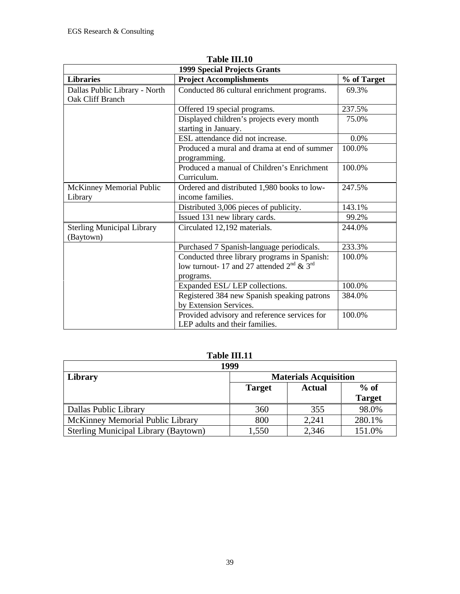| <b>1999 Special Projects Grants</b>               |                                                                                                                |             |  |  |  |  |
|---------------------------------------------------|----------------------------------------------------------------------------------------------------------------|-------------|--|--|--|--|
| <b>Libraries</b>                                  | <b>Project Accomplishments</b>                                                                                 | % of Target |  |  |  |  |
| Dallas Public Library - North<br>Oak Cliff Branch | Conducted 86 cultural enrichment programs.                                                                     | 69.3%       |  |  |  |  |
|                                                   | Offered 19 special programs.                                                                                   | 237.5%      |  |  |  |  |
|                                                   | Displayed children's projects every month<br>starting in January.                                              | 75.0%       |  |  |  |  |
|                                                   | ESL attendance did not increase.                                                                               | 0.0%        |  |  |  |  |
|                                                   | Produced a mural and drama at end of summer<br>programming.                                                    | 100.0%      |  |  |  |  |
|                                                   | Produced a manual of Children's Enrichment<br>Curriculum.                                                      | 100.0%      |  |  |  |  |
| McKinney Memorial Public                          | Ordered and distributed 1,980 books to low-                                                                    | 247.5%      |  |  |  |  |
| Library                                           | income families.                                                                                               |             |  |  |  |  |
|                                                   | Distributed 3,006 pieces of publicity.                                                                         | 143.1%      |  |  |  |  |
|                                                   | Issued 131 new library cards.                                                                                  | 99.2%       |  |  |  |  |
| <b>Sterling Municipal Library</b><br>(Baytown)    | Circulated 12,192 materials.                                                                                   | 244.0%      |  |  |  |  |
|                                                   | Purchased 7 Spanish-language periodicals.                                                                      | 233.3%      |  |  |  |  |
|                                                   | Conducted three library programs in Spanish:<br>low turnout-17 and 27 attended $2^{nd} \& 3^{rd}$<br>programs. | 100.0%      |  |  |  |  |
|                                                   | Expanded ESL/LEP collections.                                                                                  | 100.0%      |  |  |  |  |
|                                                   | Registered 384 new Spanish speaking patrons<br>by Extension Services.                                          | 384.0%      |  |  |  |  |
|                                                   | Provided advisory and reference services for<br>LEP adults and their families.                                 | 100.0%      |  |  |  |  |

**Table III.10**

| 1999                                        |                              |               |               |  |  |  |
|---------------------------------------------|------------------------------|---------------|---------------|--|--|--|
| Library                                     | <b>Materials Acquisition</b> |               |               |  |  |  |
|                                             | <b>Target</b>                | <b>Actual</b> | $%$ of        |  |  |  |
|                                             |                              |               | <b>Target</b> |  |  |  |
| Dallas Public Library                       | 360                          | 355           | 98.0%         |  |  |  |
| McKinney Memorial Public Library            | 800                          | 2,241         | 280.1%        |  |  |  |
| <b>Sterling Municipal Library (Baytown)</b> | 1,550                        | 2,346         | 151.0%        |  |  |  |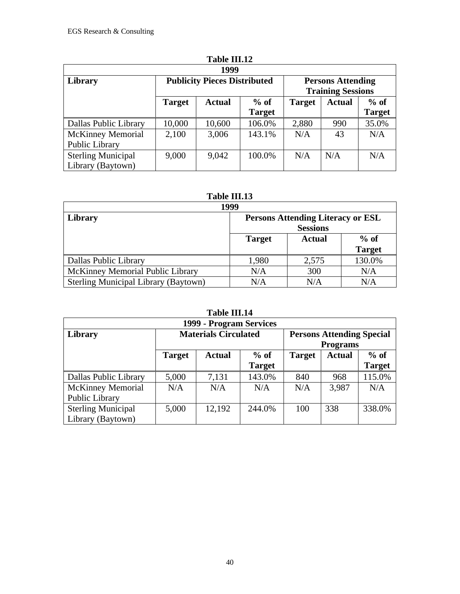| 1999                      |                                     |               |               |               |                                                      |               |  |
|---------------------------|-------------------------------------|---------------|---------------|---------------|------------------------------------------------------|---------------|--|
| Library                   | <b>Publicity Pieces Distributed</b> |               |               |               | <b>Persons Attending</b><br><b>Training Sessions</b> |               |  |
|                           | <b>Target</b>                       | <b>Actual</b> | $%$ of        | <b>Target</b> | <b>Actual</b>                                        | $%$ of        |  |
|                           |                                     |               | <b>Target</b> |               |                                                      | <b>Target</b> |  |
| Dallas Public Library     | 10,000                              | 10,600        | 106.0%        | 2,880         | 990                                                  | 35.0%         |  |
| <b>McKinney Memorial</b>  | 2,100                               | 3,006         | 143.1%        | N/A           | 43                                                   | N/A           |  |
| Public Library            |                                     |               |               |               |                                                      |               |  |
| <b>Sterling Municipal</b> | 9,000                               | 9,042         | 100.0%        | N/A           | N/A                                                  | N/A           |  |
| Library (Baytown)         |                                     |               |               |               |                                                      |               |  |

#### **Table III.13**

| 1999                                        |                                                             |               |                         |  |
|---------------------------------------------|-------------------------------------------------------------|---------------|-------------------------|--|
| Library                                     | <b>Persons Attending Literacy or ESL</b><br><b>Sessions</b> |               |                         |  |
|                                             | <b>Target</b>                                               | <b>Actual</b> | $%$ of<br><b>Target</b> |  |
| Dallas Public Library                       | 1,980                                                       | 2,575         | 130.0%                  |  |
| McKinney Memorial Public Library            | N/A                                                         | 300           | N/A                     |  |
| <b>Sterling Municipal Library (Baytown)</b> | N/A                                                         | N/A           | N/A                     |  |

|                           |                             | 1 AME 111.17            |               |               |                                                     |               |  |
|---------------------------|-----------------------------|-------------------------|---------------|---------------|-----------------------------------------------------|---------------|--|
| 1999 - Program Services   |                             |                         |               |               |                                                     |               |  |
| Library                   | <b>Materials Circulated</b> |                         |               |               | <b>Persons Attending Special</b><br><b>Programs</b> |               |  |
|                           | <b>Target</b>               | $%$ of<br><b>Actual</b> |               | <b>Target</b> | <b>Actual</b>                                       | $%$ of        |  |
|                           |                             |                         | <b>Target</b> |               |                                                     | <b>Target</b> |  |
| Dallas Public Library     | 5,000                       | 7,131                   | 143.0%        | 840           | 968                                                 | 115.0%        |  |
| <b>McKinney Memorial</b>  | N/A                         | N/A                     | N/A           | N/A           | 3,987                                               | N/A           |  |
| Public Library            |                             |                         |               |               |                                                     |               |  |
| <b>Sterling Municipal</b> | 5,000                       | 12,192                  | 244.0%        | 100           | 338                                                 | 338.0%        |  |
| Library (Baytown)         |                             |                         |               |               |                                                     |               |  |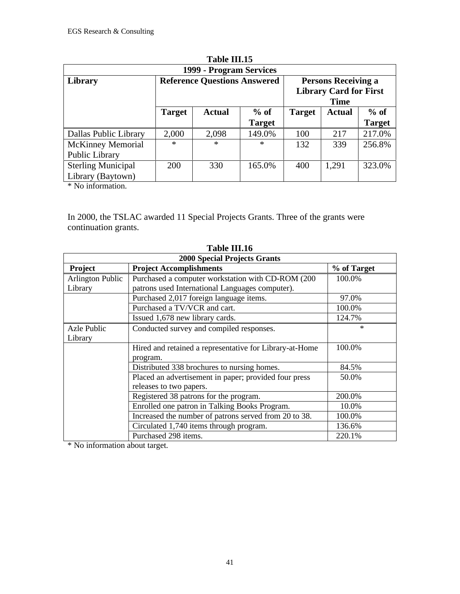|                                                |                                     | 1 adie 111.15 |                         |               |                                                                            |                         |  |
|------------------------------------------------|-------------------------------------|---------------|-------------------------|---------------|----------------------------------------------------------------------------|-------------------------|--|
|                                                | 1999 - Program Services             |               |                         |               |                                                                            |                         |  |
| Library                                        | <b>Reference Questions Answered</b> |               |                         |               | <b>Persons Receiving a</b><br><b>Library Card for First</b><br><b>Time</b> |                         |  |
|                                                | <b>Target</b>                       | <b>Actual</b> | $%$ of<br><b>Target</b> | <b>Target</b> | <b>Actual</b>                                                              | $%$ of<br><b>Target</b> |  |
| Dallas Public Library                          | 2,000                               | 2,098         | 149.0%                  | 100           | 217                                                                        | 217.0%                  |  |
| <b>McKinney Memorial</b><br>Public Library     | $\ast$                              | $\ast$        | $\ast$                  | 132           | 339                                                                        | 256.8%                  |  |
| <b>Sterling Municipal</b><br>Library (Baytown) | 200                                 | 330           | 165.0%                  | 400           | 1,291                                                                      | 323.0%                  |  |

**Table III.15**

\* No information.

In 2000, the TSLAC awarded 11 Special Projects Grants. Three of the grants were continuation grants.

|                         | <b>2000 Special Projects Grants</b>                     |             |  |  |  |  |  |
|-------------------------|---------------------------------------------------------|-------------|--|--|--|--|--|
| Project                 | <b>Project Accomplishments</b>                          | % of Target |  |  |  |  |  |
| <b>Arlington Public</b> | Purchased a computer workstation with CD-ROM (200)      | 100.0%      |  |  |  |  |  |
| Library                 | patrons used International Languages computer).         |             |  |  |  |  |  |
|                         | Purchased 2,017 foreign language items.                 | 97.0%       |  |  |  |  |  |
|                         | Purchased a TV/VCR and cart.                            | 100.0%      |  |  |  |  |  |
|                         | Issued 1,678 new library cards.                         | 124.7%      |  |  |  |  |  |
| Azle Public             | Conducted survey and compiled responses.                | $\ast$      |  |  |  |  |  |
| Library                 |                                                         |             |  |  |  |  |  |
|                         | Hired and retained a representative for Library-at-Home | 100.0%      |  |  |  |  |  |
|                         | program.                                                |             |  |  |  |  |  |
|                         | Distributed 338 brochures to nursing homes.             | 84.5%       |  |  |  |  |  |
|                         | Placed an advertisement in paper; provided four press   | 50.0%       |  |  |  |  |  |
|                         | releases to two papers.                                 |             |  |  |  |  |  |
|                         | Registered 38 patrons for the program.                  | 200.0%      |  |  |  |  |  |
|                         | Enrolled one patron in Talking Books Program.           | 10.0%       |  |  |  |  |  |
|                         | Increased the number of patrons served from 20 to 38.   | 100.0%      |  |  |  |  |  |
|                         | Circulated 1,740 items through program.                 | 136.6%      |  |  |  |  |  |
|                         | Purchased 298 items.                                    | 220.1%      |  |  |  |  |  |

**Table III.16**

\* No information about target.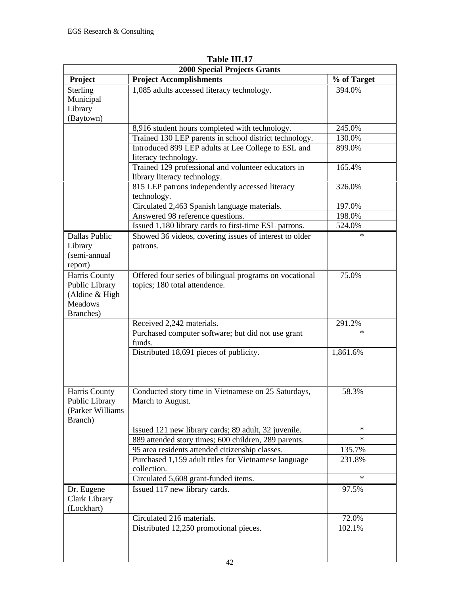| <b>Project Accomplishments</b><br>1,085 adults accessed literacy technology.                                  | % of Target<br>394.0%                                                                                                                                                                                                                                                                                                                                                                                                                                                                                                                                                                                                                                                                                                                                                                                                                                             |
|---------------------------------------------------------------------------------------------------------------|-------------------------------------------------------------------------------------------------------------------------------------------------------------------------------------------------------------------------------------------------------------------------------------------------------------------------------------------------------------------------------------------------------------------------------------------------------------------------------------------------------------------------------------------------------------------------------------------------------------------------------------------------------------------------------------------------------------------------------------------------------------------------------------------------------------------------------------------------------------------|
|                                                                                                               |                                                                                                                                                                                                                                                                                                                                                                                                                                                                                                                                                                                                                                                                                                                                                                                                                                                                   |
|                                                                                                               |                                                                                                                                                                                                                                                                                                                                                                                                                                                                                                                                                                                                                                                                                                                                                                                                                                                                   |
|                                                                                                               |                                                                                                                                                                                                                                                                                                                                                                                                                                                                                                                                                                                                                                                                                                                                                                                                                                                                   |
|                                                                                                               |                                                                                                                                                                                                                                                                                                                                                                                                                                                                                                                                                                                                                                                                                                                                                                                                                                                                   |
|                                                                                                               |                                                                                                                                                                                                                                                                                                                                                                                                                                                                                                                                                                                                                                                                                                                                                                                                                                                                   |
| 8,916 student hours completed with technology.                                                                | 245.0%                                                                                                                                                                                                                                                                                                                                                                                                                                                                                                                                                                                                                                                                                                                                                                                                                                                            |
| Trained 130 LEP parents in school district technology.<br>Introduced 899 LEP adults at Lee College to ESL and | 130.0%<br>899.0%                                                                                                                                                                                                                                                                                                                                                                                                                                                                                                                                                                                                                                                                                                                                                                                                                                                  |
|                                                                                                               |                                                                                                                                                                                                                                                                                                                                                                                                                                                                                                                                                                                                                                                                                                                                                                                                                                                                   |
|                                                                                                               | 165.4%                                                                                                                                                                                                                                                                                                                                                                                                                                                                                                                                                                                                                                                                                                                                                                                                                                                            |
|                                                                                                               |                                                                                                                                                                                                                                                                                                                                                                                                                                                                                                                                                                                                                                                                                                                                                                                                                                                                   |
|                                                                                                               | 326.0%                                                                                                                                                                                                                                                                                                                                                                                                                                                                                                                                                                                                                                                                                                                                                                                                                                                            |
|                                                                                                               |                                                                                                                                                                                                                                                                                                                                                                                                                                                                                                                                                                                                                                                                                                                                                                                                                                                                   |
|                                                                                                               | 197.0%                                                                                                                                                                                                                                                                                                                                                                                                                                                                                                                                                                                                                                                                                                                                                                                                                                                            |
| Answered 98 reference questions.                                                                              | 198.0%                                                                                                                                                                                                                                                                                                                                                                                                                                                                                                                                                                                                                                                                                                                                                                                                                                                            |
| Issued 1,180 library cards to first-time ESL patrons.                                                         | 524.0%                                                                                                                                                                                                                                                                                                                                                                                                                                                                                                                                                                                                                                                                                                                                                                                                                                                            |
| Showed 36 videos, covering issues of interest to older                                                        | $\ast$                                                                                                                                                                                                                                                                                                                                                                                                                                                                                                                                                                                                                                                                                                                                                                                                                                                            |
| patrons.                                                                                                      |                                                                                                                                                                                                                                                                                                                                                                                                                                                                                                                                                                                                                                                                                                                                                                                                                                                                   |
|                                                                                                               |                                                                                                                                                                                                                                                                                                                                                                                                                                                                                                                                                                                                                                                                                                                                                                                                                                                                   |
|                                                                                                               |                                                                                                                                                                                                                                                                                                                                                                                                                                                                                                                                                                                                                                                                                                                                                                                                                                                                   |
|                                                                                                               | 75.0%                                                                                                                                                                                                                                                                                                                                                                                                                                                                                                                                                                                                                                                                                                                                                                                                                                                             |
|                                                                                                               |                                                                                                                                                                                                                                                                                                                                                                                                                                                                                                                                                                                                                                                                                                                                                                                                                                                                   |
|                                                                                                               |                                                                                                                                                                                                                                                                                                                                                                                                                                                                                                                                                                                                                                                                                                                                                                                                                                                                   |
|                                                                                                               |                                                                                                                                                                                                                                                                                                                                                                                                                                                                                                                                                                                                                                                                                                                                                                                                                                                                   |
|                                                                                                               | 291.2%                                                                                                                                                                                                                                                                                                                                                                                                                                                                                                                                                                                                                                                                                                                                                                                                                                                            |
|                                                                                                               | $\ast$                                                                                                                                                                                                                                                                                                                                                                                                                                                                                                                                                                                                                                                                                                                                                                                                                                                            |
|                                                                                                               |                                                                                                                                                                                                                                                                                                                                                                                                                                                                                                                                                                                                                                                                                                                                                                                                                                                                   |
|                                                                                                               | 1,861.6%                                                                                                                                                                                                                                                                                                                                                                                                                                                                                                                                                                                                                                                                                                                                                                                                                                                          |
|                                                                                                               |                                                                                                                                                                                                                                                                                                                                                                                                                                                                                                                                                                                                                                                                                                                                                                                                                                                                   |
|                                                                                                               |                                                                                                                                                                                                                                                                                                                                                                                                                                                                                                                                                                                                                                                                                                                                                                                                                                                                   |
|                                                                                                               |                                                                                                                                                                                                                                                                                                                                                                                                                                                                                                                                                                                                                                                                                                                                                                                                                                                                   |
| Conducted story time in Vietnamese on 25 Saturdays,                                                           | 58.3%                                                                                                                                                                                                                                                                                                                                                                                                                                                                                                                                                                                                                                                                                                                                                                                                                                                             |
| March to August.                                                                                              |                                                                                                                                                                                                                                                                                                                                                                                                                                                                                                                                                                                                                                                                                                                                                                                                                                                                   |
|                                                                                                               |                                                                                                                                                                                                                                                                                                                                                                                                                                                                                                                                                                                                                                                                                                                                                                                                                                                                   |
|                                                                                                               |                                                                                                                                                                                                                                                                                                                                                                                                                                                                                                                                                                                                                                                                                                                                                                                                                                                                   |
|                                                                                                               | $\ast$<br>$\ast$                                                                                                                                                                                                                                                                                                                                                                                                                                                                                                                                                                                                                                                                                                                                                                                                                                                  |
|                                                                                                               |                                                                                                                                                                                                                                                                                                                                                                                                                                                                                                                                                                                                                                                                                                                                                                                                                                                                   |
|                                                                                                               | 135.7%                                                                                                                                                                                                                                                                                                                                                                                                                                                                                                                                                                                                                                                                                                                                                                                                                                                            |
|                                                                                                               | 231.8%                                                                                                                                                                                                                                                                                                                                                                                                                                                                                                                                                                                                                                                                                                                                                                                                                                                            |
|                                                                                                               | $\ast$                                                                                                                                                                                                                                                                                                                                                                                                                                                                                                                                                                                                                                                                                                                                                                                                                                                            |
|                                                                                                               | 97.5%                                                                                                                                                                                                                                                                                                                                                                                                                                                                                                                                                                                                                                                                                                                                                                                                                                                             |
|                                                                                                               |                                                                                                                                                                                                                                                                                                                                                                                                                                                                                                                                                                                                                                                                                                                                                                                                                                                                   |
|                                                                                                               |                                                                                                                                                                                                                                                                                                                                                                                                                                                                                                                                                                                                                                                                                                                                                                                                                                                                   |
|                                                                                                               | 72.0%                                                                                                                                                                                                                                                                                                                                                                                                                                                                                                                                                                                                                                                                                                                                                                                                                                                             |
|                                                                                                               | 102.1%                                                                                                                                                                                                                                                                                                                                                                                                                                                                                                                                                                                                                                                                                                                                                                                                                                                            |
|                                                                                                               |                                                                                                                                                                                                                                                                                                                                                                                                                                                                                                                                                                                                                                                                                                                                                                                                                                                                   |
|                                                                                                               |                                                                                                                                                                                                                                                                                                                                                                                                                                                                                                                                                                                                                                                                                                                                                                                                                                                                   |
|                                                                                                               |                                                                                                                                                                                                                                                                                                                                                                                                                                                                                                                                                                                                                                                                                                                                                                                                                                                                   |
|                                                                                                               | literacy technology.<br>Trained 129 professional and volunteer educators in<br>library literacy technology.<br>815 LEP patrons independently accessed literacy<br>technology.<br>Circulated 2,463 Spanish language materials.<br>Offered four series of bilingual programs on vocational<br>topics; 180 total attendence.<br>Received 2,242 materials.<br>Purchased computer software; but did not use grant<br>funds.<br>Distributed 18,691 pieces of publicity.<br>Issued 121 new library cards; 89 adult, 32 juvenile.<br>889 attended story times; 600 children, 289 parents.<br>95 area residents attended citizenship classes.<br>Purchased 1,159 adult titles for Vietnamese language<br>collection.<br>Circulated 5,608 grant-funded items.<br>Issued 117 new library cards.<br>Circulated 216 materials.<br>Distributed 12,250 promotional pieces.<br>42 |

**Table III.17**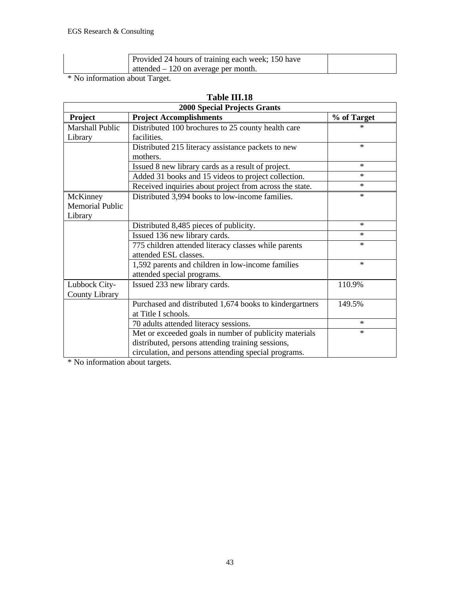| Provided 24 hours of training each week; 150 have<br>attended $-120$ on average per month. |  |
|--------------------------------------------------------------------------------------------|--|
|--------------------------------------------------------------------------------------------|--|

\* No information about Target.

|                        | <b>2000 Special Projects Grants</b>                     |             |
|------------------------|---------------------------------------------------------|-------------|
| <b>Project</b>         | <b>Project Accomplishments</b>                          | % of Target |
| <b>Marshall Public</b> | Distributed 100 brochures to 25 county health care      | *           |
| Library                | facilities.                                             |             |
|                        | Distributed 215 literacy assistance packets to new      | $*$         |
|                        | mothers.                                                |             |
|                        | Issued 8 new library cards as a result of project.      | $\ast$      |
|                        | Added 31 books and 15 videos to project collection.     | $*$         |
|                        | Received inquiries about project from across the state. | $*$         |
| McKinney               | Distributed 3,994 books to low-income families.         | $\ast$      |
| <b>Memorial Public</b> |                                                         |             |
| Library                |                                                         |             |
|                        | Distributed 8,485 pieces of publicity.                  | $*$         |
|                        | Issued 136 new library cards.                           | $*$         |
|                        | 775 children attended literacy classes while parents    | $\ast$      |
|                        | attended ESL classes.                                   |             |
|                        | 1,592 parents and children in low-income families       | $\ast$      |
|                        | attended special programs.                              |             |
| Lubbock City-          | Issued 233 new library cards.                           | 110.9%      |
| County Library         |                                                         |             |
|                        | Purchased and distributed 1,674 books to kindergartners | 149.5%      |
|                        | at Title I schools.                                     |             |
|                        | 70 adults attended literacy sessions.                   | $\ast$      |
|                        | Met or exceeded goals in number of publicity materials  | $\ast$      |
|                        | distributed, persons attending training sessions,       |             |
|                        | circulation, and persons attending special programs.    |             |

## **Table III.18**

\* No information about targets.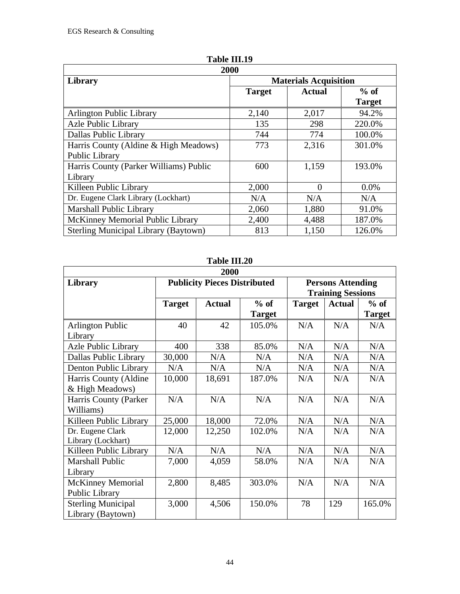| 2000                                        |                              |               |               |  |  |  |  |
|---------------------------------------------|------------------------------|---------------|---------------|--|--|--|--|
| Library                                     | <b>Materials Acquisition</b> |               |               |  |  |  |  |
|                                             | <b>Target</b>                | <b>Actual</b> | $%$ of        |  |  |  |  |
|                                             |                              |               | <b>Target</b> |  |  |  |  |
| <b>Arlington Public Library</b>             | 2,140                        | 2,017         | 94.2%         |  |  |  |  |
| Azle Public Library                         | 135                          | 298           | 220.0%        |  |  |  |  |
| Dallas Public Library                       | 744                          | 774           | 100.0%        |  |  |  |  |
| Harris County (Aldine & High Meadows)       | 773                          | 2,316         | 301.0%        |  |  |  |  |
| Public Library                              |                              |               |               |  |  |  |  |
| Harris County (Parker Williams) Public      | 600                          | 1,159         | 193.0%        |  |  |  |  |
| Library                                     |                              |               |               |  |  |  |  |
| Killeen Public Library                      | 2,000                        | 0             | 0.0%          |  |  |  |  |
| Dr. Eugene Clark Library (Lockhart)         | N/A                          | N/A           | N/A           |  |  |  |  |
| <b>Marshall Public Library</b>              | 2,060                        | 1,880         | 91.0%         |  |  |  |  |
| McKinney Memorial Public Library            | 2,400                        | 4,488         | 187.0%        |  |  |  |  |
| <b>Sterling Municipal Library (Baytown)</b> | 813                          | 1,150         | 126.0%        |  |  |  |  |

| 2000                                           |                                     |               |                         |               |                                                      |                         |
|------------------------------------------------|-------------------------------------|---------------|-------------------------|---------------|------------------------------------------------------|-------------------------|
| <b>Library</b>                                 | <b>Publicity Pieces Distributed</b> |               |                         |               | <b>Persons Attending</b><br><b>Training Sessions</b> |                         |
|                                                | <b>Target</b>                       | <b>Actual</b> | $%$ of<br><b>Target</b> | <b>Target</b> | <b>Actual</b>                                        | $%$ of<br><b>Target</b> |
| <b>Arlington Public</b><br>Library             | 40                                  | 42            | 105.0%                  | N/A           | N/A                                                  | N/A                     |
| Azle Public Library                            | 400                                 | 338           | 85.0%                   | N/A           | N/A                                                  | N/A                     |
| Dallas Public Library                          | 30,000                              | N/A           | N/A                     | N/A           | N/A                                                  | N/A                     |
| Denton Public Library                          | N/A                                 | N/A           | N/A                     | N/A           | N/A                                                  | N/A                     |
| Harris County (Aldine<br>& High Meadows)       | 10,000                              | 18,691        | 187.0%                  | N/A           | N/A                                                  | N/A                     |
| Harris County (Parker<br>Williams)             | N/A                                 | N/A           | N/A                     | N/A           | N/A                                                  | N/A                     |
| Killeen Public Library                         | 25,000                              | 18,000        | 72.0%                   | N/A           | N/A                                                  | N/A                     |
| Dr. Eugene Clark<br>Library (Lockhart)         | 12,000                              | 12,250        | 102.0%                  | N/A           | N/A                                                  | N/A                     |
| Killeen Public Library                         | N/A                                 | N/A           | N/A                     | N/A           | N/A                                                  | N/A                     |
| <b>Marshall Public</b><br>Library              | 7,000                               | 4,059         | 58.0%                   | N/A           | N/A                                                  | N/A                     |
| <b>McKinney Memorial</b><br>Public Library     | 2,800                               | 8,485         | 303.0%                  | N/A           | N/A                                                  | N/A                     |
| <b>Sterling Municipal</b><br>Library (Baytown) | 3,000                               | 4,506         | 150.0%                  | 78            | 129                                                  | 165.0%                  |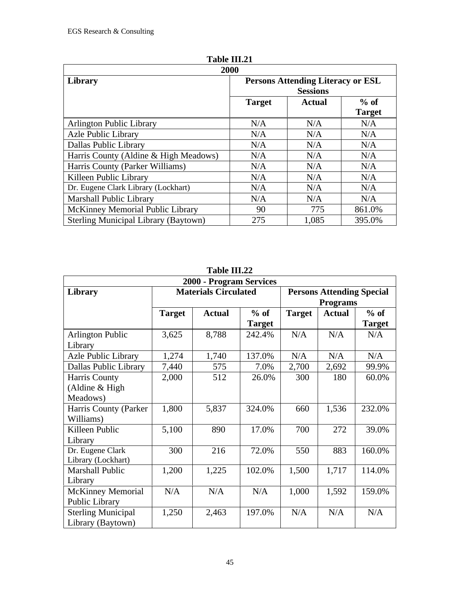| 2000                                  |                                          |               |               |  |  |
|---------------------------------------|------------------------------------------|---------------|---------------|--|--|
| Library                               | <b>Persons Attending Literacy or ESL</b> |               |               |  |  |
|                                       | <b>Sessions</b>                          |               |               |  |  |
|                                       | <b>Target</b>                            | <b>Actual</b> | $%$ of        |  |  |
|                                       |                                          |               | <b>Target</b> |  |  |
| <b>Arlington Public Library</b>       | N/A                                      | N/A           | N/A           |  |  |
| <b>Azle Public Library</b>            | N/A                                      | N/A           | N/A           |  |  |
| Dallas Public Library                 | N/A                                      | N/A           | N/A           |  |  |
| Harris County (Aldine & High Meadows) | N/A                                      | N/A           | N/A           |  |  |
| Harris County (Parker Williams)       | N/A                                      | N/A           | N/A           |  |  |
| Killeen Public Library                | N/A                                      | N/A           | N/A           |  |  |
| Dr. Eugene Clark Library (Lockhart)   | N/A                                      | N/A           | N/A           |  |  |
| <b>Marshall Public Library</b>        | N/A                                      | N/A           | N/A           |  |  |
| McKinney Memorial Public Library      | 90                                       | 775           | 861.0%        |  |  |
| Sterling Municipal Library (Baytown)  | 275                                      | 1,085         | 395.0%        |  |  |

**Table III.21**

**Table III.22**

| 2000 - Program Services                        |               |                             |                         |                                                     |               |                         |  |
|------------------------------------------------|---------------|-----------------------------|-------------------------|-----------------------------------------------------|---------------|-------------------------|--|
| <b>Library</b>                                 |               | <b>Materials Circulated</b> |                         | <b>Persons Attending Special</b><br><b>Programs</b> |               |                         |  |
|                                                | <b>Target</b> | <b>Actual</b>               | $%$ of<br><b>Target</b> | <b>Target</b>                                       | <b>Actual</b> | $%$ of<br><b>Target</b> |  |
| <b>Arlington Public</b><br>Library             | 3,625         | 8,788                       | 242.4%                  | N/A                                                 | N/A           | N/A                     |  |
| Azle Public Library                            | 1,274         | 1,740                       | 137.0%                  | N/A                                                 | N/A           | N/A                     |  |
| Dallas Public Library                          | 7,440         | 575                         | 7.0%                    | 2,700                                               | 2,692         | 99.9%                   |  |
| Harris County                                  | 2,000         | 512                         | 26.0%                   | 300                                                 | 180           | 60.0%                   |  |
| (Aldine $& High$                               |               |                             |                         |                                                     |               |                         |  |
| Meadows)                                       |               |                             |                         |                                                     |               |                         |  |
| Harris County (Parker                          | 1,800         | 5,837                       | 324.0%                  | 660                                                 | 1,536         | 232.0%                  |  |
| Williams)                                      |               |                             |                         |                                                     |               |                         |  |
| Killeen Public                                 | 5,100         | 890                         | 17.0%                   | 700                                                 | 272           | 39.0%                   |  |
| Library                                        |               |                             |                         |                                                     |               |                         |  |
| Dr. Eugene Clark<br>Library (Lockhart)         | 300           | 216                         | 72.0%                   | 550                                                 | 883           | 160.0%                  |  |
| <b>Marshall Public</b><br>Library              | 1,200         | 1,225                       | 102.0%                  | 1,500                                               | 1,717         | 114.0%                  |  |
| <b>McKinney Memorial</b>                       | N/A           | N/A                         | N/A                     | 1,000                                               | 1,592         | 159.0%                  |  |
| Public Library                                 |               |                             |                         |                                                     |               |                         |  |
| <b>Sterling Municipal</b><br>Library (Baytown) | 1,250         | 2,463                       | 197.0%                  | N/A                                                 | N/A           | N/A                     |  |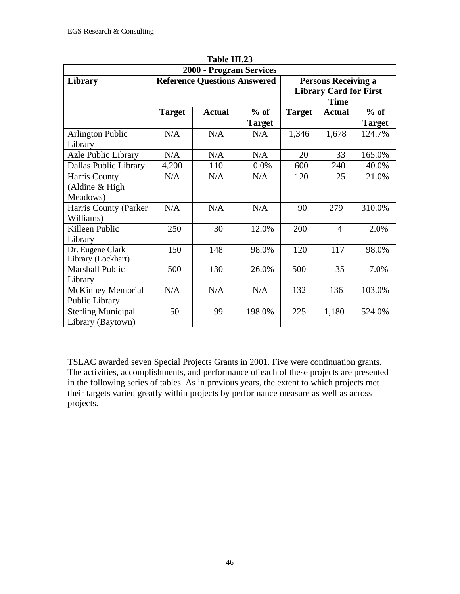| 1 avit 111, <i>43</i>      |                                     |               |               |                               |                |               |  |
|----------------------------|-------------------------------------|---------------|---------------|-------------------------------|----------------|---------------|--|
| 2000 - Program Services    |                                     |               |               |                               |                |               |  |
| Library                    | <b>Reference Questions Answered</b> |               |               | <b>Persons Receiving a</b>    |                |               |  |
|                            |                                     |               |               | <b>Library Card for First</b> |                |               |  |
|                            |                                     |               |               |                               | <b>Time</b>    |               |  |
|                            | <b>Target</b>                       | <b>Actual</b> | $%$ of        | <b>Target</b>                 | <b>Actual</b>  | $%$ of        |  |
|                            |                                     |               | <b>Target</b> |                               |                | <b>Target</b> |  |
| <b>Arlington Public</b>    | N/A                                 | N/A           | N/A           | 1,346                         | 1,678          | 124.7%        |  |
| Library                    |                                     |               |               |                               |                |               |  |
| <b>Azle Public Library</b> | N/A                                 | N/A           | N/A           | 20                            | 33             | 165.0%        |  |
| Dallas Public Library      | 4,200                               | 110           | 0.0%          | 600                           | 240            | 40.0%         |  |
| Harris County              | N/A                                 | N/A           | N/A           | 120                           | 25             | 21.0%         |  |
| (Aldine $& High$           |                                     |               |               |                               |                |               |  |
| Meadows)                   |                                     |               |               |                               |                |               |  |
| Harris County (Parker      | N/A                                 | N/A           | N/A           | 90                            | 279            | 310.0%        |  |
| Williams)                  |                                     |               |               |                               |                |               |  |
| Killeen Public             | 250                                 | 30            | 12.0%         | 200                           | $\overline{4}$ | 2.0%          |  |
| Library                    |                                     |               |               |                               |                |               |  |
| Dr. Eugene Clark           | 150                                 | 148           | 98.0%         | 120                           | 117            | 98.0%         |  |
| Library (Lockhart)         |                                     |               |               |                               |                |               |  |
| <b>Marshall Public</b>     | 500                                 | 130           | 26.0%         | 500                           | 35             | 7.0%          |  |
| Library                    |                                     |               |               |                               |                |               |  |
| <b>McKinney Memorial</b>   | N/A                                 | N/A           | N/A           | 132                           | 136            | 103.0%        |  |
| Public Library             |                                     |               |               |                               |                |               |  |
| <b>Sterling Municipal</b>  | 50                                  | 99            | 198.0%        | 225                           | 1,180          | 524.0%        |  |
| Library (Baytown)          |                                     |               |               |                               |                |               |  |

**Table III.23**

TSLAC awarded seven Special Projects Grants in 2001. Five were continuation grants. The activities, accomplishments, and performance of each of these projects are presented in the following series of tables. As in previous years, the extent to which projects met their targets varied greatly within projects by performance measure as well as across projects.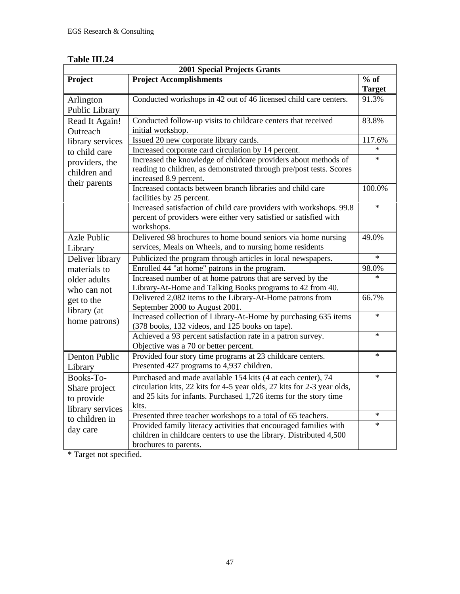| Table III.24 |
|--------------|
|--------------|

| <b>2001 Special Projects Grants</b> |                                                                                                                                                        |               |  |  |
|-------------------------------------|--------------------------------------------------------------------------------------------------------------------------------------------------------|---------------|--|--|
| Project                             | <b>Project Accomplishments</b>                                                                                                                         | $%$ of        |  |  |
|                                     |                                                                                                                                                        | <b>Target</b> |  |  |
| Arlington<br>Public Library         | Conducted workshops in 42 out of 46 licensed child care centers.                                                                                       | 91.3%         |  |  |
| Read It Again!<br>Outreach          | Conducted follow-up visits to childcare centers that received<br>initial workshop.                                                                     | 83.8%         |  |  |
| library services                    | Issued 20 new corporate library cards.                                                                                                                 | 117.6%        |  |  |
| to child care                       | Increased corporate card circulation by 14 percent.                                                                                                    | $\ast$        |  |  |
| providers, the                      | Increased the knowledge of childcare providers about methods of                                                                                        | $\ast$        |  |  |
| children and<br>their parents       | reading to children, as demonstrated through pre/post tests. Scores<br>increased 8.9 percent.                                                          |               |  |  |
|                                     | Increased contacts between branch libraries and child care<br>facilities by 25 percent.                                                                | 100.0%        |  |  |
|                                     | Increased satisfaction of child care providers with workshops. 99.8<br>percent of providers were either very satisfied or satisfied with<br>workshops. | $\ast$        |  |  |
| <b>Azle Public</b>                  | Delivered 98 brochures to home bound seniors via home nursing                                                                                          | 49.0%         |  |  |
| Library                             | services, Meals on Wheels, and to nursing home residents                                                                                               |               |  |  |
| Deliver library                     | Publicized the program through articles in local newspapers.                                                                                           | $\ast$        |  |  |
| materials to                        | Enrolled 44 "at home" patrons in the program.                                                                                                          | 98.0%         |  |  |
| older adults<br>who can not         | Increased number of at home patrons that are served by the<br>Library-At-Home and Talking Books programs to 42 from 40.                                | $\ast$        |  |  |
| get to the                          | Delivered 2,082 items to the Library-At-Home patrons from                                                                                              | 66.7%         |  |  |
| library (at                         | September 2000 to August 2001.<br>Increased collection of Library-At-Home by purchasing 635 items                                                      | $\ast$        |  |  |
| home patrons)                       | (378 books, 132 videos, and 125 books on tape).                                                                                                        |               |  |  |
|                                     | Achieved a 93 percent satisfaction rate in a patron survey.<br>Objective was a 70 or better percent.                                                   | $\ast$        |  |  |
| Denton Public                       | Provided four story time programs at 23 childcare centers.                                                                                             | $\ast$        |  |  |
| Library                             | Presented 427 programs to 4,937 children.                                                                                                              |               |  |  |
| Books-To-                           | Purchased and made available 154 kits (4 at each center), 74                                                                                           | $\ast$        |  |  |
| Share project                       | circulation kits, 22 kits for 4-5 year olds, 27 kits for 2-3 year olds,                                                                                |               |  |  |
| to provide                          | and 25 kits for infants. Purchased 1,726 items for the story time                                                                                      |               |  |  |
| library services                    | kits.                                                                                                                                                  | $\ast$        |  |  |
| to children in                      | Presented three teacher workshops to a total of 65 teachers.                                                                                           | $\ast$        |  |  |
| day care                            | Provided family literacy activities that encouraged families with<br>children in childcare centers to use the library. Distributed 4,500               |               |  |  |
|                                     | brochures to parents.                                                                                                                                  |               |  |  |

\* Target not specified.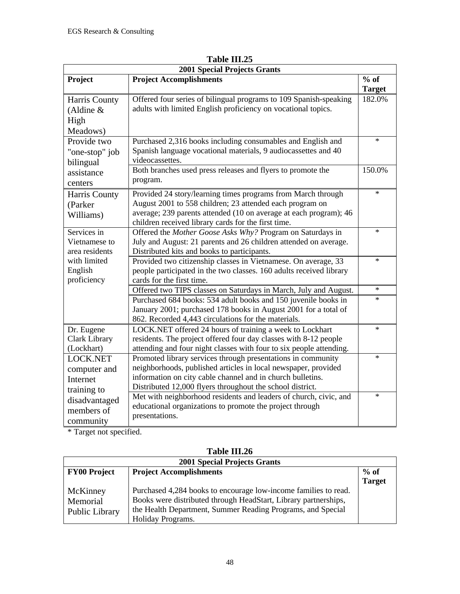| $%$ of<br>Project<br><b>Project Accomplishments</b><br><b>Target</b><br>Offered four series of bilingual programs to 109 Spanish-speaking<br>182.0%<br>Harris County<br>adults with limited English proficiency on vocational topics.<br>(Aldine $&$<br>High<br>Meadows)<br>Purchased 2,316 books including consumables and English and<br>$\ast$<br>Provide two<br>Spanish language vocational materials, 9 audiocassettes and 40<br>"one-stop" job<br>videocassettes.<br>bilingual<br>Both branches used press releases and flyers to promote the<br>150.0%<br>assistance<br>program.<br>centers<br>$\ast$<br>Provided 24 story/learning times programs from March through<br>Harris County<br>August 2001 to 558 children; 23 attended each program on<br>(Parker<br>average; 239 parents attended (10 on average at each program); 46<br>Williams)<br>children received library cards for the first time.<br>Services in<br>Offered the Mother Goose Asks Why? Program on Saturdays in<br>$\ast$<br>July and August: 21 parents and 26 children attended on average.<br>Vietnamese to<br>area residents<br>Distributed kits and books to participants.<br>with limited<br>Provided two citizenship classes in Vietnamese. On average, 33<br>$\ast$<br>English<br>people participated in the two classes. 160 adults received library<br>proficiency<br>cards for the first time.<br>Offered two TIPS classes on Saturdays in March, July and August.<br>$\ast$<br>Purchased 684 books: 534 adult books and 150 juvenile books in<br>$\ast$<br>January 2001; purchased 178 books in August 2001 for a total of<br>862. Recorded 4,443 circulations for the materials.<br>Dr. Eugene<br>LOCK.NET offered 24 hours of training a week to Lockhart<br>$\ast$<br>residents. The project offered four day classes with 8-12 people<br><b>Clark Library</b><br>attending and four night classes with four to six people attending.<br>(Lockhart)<br>$\ast$<br><b>LOCK.NET</b><br>Promoted library services through presentations in community<br>neighborhoods, published articles in local newspaper, provided<br>computer and | <b>2001 Special Projects Grants</b> |                                                            |  |  |  |
|------------------------------------------------------------------------------------------------------------------------------------------------------------------------------------------------------------------------------------------------------------------------------------------------------------------------------------------------------------------------------------------------------------------------------------------------------------------------------------------------------------------------------------------------------------------------------------------------------------------------------------------------------------------------------------------------------------------------------------------------------------------------------------------------------------------------------------------------------------------------------------------------------------------------------------------------------------------------------------------------------------------------------------------------------------------------------------------------------------------------------------------------------------------------------------------------------------------------------------------------------------------------------------------------------------------------------------------------------------------------------------------------------------------------------------------------------------------------------------------------------------------------------------------------------------------------------------------------------------------------------------------------------------------------------------------------------------------------------------------------------------------------------------------------------------------------------------------------------------------------------------------------------------------------------------------------------------------------------------------------------------------------------------------------------------------------------------------------------------------------------|-------------------------------------|------------------------------------------------------------|--|--|--|
|                                                                                                                                                                                                                                                                                                                                                                                                                                                                                                                                                                                                                                                                                                                                                                                                                                                                                                                                                                                                                                                                                                                                                                                                                                                                                                                                                                                                                                                                                                                                                                                                                                                                                                                                                                                                                                                                                                                                                                                                                                                                                                                              |                                     |                                                            |  |  |  |
|                                                                                                                                                                                                                                                                                                                                                                                                                                                                                                                                                                                                                                                                                                                                                                                                                                                                                                                                                                                                                                                                                                                                                                                                                                                                                                                                                                                                                                                                                                                                                                                                                                                                                                                                                                                                                                                                                                                                                                                                                                                                                                                              |                                     |                                                            |  |  |  |
|                                                                                                                                                                                                                                                                                                                                                                                                                                                                                                                                                                                                                                                                                                                                                                                                                                                                                                                                                                                                                                                                                                                                                                                                                                                                                                                                                                                                                                                                                                                                                                                                                                                                                                                                                                                                                                                                                                                                                                                                                                                                                                                              |                                     |                                                            |  |  |  |
|                                                                                                                                                                                                                                                                                                                                                                                                                                                                                                                                                                                                                                                                                                                                                                                                                                                                                                                                                                                                                                                                                                                                                                                                                                                                                                                                                                                                                                                                                                                                                                                                                                                                                                                                                                                                                                                                                                                                                                                                                                                                                                                              |                                     |                                                            |  |  |  |
|                                                                                                                                                                                                                                                                                                                                                                                                                                                                                                                                                                                                                                                                                                                                                                                                                                                                                                                                                                                                                                                                                                                                                                                                                                                                                                                                                                                                                                                                                                                                                                                                                                                                                                                                                                                                                                                                                                                                                                                                                                                                                                                              |                                     |                                                            |  |  |  |
|                                                                                                                                                                                                                                                                                                                                                                                                                                                                                                                                                                                                                                                                                                                                                                                                                                                                                                                                                                                                                                                                                                                                                                                                                                                                                                                                                                                                                                                                                                                                                                                                                                                                                                                                                                                                                                                                                                                                                                                                                                                                                                                              |                                     |                                                            |  |  |  |
|                                                                                                                                                                                                                                                                                                                                                                                                                                                                                                                                                                                                                                                                                                                                                                                                                                                                                                                                                                                                                                                                                                                                                                                                                                                                                                                                                                                                                                                                                                                                                                                                                                                                                                                                                                                                                                                                                                                                                                                                                                                                                                                              |                                     |                                                            |  |  |  |
|                                                                                                                                                                                                                                                                                                                                                                                                                                                                                                                                                                                                                                                                                                                                                                                                                                                                                                                                                                                                                                                                                                                                                                                                                                                                                                                                                                                                                                                                                                                                                                                                                                                                                                                                                                                                                                                                                                                                                                                                                                                                                                                              |                                     |                                                            |  |  |  |
|                                                                                                                                                                                                                                                                                                                                                                                                                                                                                                                                                                                                                                                                                                                                                                                                                                                                                                                                                                                                                                                                                                                                                                                                                                                                                                                                                                                                                                                                                                                                                                                                                                                                                                                                                                                                                                                                                                                                                                                                                                                                                                                              |                                     |                                                            |  |  |  |
|                                                                                                                                                                                                                                                                                                                                                                                                                                                                                                                                                                                                                                                                                                                                                                                                                                                                                                                                                                                                                                                                                                                                                                                                                                                                                                                                                                                                                                                                                                                                                                                                                                                                                                                                                                                                                                                                                                                                                                                                                                                                                                                              |                                     |                                                            |  |  |  |
|                                                                                                                                                                                                                                                                                                                                                                                                                                                                                                                                                                                                                                                                                                                                                                                                                                                                                                                                                                                                                                                                                                                                                                                                                                                                                                                                                                                                                                                                                                                                                                                                                                                                                                                                                                                                                                                                                                                                                                                                                                                                                                                              |                                     |                                                            |  |  |  |
|                                                                                                                                                                                                                                                                                                                                                                                                                                                                                                                                                                                                                                                                                                                                                                                                                                                                                                                                                                                                                                                                                                                                                                                                                                                                                                                                                                                                                                                                                                                                                                                                                                                                                                                                                                                                                                                                                                                                                                                                                                                                                                                              |                                     |                                                            |  |  |  |
|                                                                                                                                                                                                                                                                                                                                                                                                                                                                                                                                                                                                                                                                                                                                                                                                                                                                                                                                                                                                                                                                                                                                                                                                                                                                                                                                                                                                                                                                                                                                                                                                                                                                                                                                                                                                                                                                                                                                                                                                                                                                                                                              |                                     |                                                            |  |  |  |
|                                                                                                                                                                                                                                                                                                                                                                                                                                                                                                                                                                                                                                                                                                                                                                                                                                                                                                                                                                                                                                                                                                                                                                                                                                                                                                                                                                                                                                                                                                                                                                                                                                                                                                                                                                                                                                                                                                                                                                                                                                                                                                                              |                                     |                                                            |  |  |  |
|                                                                                                                                                                                                                                                                                                                                                                                                                                                                                                                                                                                                                                                                                                                                                                                                                                                                                                                                                                                                                                                                                                                                                                                                                                                                                                                                                                                                                                                                                                                                                                                                                                                                                                                                                                                                                                                                                                                                                                                                                                                                                                                              |                                     |                                                            |  |  |  |
|                                                                                                                                                                                                                                                                                                                                                                                                                                                                                                                                                                                                                                                                                                                                                                                                                                                                                                                                                                                                                                                                                                                                                                                                                                                                                                                                                                                                                                                                                                                                                                                                                                                                                                                                                                                                                                                                                                                                                                                                                                                                                                                              |                                     |                                                            |  |  |  |
|                                                                                                                                                                                                                                                                                                                                                                                                                                                                                                                                                                                                                                                                                                                                                                                                                                                                                                                                                                                                                                                                                                                                                                                                                                                                                                                                                                                                                                                                                                                                                                                                                                                                                                                                                                                                                                                                                                                                                                                                                                                                                                                              |                                     |                                                            |  |  |  |
|                                                                                                                                                                                                                                                                                                                                                                                                                                                                                                                                                                                                                                                                                                                                                                                                                                                                                                                                                                                                                                                                                                                                                                                                                                                                                                                                                                                                                                                                                                                                                                                                                                                                                                                                                                                                                                                                                                                                                                                                                                                                                                                              |                                     |                                                            |  |  |  |
|                                                                                                                                                                                                                                                                                                                                                                                                                                                                                                                                                                                                                                                                                                                                                                                                                                                                                                                                                                                                                                                                                                                                                                                                                                                                                                                                                                                                                                                                                                                                                                                                                                                                                                                                                                                                                                                                                                                                                                                                                                                                                                                              |                                     |                                                            |  |  |  |
|                                                                                                                                                                                                                                                                                                                                                                                                                                                                                                                                                                                                                                                                                                                                                                                                                                                                                                                                                                                                                                                                                                                                                                                                                                                                                                                                                                                                                                                                                                                                                                                                                                                                                                                                                                                                                                                                                                                                                                                                                                                                                                                              |                                     |                                                            |  |  |  |
|                                                                                                                                                                                                                                                                                                                                                                                                                                                                                                                                                                                                                                                                                                                                                                                                                                                                                                                                                                                                                                                                                                                                                                                                                                                                                                                                                                                                                                                                                                                                                                                                                                                                                                                                                                                                                                                                                                                                                                                                                                                                                                                              |                                     |                                                            |  |  |  |
|                                                                                                                                                                                                                                                                                                                                                                                                                                                                                                                                                                                                                                                                                                                                                                                                                                                                                                                                                                                                                                                                                                                                                                                                                                                                                                                                                                                                                                                                                                                                                                                                                                                                                                                                                                                                                                                                                                                                                                                                                                                                                                                              |                                     |                                                            |  |  |  |
|                                                                                                                                                                                                                                                                                                                                                                                                                                                                                                                                                                                                                                                                                                                                                                                                                                                                                                                                                                                                                                                                                                                                                                                                                                                                                                                                                                                                                                                                                                                                                                                                                                                                                                                                                                                                                                                                                                                                                                                                                                                                                                                              |                                     |                                                            |  |  |  |
|                                                                                                                                                                                                                                                                                                                                                                                                                                                                                                                                                                                                                                                                                                                                                                                                                                                                                                                                                                                                                                                                                                                                                                                                                                                                                                                                                                                                                                                                                                                                                                                                                                                                                                                                                                                                                                                                                                                                                                                                                                                                                                                              |                                     |                                                            |  |  |  |
|                                                                                                                                                                                                                                                                                                                                                                                                                                                                                                                                                                                                                                                                                                                                                                                                                                                                                                                                                                                                                                                                                                                                                                                                                                                                                                                                                                                                                                                                                                                                                                                                                                                                                                                                                                                                                                                                                                                                                                                                                                                                                                                              |                                     |                                                            |  |  |  |
|                                                                                                                                                                                                                                                                                                                                                                                                                                                                                                                                                                                                                                                                                                                                                                                                                                                                                                                                                                                                                                                                                                                                                                                                                                                                                                                                                                                                                                                                                                                                                                                                                                                                                                                                                                                                                                                                                                                                                                                                                                                                                                                              |                                     |                                                            |  |  |  |
|                                                                                                                                                                                                                                                                                                                                                                                                                                                                                                                                                                                                                                                                                                                                                                                                                                                                                                                                                                                                                                                                                                                                                                                                                                                                                                                                                                                                                                                                                                                                                                                                                                                                                                                                                                                                                                                                                                                                                                                                                                                                                                                              |                                     |                                                            |  |  |  |
|                                                                                                                                                                                                                                                                                                                                                                                                                                                                                                                                                                                                                                                                                                                                                                                                                                                                                                                                                                                                                                                                                                                                                                                                                                                                                                                                                                                                                                                                                                                                                                                                                                                                                                                                                                                                                                                                                                                                                                                                                                                                                                                              |                                     |                                                            |  |  |  |
|                                                                                                                                                                                                                                                                                                                                                                                                                                                                                                                                                                                                                                                                                                                                                                                                                                                                                                                                                                                                                                                                                                                                                                                                                                                                                                                                                                                                                                                                                                                                                                                                                                                                                                                                                                                                                                                                                                                                                                                                                                                                                                                              |                                     |                                                            |  |  |  |
|                                                                                                                                                                                                                                                                                                                                                                                                                                                                                                                                                                                                                                                                                                                                                                                                                                                                                                                                                                                                                                                                                                                                                                                                                                                                                                                                                                                                                                                                                                                                                                                                                                                                                                                                                                                                                                                                                                                                                                                                                                                                                                                              | Internet                            | information on city cable channel and in church bulletins. |  |  |  |
| Distributed 12,000 flyers throughout the school district.<br>training to                                                                                                                                                                                                                                                                                                                                                                                                                                                                                                                                                                                                                                                                                                                                                                                                                                                                                                                                                                                                                                                                                                                                                                                                                                                                                                                                                                                                                                                                                                                                                                                                                                                                                                                                                                                                                                                                                                                                                                                                                                                     |                                     |                                                            |  |  |  |
| Met with neighborhood residents and leaders of church, civic, and<br>$\ast$<br>disadvantaged                                                                                                                                                                                                                                                                                                                                                                                                                                                                                                                                                                                                                                                                                                                                                                                                                                                                                                                                                                                                                                                                                                                                                                                                                                                                                                                                                                                                                                                                                                                                                                                                                                                                                                                                                                                                                                                                                                                                                                                                                                 |                                     |                                                            |  |  |  |
| educational organizations to promote the project through<br>members of                                                                                                                                                                                                                                                                                                                                                                                                                                                                                                                                                                                                                                                                                                                                                                                                                                                                                                                                                                                                                                                                                                                                                                                                                                                                                                                                                                                                                                                                                                                                                                                                                                                                                                                                                                                                                                                                                                                                                                                                                                                       |                                     |                                                            |  |  |  |
| presentations.<br>community                                                                                                                                                                                                                                                                                                                                                                                                                                                                                                                                                                                                                                                                                                                                                                                                                                                                                                                                                                                                                                                                                                                                                                                                                                                                                                                                                                                                                                                                                                                                                                                                                                                                                                                                                                                                                                                                                                                                                                                                                                                                                                  |                                     |                                                            |  |  |  |

**Table III.25**

\* Target not specified.

| <b>2001 Special Projects Grants</b> |                                                                 |               |  |  |
|-------------------------------------|-----------------------------------------------------------------|---------------|--|--|
| <b>FY00 Project</b>                 | <b>Project Accomplishments</b>                                  | $%$ of        |  |  |
|                                     |                                                                 | <b>Target</b> |  |  |
| McKinney                            | Purchased 4,284 books to encourage low-income families to read. |               |  |  |
| Memorial                            | Books were distributed through HeadStart, Library partnerships, |               |  |  |
| Public Library                      | the Health Department, Summer Reading Programs, and Special     |               |  |  |
|                                     | Holiday Programs.                                               |               |  |  |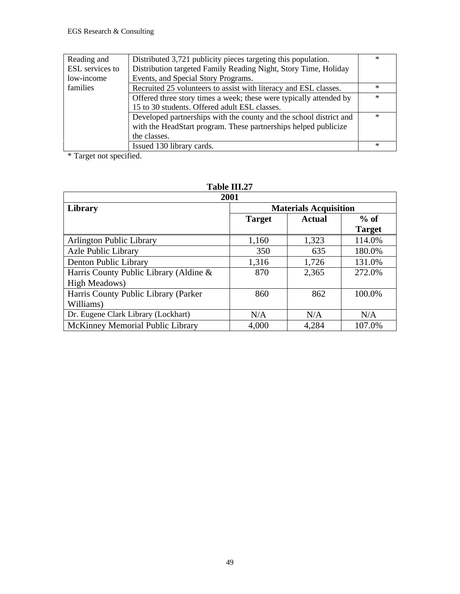| Reading and     | Distributed 3,721 publicity pieces targeting this population.      | $\ast$ |
|-----------------|--------------------------------------------------------------------|--------|
| ESL services to | Distribution targeted Family Reading Night, Story Time, Holiday    |        |
| low-income      | Events, and Special Story Programs.                                |        |
| families        | Recruited 25 volunteers to assist with literacy and ESL classes.   | $\ast$ |
|                 | Offered three story times a week; these were typically attended by | $\ast$ |
|                 | 15 to 30 students. Offered adult ESL classes.                      |        |
|                 | Developed partnerships with the county and the school district and | $\ast$ |
|                 | with the HeadStart program. These partnerships helped publicize    |        |
|                 | the classes.                                                       |        |
|                 | Issued 130 library cards.                                          | $\ast$ |

\* Target not specified.

| 2001                                   |                              |               |               |  |  |  |  |
|----------------------------------------|------------------------------|---------------|---------------|--|--|--|--|
| Library                                | <b>Materials Acquisition</b> |               |               |  |  |  |  |
|                                        | <b>Target</b>                | <b>Actual</b> | $%$ of        |  |  |  |  |
|                                        |                              |               | <b>Target</b> |  |  |  |  |
| <b>Arlington Public Library</b>        | 1,160                        | 1,323         | 114.0%        |  |  |  |  |
| <b>Azle Public Library</b>             | 350                          | 635           | 180.0%        |  |  |  |  |
| Denton Public Library                  | 1,316                        | 1,726         | 131.0%        |  |  |  |  |
| Harris County Public Library (Aldine & | 870                          | 2,365         | 272.0%        |  |  |  |  |
| High Meadows)                          |                              |               |               |  |  |  |  |
| Harris County Public Library (Parker   | 860                          | 862           | 100.0%        |  |  |  |  |
| Williams)                              |                              |               |               |  |  |  |  |
| Dr. Eugene Clark Library (Lockhart)    | N/A                          | N/A           | N/A           |  |  |  |  |
| McKinney Memorial Public Library       | 4,000                        | 4,284         | 107.0%        |  |  |  |  |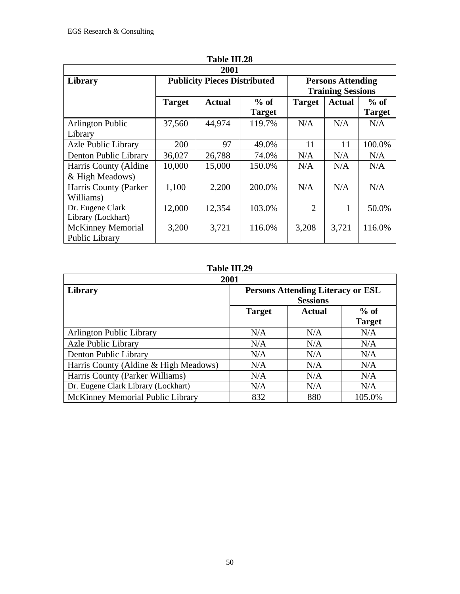| 1 adie 111. <i>2</i> 8<br>2001             |               |                                     |                         |                                                      |               |                         |  |  |
|--------------------------------------------|---------------|-------------------------------------|-------------------------|------------------------------------------------------|---------------|-------------------------|--|--|
| Library                                    |               | <b>Publicity Pieces Distributed</b> |                         | <b>Persons Attending</b><br><b>Training Sessions</b> |               |                         |  |  |
|                                            | <b>Target</b> | <b>Actual</b>                       | $%$ of<br><b>Target</b> | <b>Target</b>                                        | <b>Actual</b> | $%$ of<br><b>Target</b> |  |  |
| <b>Arlington Public</b><br>Library         | 37,560        | 44,974                              | 119.7%                  | N/A                                                  | N/A           | N/A                     |  |  |
| <b>Azle Public Library</b>                 | 200           | 97                                  | 49.0%                   | 11                                                   | 11            | 100.0%                  |  |  |
| Denton Public Library                      | 36,027        | 26,788                              | 74.0%                   | N/A                                                  | N/A           | N/A                     |  |  |
| Harris County (Aldine<br>& High Meadows)   | 10,000        | 15,000                              | 150.0%                  | N/A                                                  | N/A           | N/A                     |  |  |
| Harris County (Parker<br>Williams)         | 1,100         | 2,200                               | 200.0%                  | N/A                                                  | N/A           | N/A                     |  |  |
| Dr. Eugene Clark<br>Library (Lockhart)     | 12,000        | 12,354                              | 103.0%                  | $\overline{2}$                                       | 1             | 50.0%                   |  |  |
| <b>McKinney Memorial</b><br>Public Library | 3,200         | 3,721                               | 116.0%                  | 3,208                                                | 3,721         | 116.0%                  |  |  |

| 2001                                  |                                                             |               |                         |  |  |  |  |
|---------------------------------------|-------------------------------------------------------------|---------------|-------------------------|--|--|--|--|
| Library                               | <b>Persons Attending Literacy or ESL</b><br><b>Sessions</b> |               |                         |  |  |  |  |
|                                       | <b>Target</b>                                               | <b>Actual</b> | $%$ of<br><b>Target</b> |  |  |  |  |
| <b>Arlington Public Library</b>       | N/A                                                         | N/A           | N/A                     |  |  |  |  |
| <b>Azle Public Library</b>            | N/A                                                         | N/A           | N/A                     |  |  |  |  |
| Denton Public Library                 | N/A                                                         | N/A           | N/A                     |  |  |  |  |
| Harris County (Aldine & High Meadows) | N/A                                                         | N/A           | N/A                     |  |  |  |  |
| Harris County (Parker Williams)       | N/A                                                         | N/A           | N/A                     |  |  |  |  |
| Dr. Eugene Clark Library (Lockhart)   | N/A                                                         | N/A           | N/A                     |  |  |  |  |
| McKinney Memorial Public Library      | 832                                                         | 880           | 105.0%                  |  |  |  |  |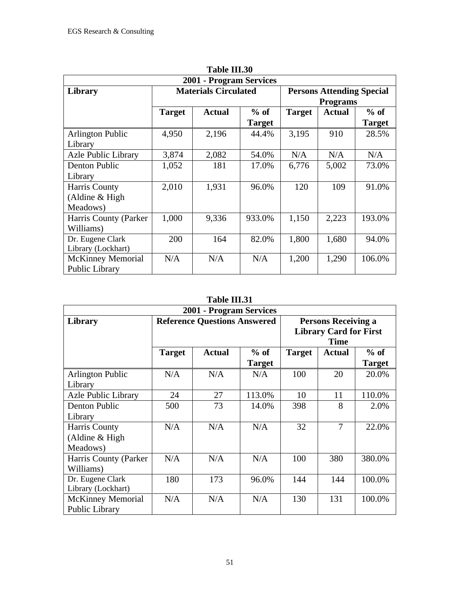| 2001 - Program Services    |                                                                 |               |               |               |                 |               |  |
|----------------------------|-----------------------------------------------------------------|---------------|---------------|---------------|-----------------|---------------|--|
| Library                    | <b>Materials Circulated</b><br><b>Persons Attending Special</b> |               |               |               |                 |               |  |
|                            |                                                                 |               |               |               | <b>Programs</b> |               |  |
|                            | <b>Target</b>                                                   | <b>Actual</b> | $%$ of        | <b>Target</b> | <b>Actual</b>   | $%$ of        |  |
|                            |                                                                 |               | <b>Target</b> |               |                 | <b>Target</b> |  |
| <b>Arlington Public</b>    | 4,950                                                           | 2,196         | 44.4%         | 3,195         | 910             | 28.5%         |  |
| Library                    |                                                                 |               |               |               |                 |               |  |
| <b>Azle Public Library</b> | 3,874                                                           | 2,082         | 54.0%         | N/A           | N/A             | N/A           |  |
| Denton Public              | 1,052                                                           | 181           | 17.0%         | 6,776         | 5,002           | 73.0%         |  |
| Library                    |                                                                 |               |               |               |                 |               |  |
| Harris County              | 2,010                                                           | 1,931         | 96.0%         | 120           | 109             | 91.0%         |  |
| (Aldine $& High$           |                                                                 |               |               |               |                 |               |  |
| Meadows)                   |                                                                 |               |               |               |                 |               |  |
| Harris County (Parker)     | 1,000                                                           | 9,336         | 933.0%        | 1,150         | 2,223           | 193.0%        |  |
| Williams)                  |                                                                 |               |               |               |                 |               |  |
| Dr. Eugene Clark           | 200                                                             | 164           | 82.0%         | 1,800         | 1,680           | 94.0%         |  |
| Library (Lockhart)         |                                                                 |               |               |               |                 |               |  |
| <b>McKinney Memorial</b>   | N/A                                                             | N/A           | N/A           | 1,200         | 1,290           | 106.0%        |  |
| Public Library             |                                                                 |               |               |               |                 |               |  |

| Table III.30 |  |
|--------------|--|
|              |  |

| 2001 - Program Services                       |                                                                                                    |               |                         |               |               |                         |  |
|-----------------------------------------------|----------------------------------------------------------------------------------------------------|---------------|-------------------------|---------------|---------------|-------------------------|--|
| Library                                       | <b>Reference Questions Answered</b><br><b>Persons Receiving a</b><br><b>Library Card for First</b> |               |                         | <b>Time</b>   |               |                         |  |
|                                               | <b>Target</b>                                                                                      | <b>Actual</b> | $%$ of<br><b>Target</b> | <b>Target</b> | <b>Actual</b> | $%$ of<br><b>Target</b> |  |
| <b>Arlington Public</b><br>Library            | N/A                                                                                                | N/A           | N/A                     | 100           | 20            | 20.0%                   |  |
| <b>Azle Public Library</b>                    | 24                                                                                                 | 27            | 113.0%                  | 10            | 11            | 110.0%                  |  |
| Denton Public<br>Library                      | 500                                                                                                | 73            | 14.0%                   | 398           | 8             | 2.0%                    |  |
| Harris County<br>(Aldine $& High$<br>Meadows) | N/A                                                                                                | N/A           | N/A                     | 32            | 7             | 22.0%                   |  |
| Harris County (Parker<br>Williams)            | N/A                                                                                                | N/A           | N/A                     | 100           | 380           | 380.0%                  |  |
| Dr. Eugene Clark<br>Library (Lockhart)        | 180                                                                                                | 173           | 96.0%                   | 144           | 144           | 100.0%                  |  |
| <b>McKinney Memorial</b><br>Public Library    | N/A                                                                                                | N/A           | N/A                     | 130           | 131           | 100.0%                  |  |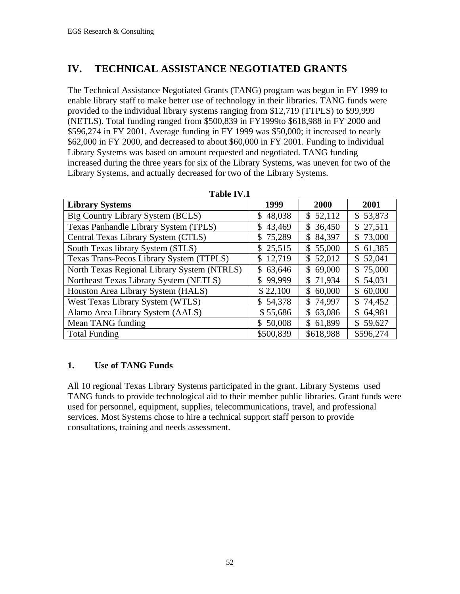## **IV. TECHNICAL ASSISTANCE NEGOTIATED GRANTS**

The Technical Assistance Negotiated Grants (TANG) program was begun in FY 1999 to enable library staff to make better use of technology in their libraries. TANG funds were provided to the individual library systems ranging from \$12,719 (TTPLS) to \$99,999 (NETLS). Total funding ranged from \$500,839 in FY1999to \$618,988 in FY 2000 and \$596,274 in FY 2001. Average funding in FY 1999 was \$50,000; it increased to nearly \$62,000 in FY 2000, and decreased to about \$60,000 in FY 2001. Funding to individual Library Systems was based on amount requested and negotiated. TANG funding increased during the three years for six of the Library Systems, was uneven for two of the Library Systems, and actually decreased for two of the Library Systems.

| 1491 - 17                                   |                        |                          |              |  |  |  |  |  |  |  |  |
|---------------------------------------------|------------------------|--------------------------|--------------|--|--|--|--|--|--|--|--|
| <b>Library Systems</b>                      | 1999                   | 2000                     | 2001         |  |  |  |  |  |  |  |  |
| Big Country Library System (BCLS)           | 48,038<br>S.           | \$52,112                 | \$53,873     |  |  |  |  |  |  |  |  |
| Texas Panhandle Library System (TPLS)       | 43,469<br>\$           | \$36,450                 | \$27,511     |  |  |  |  |  |  |  |  |
| Central Texas Library System (CTLS)         | 75,289<br>\$           | 84,397<br>\$             | \$73,000     |  |  |  |  |  |  |  |  |
| South Texas library System (STLS)           | \$25,515               | \$55,000                 | \$61,385     |  |  |  |  |  |  |  |  |
| Texas Trans-Pecos Library System (TTPLS)    | 12,719<br>$\mathbb{S}$ | \$52,012                 | \$52,041     |  |  |  |  |  |  |  |  |
| North Texas Regional Library System (NTRLS) | 63,646<br>\$           | 69,000<br>$\mathbb{S}^-$ | \$75,000     |  |  |  |  |  |  |  |  |
| Northeast Texas Library System (NETLS)      | 99,999<br>\$           | \$71,934                 | \$54,031     |  |  |  |  |  |  |  |  |
| Houston Area Library System (HALS)          | \$22,100               | 60,000<br>$\mathbb{S}^-$ | 60,000<br>\$ |  |  |  |  |  |  |  |  |
| West Texas Library System (WTLS)            | \$54,378               | \$74,997                 | \$74,452     |  |  |  |  |  |  |  |  |
| Alamo Area Library System (AALS)            | \$55,686               | 63,086<br>\$             | \$64,981     |  |  |  |  |  |  |  |  |
| Mean TANG funding                           | \$50,008               | \$61,899                 | \$59,627     |  |  |  |  |  |  |  |  |
| <b>Total Funding</b>                        | \$500,839              | \$618,988                | \$596,274    |  |  |  |  |  |  |  |  |

**Table IV.1**

#### **1. Use of TANG Funds**

All 10 regional Texas Library Systems participated in the grant. Library Systems used TANG funds to provide technological aid to their member public libraries. Grant funds were used for personnel, equipment, supplies, telecommunications, travel, and professional services. Most Systems chose to hire a technical support staff person to provide consultations, training and needs assessment.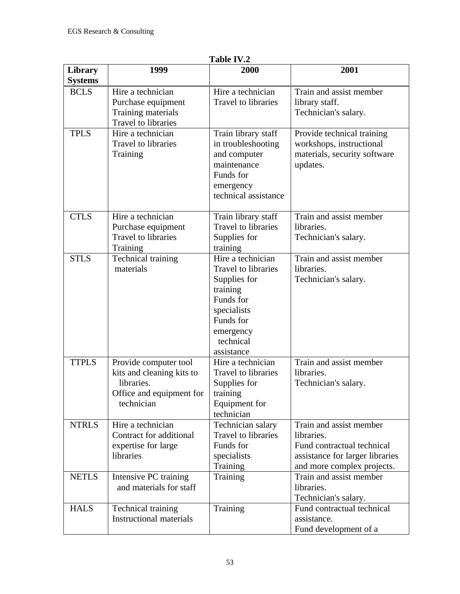|                |                                | 1 adie 1 v .2              |                                 |
|----------------|--------------------------------|----------------------------|---------------------------------|
| Library        | 1999                           | 2000                       | 2001                            |
| <b>Systems</b> |                                |                            |                                 |
| <b>BCLS</b>    | Hire a technician              | Hire a technician          | Train and assist member         |
|                | Purchase equipment             | Travel to libraries        | library staff.                  |
|                | Training materials             |                            | Technician's salary.            |
|                | Travel to libraries            |                            |                                 |
| <b>TPLS</b>    | Hire a technician              | Train library staff        | Provide technical training      |
|                | <b>Travel to libraries</b>     | in troubleshooting         | workshops, instructional        |
|                | Training                       | and computer               | materials, security software    |
|                |                                | maintenance                | updates.                        |
|                |                                | Funds for                  |                                 |
|                |                                | emergency                  |                                 |
|                |                                | technical assistance       |                                 |
|                |                                |                            |                                 |
| <b>CTLS</b>    | Hire a technician              | Train library staff        | Train and assist member         |
|                | Purchase equipment             | <b>Travel to libraries</b> | libraries.                      |
|                | Travel to libraries            | Supplies for               | Technician's salary.            |
|                | Training                       | training                   |                                 |
| <b>STLS</b>    | Technical training             | Hire a technician          | Train and assist member         |
|                | materials                      | Travel to libraries        | libraries.                      |
|                |                                | Supplies for               | Technician's salary.            |
|                |                                | training                   |                                 |
|                |                                | Funds for                  |                                 |
|                |                                |                            |                                 |
|                |                                | specialists<br>Funds for   |                                 |
|                |                                |                            |                                 |
|                |                                | emergency                  |                                 |
|                |                                | technical                  |                                 |
|                |                                | assistance                 |                                 |
| <b>TTPLS</b>   | Provide computer tool          | Hire a technician          | Train and assist member         |
|                | kits and cleaning kits to      | Travel to libraries        | libraries.                      |
|                | libraries.                     | Supplies for               | Technician's salary.            |
|                | Office and equipment for       | training                   |                                 |
|                | technician                     | Equipment for              |                                 |
|                |                                | technician                 |                                 |
| <b>NTRLS</b>   | Hire a technician              | Technician salary          | Train and assist member         |
|                | Contract for additional        | Travel to libraries        | libraries.                      |
|                | expertise for large            | Funds for                  | Fund contractual technical      |
|                | libraries                      | specialists                | assistance for larger libraries |
|                |                                | Training                   | and more complex projects.      |
| <b>NETLS</b>   | Intensive PC training          | Training                   | Train and assist member         |
|                | and materials for staff        |                            | libraries.                      |
|                |                                |                            | Technician's salary.            |
| <b>HALS</b>    | Technical training             | Training                   | Fund contractual technical      |
|                | <b>Instructional materials</b> |                            | assistance.                     |
|                |                                |                            | Fund development of a           |

Table IV.2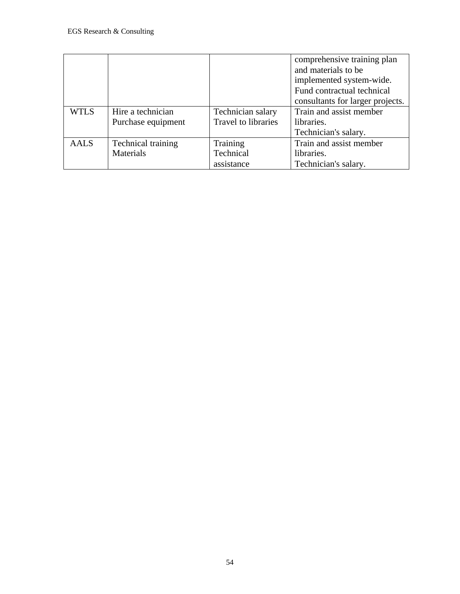|             |                    |                     | comprehensive training plan      |
|-------------|--------------------|---------------------|----------------------------------|
|             |                    |                     | and materials to be              |
|             |                    |                     | implemented system-wide.         |
|             |                    |                     | Fund contractual technical       |
|             |                    |                     | consultants for larger projects. |
| <b>WTLS</b> | Hire a technician  | Technician salary   | Train and assist member          |
|             | Purchase equipment | Travel to libraries | libraries.                       |
|             |                    |                     | Technician's salary.             |
| <b>AALS</b> | Technical training | Training            | Train and assist member          |
|             | Materials          | Technical           | libraries.                       |
|             |                    | assistance          | Technician's salary.             |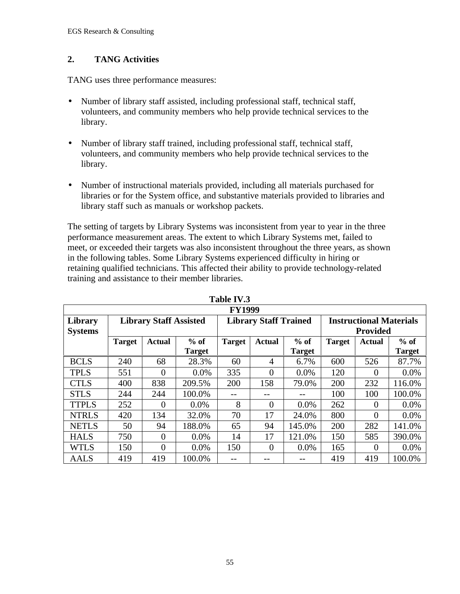#### **2. TANG Activities**

TANG uses three performance measures:

- Number of library staff assisted, including professional staff, technical staff, volunteers, and community members who help provide technical services to the library.
- Number of library staff trained, including professional staff, technical staff, volunteers, and community members who help provide technical services to the library.
- Number of instructional materials provided, including all materials purchased for libraries or for the System office, and substantive materials provided to libraries and library staff such as manuals or workshop packets.

The setting of targets by Library Systems was inconsistent from year to year in the three performance measurement areas. The extent to which Library Systems met, failed to meet, or exceeded their targets was also inconsistent throughout the three years, as shown in the following tables. Some Library Systems experienced difficulty in hiring or retaining qualified technicians. This affected their ability to provide technology-related training and assistance to their member libraries.

|                | <b>FY1999</b>                            |                               |               |               |                              |               |                                |                 |               |  |  |  |  |
|----------------|------------------------------------------|-------------------------------|---------------|---------------|------------------------------|---------------|--------------------------------|-----------------|---------------|--|--|--|--|
| Library        |                                          | <b>Library Staff Assisted</b> |               |               | <b>Library Staff Trained</b> |               | <b>Instructional Materials</b> |                 |               |  |  |  |  |
| <b>Systems</b> |                                          |                               |               |               |                              |               |                                | <b>Provided</b> |               |  |  |  |  |
|                | $%$ of<br><b>Actual</b><br><b>Target</b> |                               | <b>Target</b> | <b>Actual</b> | $%$ of                       | <b>Target</b> | <b>Actual</b>                  | $%$ of          |               |  |  |  |  |
|                |                                          |                               | <b>Target</b> |               |                              | <b>Target</b> |                                |                 | <b>Target</b> |  |  |  |  |
| <b>BCLS</b>    | 240                                      | 68                            | 28.3%         | 60            | $\overline{4}$               | 6.7%          | 600                            | 526             | 87.7%         |  |  |  |  |
| <b>TPLS</b>    | 551                                      | $\overline{0}$                | $0.0\%$       | 335           | $\theta$                     | 0.0%          | 120                            | $\Omega$        | 0.0%          |  |  |  |  |
| <b>CTLS</b>    | 400                                      | 838                           | 209.5%        | 200           | 158                          | 79.0%         | 200                            | 232             | 116.0%        |  |  |  |  |
| <b>STLS</b>    | 244                                      | 244                           | 100.0%        |               |                              |               | 100                            | 100             | 100.0%        |  |  |  |  |
| <b>TTPLS</b>   | 252                                      | $\Omega$                      | $0.0\%$       | 8             | $\Omega$                     | 0.0%          | 262                            | $\Omega$        | 0.0%          |  |  |  |  |
| <b>NTRLS</b>   | 420                                      | 134                           | 32.0%         | 70            | 17                           | 24.0%         | 800                            | $\Omega$        | 0.0%          |  |  |  |  |
| <b>NETLS</b>   | 50                                       | 94                            | 188.0%        | 65            | 94                           | 145.0%        | 200                            | 282             | 141.0%        |  |  |  |  |
| <b>HALS</b>    | 750                                      | $\theta$                      | $0.0\%$       | 14            | 17                           | 121.0%        | 150                            | 585             | 390.0%        |  |  |  |  |
| <b>WTLS</b>    | 150                                      | $\overline{0}$                | $0.0\%$       | 150           | $\theta$                     | $0.0\%$       | 165                            | $\Omega$        | 0.0%          |  |  |  |  |
| <b>AALS</b>    | 419                                      | 419                           | 100.0%        |               |                              |               | 419                            | 419             | 100.0%        |  |  |  |  |

**Table IV.3**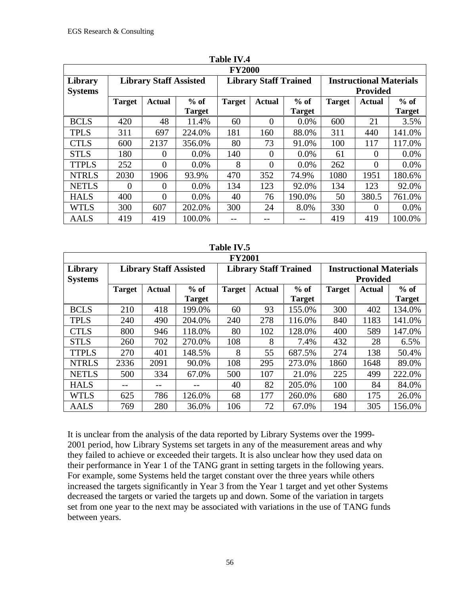|                           |               |                               |                         | <b>FY2000</b> |                              |                         |                                                   |                |                         |  |
|---------------------------|---------------|-------------------------------|-------------------------|---------------|------------------------------|-------------------------|---------------------------------------------------|----------------|-------------------------|--|
| Library<br><b>Systems</b> |               | <b>Library Staff Assisted</b> |                         |               | <b>Library Staff Trained</b> |                         | <b>Instructional Materials</b><br><b>Provided</b> |                |                         |  |
|                           | <b>Target</b> | Actual                        | $%$ of<br><b>Target</b> | <b>Target</b> | <b>Actual</b>                | $%$ of<br><b>Target</b> | <b>Target</b>                                     | Actual         | $%$ of<br><b>Target</b> |  |
| <b>BCLS</b>               | 420           | 48                            | 11.4%                   | 60            | $\Omega$                     | 0.0%                    | 600                                               | 21             | 3.5%                    |  |
| <b>TPLS</b>               | 311           | 697                           | 224.0%                  | 181           | 160                          | 88.0%                   | 311                                               | 440            | 141.0%                  |  |
| <b>CTLS</b>               | 600           | 2137                          | 356.0%                  | 80            | 73                           | 91.0%                   | 100                                               | 117            | 117.0%                  |  |
| <b>STLS</b>               | 180           | $\theta$                      | $0.0\%$                 | 140           | $\theta$                     | 0.0%                    | 61                                                | $\overline{0}$ | $0.0\%$                 |  |
| <b>TTPLS</b>              | 252           | $\Omega$                      | $0.0\%$                 | 8             | $\theta$                     | 0.0%                    | 262                                               | $\theta$       | $0.0\%$                 |  |
| <b>NTRLS</b>              | 2030          | 1906                          | 93.9%                   | 470           | 352                          | 74.9%                   | 1080                                              | 1951           | 180.6%                  |  |
| <b>NETLS</b>              | $\Omega$      | $\theta$                      | 0.0%                    | 134           | 123                          | 92.0%                   | 134                                               | 123            | 92.0%                   |  |
| <b>HALS</b>               | 400           | $\Omega$                      | $0.0\%$                 | 40            | 76                           | 190.0%                  | 50                                                | 380.5          | 761.0%                  |  |
| <b>WTLS</b>               | 300           | 607                           | 202.0%                  | 300           | 24                           | 8.0%                    | 330                                               | $\theta$       | $0.0\%$                 |  |
| <b>AALS</b>               | 419           | 419                           | 100.0%                  |               |                              |                         | 419                                               | 419            | 100.0%                  |  |

| -anie -<br>ı |  |
|--------------|--|
|              |  |

|                | 1. Ladie 1 v. 5                   |                               |               |               |                              |               |        |                                |               |  |  |  |  |
|----------------|-----------------------------------|-------------------------------|---------------|---------------|------------------------------|---------------|--------|--------------------------------|---------------|--|--|--|--|
|                |                                   |                               |               | <b>FY2001</b> |                              |               |        |                                |               |  |  |  |  |
| <b>Library</b> |                                   | <b>Library Staff Assisted</b> |               |               | <b>Library Staff Trained</b> |               |        | <b>Instructional Materials</b> |               |  |  |  |  |
| <b>Systems</b> |                                   |                               |               |               |                              |               |        | <b>Provided</b>                |               |  |  |  |  |
|                | $%$ of<br><b>Target</b><br>Actual |                               | <b>Target</b> | <b>Actual</b> | $%$ of                       | <b>Target</b> | Actual | $%$ of                         |               |  |  |  |  |
|                |                                   |                               | <b>Target</b> |               |                              | <b>Target</b> |        |                                | <b>Target</b> |  |  |  |  |
| <b>BCLS</b>    | 210                               | 418                           | 199.0%        | 60            | 93                           | 155.0%        | 300    | 402                            | 134.0%        |  |  |  |  |
| <b>TPLS</b>    | 240                               | 490                           | 204.0%        | 240           | 278                          | 116.0%        | 840    | 1183                           | 141.0%        |  |  |  |  |
| <b>CTLS</b>    | 800                               | 946                           | 118.0%        | 80            | 102                          | 128.0%        | 400    | 589                            | 147.0%        |  |  |  |  |
| <b>STLS</b>    | 260                               | 702                           | 270.0%        | 108           | 8                            | 7.4%          | 432    | 28                             | 6.5%          |  |  |  |  |
| <b>TTPLS</b>   | 270                               | 401                           | 148.5%        | 8             | 55                           | 687.5%        | 274    | 138                            | 50.4%         |  |  |  |  |
| <b>NTRLS</b>   | 2336                              | 2091                          | 90.0%         | 108           | 295                          | 273.0%        | 1860   | 1648                           | 89.0%         |  |  |  |  |
| <b>NETLS</b>   | 500                               | 334                           | 67.0%         | 500           | 107                          | 21.0%         | 225    | 499                            | 222.0%        |  |  |  |  |
| <b>HALS</b>    |                                   |                               |               | 40            | 82                           | 205.0%        | 100    | 84                             | 84.0%         |  |  |  |  |
| <b>WTLS</b>    | 625                               | 786                           | 126.0%        | 68            | 177                          | 260.0%        | 680    | 175                            | 26.0%         |  |  |  |  |
| <b>AALS</b>    | 769                               | 280                           | 36.0%         | 106           | 72                           | 67.0%         | 194    | 305                            | 156.0%        |  |  |  |  |

 $T_{\text{L}}$ **LI.** IV<sub> $\tau$ </sub>

It is unclear from the analysis of the data reported by Library Systems over the 1999- 2001 period, how Library Systems set targets in any of the measurement areas and why they failed to achieve or exceeded their targets. It is also unclear how they used data on their performance in Year 1 of the TANG grant in setting targets in the following years. For example, some Systems held the target constant over the three years while others increased the targets significantly in Year 3 from the Year 1 target and yet other Systems decreased the targets or varied the targets up and down. Some of the variation in targets set from one year to the next may be associated with variations in the use of TANG funds between years.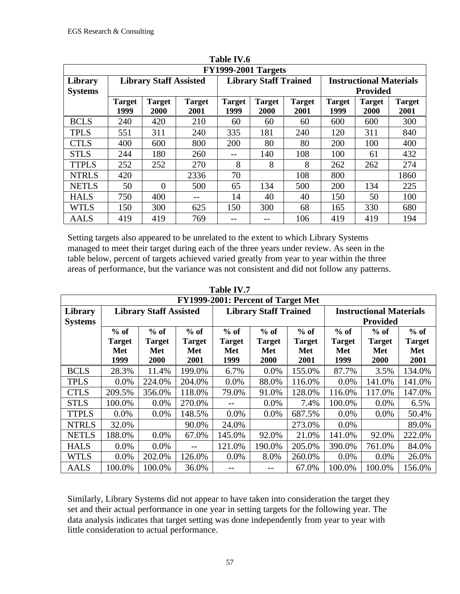|                           | 1 apie 1 v .o<br><b>FY1999-2001 Targets</b> |                              |                       |                       |                              |                       |                                                   |                              |                       |  |  |  |  |
|---------------------------|---------------------------------------------|------------------------------|-----------------------|-----------------------|------------------------------|-----------------------|---------------------------------------------------|------------------------------|-----------------------|--|--|--|--|
| Library<br><b>Systems</b> | <b>Library Staff Assisted</b>               |                              |                       |                       | <b>Library Staff Trained</b> |                       | <b>Instructional Materials</b><br><b>Provided</b> |                              |                       |  |  |  |  |
|                           | <b>Target</b><br>1999                       | <b>Target</b><br><b>2000</b> | <b>Target</b><br>2001 | <b>Target</b><br>1999 | <b>Target</b><br><b>2000</b> | <b>Target</b><br>2001 | <b>Target</b><br>1999                             | <b>Target</b><br><b>2000</b> | <b>Target</b><br>2001 |  |  |  |  |
| <b>BCLS</b>               | 240                                         | 420                          | 210                   | 60                    | 60                           | 60                    | 600                                               | 600                          | 300                   |  |  |  |  |
| <b>TPLS</b>               | 551                                         | 311                          | 240                   | 335                   | 181                          | 240                   | 120                                               | 311                          | 840                   |  |  |  |  |
| <b>CTLS</b>               | 400                                         | 600                          | 800                   | 200                   | 80                           | 80                    | 200                                               | 100                          | 400                   |  |  |  |  |
| <b>STLS</b>               | 244                                         | 180                          | 260                   | --                    | 140                          | 108                   | 100                                               | 61                           | 432                   |  |  |  |  |
| <b>TTPLS</b>              | 252                                         | 252                          | 270                   | 8                     | 8                            | 8                     | 262                                               | 262                          | 274                   |  |  |  |  |
| <b>NTRLS</b>              | 420                                         |                              | 2336                  | 70                    |                              | 108                   | 800                                               |                              | 1860                  |  |  |  |  |
| <b>NETLS</b>              | 50                                          | $\Omega$                     | 500                   | 65                    | 134                          | 500                   | 200                                               | 134                          | 225                   |  |  |  |  |
| <b>HALS</b>               | 750                                         | 400                          |                       | 14                    | 40                           | 40                    | 150                                               | 50                           | 100                   |  |  |  |  |
| <b>WTLS</b>               | 150                                         | 300                          | 625                   | 150                   | 300                          | 68                    | 165                                               | 330                          | 680                   |  |  |  |  |
| <b>AALS</b>               | 419                                         | 419                          | 769                   |                       |                              | 106                   | 419                                               | 419                          | 194                   |  |  |  |  |

| Table IV.6   |  |
|--------------|--|
| ------------ |  |

Setting targets also appeared to be unrelated to the extent to which Library Systems managed to meet their target during each of the three years under review. As seen in the table below, percent of targets achieved varied greatly from year to year within the three areas of performance, but the variance was not consistent and did not follow any patterns.

|                           | FY1999-2001: Percent of Target Met     |                                               |                                        |                                        |                                               |                                        |                                                   |                                               |                                        |  |  |  |  |
|---------------------------|----------------------------------------|-----------------------------------------------|----------------------------------------|----------------------------------------|-----------------------------------------------|----------------------------------------|---------------------------------------------------|-----------------------------------------------|----------------------------------------|--|--|--|--|
| Library<br><b>Systems</b> |                                        | <b>Library Staff Assisted</b>                 |                                        |                                        | <b>Library Staff Trained</b>                  |                                        | <b>Instructional Materials</b><br><b>Provided</b> |                                               |                                        |  |  |  |  |
|                           | $%$ of<br><b>Target</b><br>Met<br>1999 | $%$ of<br><b>Target</b><br>Met<br><b>2000</b> | $%$ of<br><b>Target</b><br>Met<br>2001 | $%$ of<br><b>Target</b><br>Met<br>1999 | $%$ of<br><b>Target</b><br>Met<br><b>2000</b> | $%$ of<br><b>Target</b><br>Met<br>2001 | $%$ of<br><b>Target</b><br>Met<br>1999            | $%$ of<br><b>Target</b><br>Met<br><b>2000</b> | $%$ of<br><b>Target</b><br>Met<br>2001 |  |  |  |  |
| <b>BCLS</b>               | 28.3%                                  | 11.4%                                         | 199.0%                                 | 6.7%                                   | 0.0%                                          | 155.0%                                 | 87.7%                                             | 3.5%                                          | 134.0%                                 |  |  |  |  |
| <b>TPLS</b>               | 0.0%                                   | 224.0%                                        | 204.0%                                 | $0.0\%$                                | 88.0%                                         | 116.0%                                 | 0.0%                                              | 141.0%                                        | 141.0%                                 |  |  |  |  |
| <b>CTLS</b>               | 209.5%                                 | 356.0%                                        | 118.0%                                 | 79.0%                                  | 91.0%                                         | 128.0%                                 | 116.0%                                            | 117.0%                                        | 147.0%                                 |  |  |  |  |
| <b>STLS</b>               | 100.0%                                 | 0.0%                                          | 270.0%                                 |                                        | 0.0%                                          | 7.4%                                   | 100.0%                                            | 0.0%                                          | 6.5%                                   |  |  |  |  |
| <b>TTPLS</b>              | $0.0\%$                                | 0.0%                                          | 148.5%                                 | $0.0\%$                                | 0.0%                                          | 687.5%                                 | $0.0\%$                                           | 0.0%                                          | 50.4%                                  |  |  |  |  |
| <b>NTRLS</b>              | 32.0%                                  |                                               | 90.0%                                  | 24.0%                                  |                                               | 273.0%                                 | $0.0\%$                                           |                                               | 89.0%                                  |  |  |  |  |
| <b>NETLS</b>              | 188.0%                                 | 0.0%                                          | 67.0%                                  | 145.0%                                 | 92.0%                                         | 21.0%                                  | 141.0%                                            | 92.0%                                         | 222.0%                                 |  |  |  |  |
| <b>HALS</b>               | $0.0\%$                                | $0.0\%$                                       | $- -$                                  | 121.0%                                 | 190.0%                                        | 205.0%                                 | 390.0%                                            | 761.0%                                        | 84.0%                                  |  |  |  |  |
| <b>WTLS</b>               | 0.0%                                   | 202.0%                                        | 126.0%                                 | 0.0%                                   | 8.0%                                          | 260.0%                                 | $0.0\%$                                           | 0.0%                                          | 26.0%                                  |  |  |  |  |
| <b>AALS</b>               | 100.0%                                 | 100.0%                                        | 36.0%                                  |                                        |                                               | 67.0%                                  | 100.0%                                            | 100.0%                                        | 156.0%                                 |  |  |  |  |

**Table IV.7**

Similarly, Library Systems did not appear to have taken into consideration the target they set and their actual performance in one year in setting targets for the following year. The data analysis indicates that target setting was done independently from year to year with little consideration to actual performance.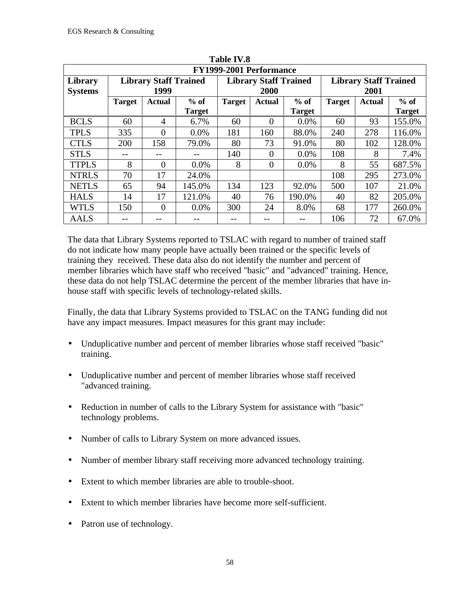|                           | FY1999-2001 Performance |                                      |                         |               |                                      |                         |                                      |        |                         |  |  |  |
|---------------------------|-------------------------|--------------------------------------|-------------------------|---------------|--------------------------------------|-------------------------|--------------------------------------|--------|-------------------------|--|--|--|
| Library<br><b>Systems</b> |                         | <b>Library Staff Trained</b><br>1999 |                         |               | <b>Library Staff Trained</b><br>2000 |                         | <b>Library Staff Trained</b><br>2001 |        |                         |  |  |  |
|                           | <b>Target</b>           | Actual                               | $%$ of<br><b>Target</b> | <b>Target</b> | <b>Actual</b>                        | $%$ of<br><b>Target</b> | <b>Target</b>                        | Actual | $%$ of<br><b>Target</b> |  |  |  |
| <b>BCLS</b>               | 60                      | $\overline{4}$                       | 6.7%                    | 60            | $\Omega$                             | 0.0%                    | 60                                   | 93     | 155.0%                  |  |  |  |
| <b>TPLS</b>               | 335                     | $\overline{0}$                       | $0.0\%$                 | 181           | 160                                  | 88.0%                   | 240                                  | 278    | 116.0%                  |  |  |  |
| <b>CTLS</b>               | 200                     | 158                                  | 79.0%                   | 80            | 73                                   | 91.0%                   | 80                                   | 102    | 128.0%                  |  |  |  |
| <b>STLS</b>               |                         |                                      |                         | 140           | 0                                    | 0.0%                    | 108                                  | 8      | 7.4%                    |  |  |  |
| <b>TTPLS</b>              | 8                       | $\theta$                             | $0.0\%$                 | 8             | $\Omega$                             | $0.0\%$                 | 8                                    | 55     | 687.5%                  |  |  |  |
| <b>NTRLS</b>              | 70                      | 17                                   | 24.0%                   |               |                                      |                         | 108                                  | 295    | 273.0%                  |  |  |  |
| <b>NETLS</b>              | 65                      | 94                                   | 145.0%                  | 134           | 123                                  | 92.0%                   | 500                                  | 107    | 21.0%                   |  |  |  |
| <b>HALS</b>               | 14                      | 17                                   | 121.0%                  | 40            | 76                                   | 190.0%                  | 40                                   | 82     | 205.0%                  |  |  |  |
| <b>WTLS</b>               | 150                     | $\overline{0}$                       | $0.0\%$                 | 300           | 24                                   | 8.0%                    | 68                                   | 177    | 260.0%                  |  |  |  |
| <b>AALS</b>               |                         |                                      | --                      |               |                                      |                         | 106                                  | 72     | 67.0%                   |  |  |  |

**TR. 1.1. TV7.0** 

The data that Library Systems reported to TSLAC with regard to number of trained staff do not indicate how many people have actually been trained or the specific levels of training they received. These data also do not identify the number and percent of member libraries which have staff who received "basic" and "advanced" training. Hence, these data do not help TSLAC determine the percent of the member libraries that have inhouse staff with specific levels of technology-related skills.

Finally, the data that Library Systems provided to TSLAC on the TANG funding did not have any impact measures. Impact measures for this grant may include:

- Unduplicative number and percent of member libraries whose staff received "basic" training.
- Unduplicative number and percent of member libraries whose staff received "advanced training.
- Reduction in number of calls to the Library System for assistance with "basic" technology problems.
- Number of calls to Library System on more advanced issues.
- Number of member library staff receiving more advanced technology training.
- Extent to which member libraries are able to trouble-shoot.
- Extent to which member libraries have become more self-sufficient.
- Patron use of technology.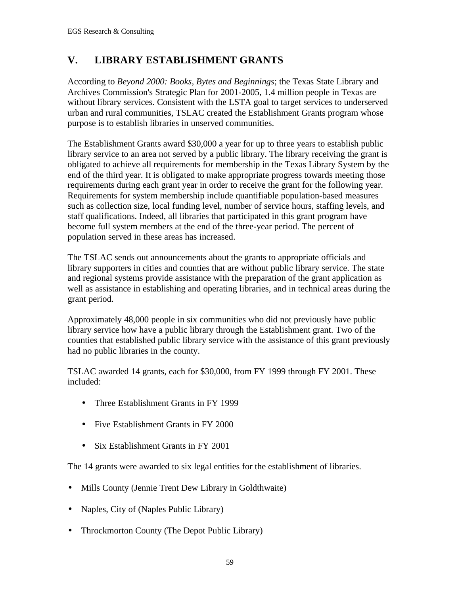## **V. LIBRARY ESTABLISHMENT GRANTS**

According to *Beyond 2000: Books, Bytes and Beginnings*; the Texas State Library and Archives Commission's Strategic Plan for 2001-2005, 1.4 million people in Texas are without library services. Consistent with the LSTA goal to target services to underserved urban and rural communities, TSLAC created the Establishment Grants program whose purpose is to establish libraries in unserved communities.

The Establishment Grants award \$30,000 a year for up to three years to establish public library service to an area not served by a public library. The library receiving the grant is obligated to achieve all requirements for membership in the Texas Library System by the end of the third year. It is obligated to make appropriate progress towards meeting those requirements during each grant year in order to receive the grant for the following year. Requirements for system membership include quantifiable population-based measures such as collection size, local funding level, number of service hours, staffing levels, and staff qualifications. Indeed, all libraries that participated in this grant program have become full system members at the end of the three-year period. The percent of population served in these areas has increased.

The TSLAC sends out announcements about the grants to appropriate officials and library supporters in cities and counties that are without public library service. The state and regional systems provide assistance with the preparation of the grant application as well as assistance in establishing and operating libraries, and in technical areas during the grant period.

Approximately 48,000 people in six communities who did not previously have public library service how have a public library through the Establishment grant. Two of the counties that established public library service with the assistance of this grant previously had no public libraries in the county.

TSLAC awarded 14 grants, each for \$30,000, from FY 1999 through FY 2001. These included:

- Three Establishment Grants in FY 1999
- Five Establishment Grants in FY 2000
- Six Establishment Grants in FY 2001

The 14 grants were awarded to six legal entities for the establishment of libraries.

- Mills County (Jennie Trent Dew Library in Goldthwaite)
- Naples, City of (Naples Public Library)
- Throckmorton County (The Depot Public Library)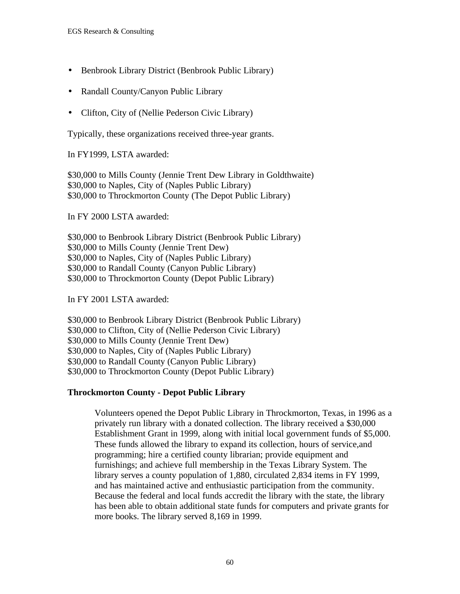- Benbrook Library District (Benbrook Public Library)
- Randall County/Canyon Public Library
- Clifton, City of (Nellie Pederson Civic Library)

Typically, these organizations received three-year grants.

In FY1999, LSTA awarded:

\$30,000 to Mills County (Jennie Trent Dew Library in Goldthwaite) \$30,000 to Naples, City of (Naples Public Library) \$30,000 to Throckmorton County (The Depot Public Library)

In FY 2000 LSTA awarded:

\$30,000 to Benbrook Library District (Benbrook Public Library) \$30,000 to Mills County (Jennie Trent Dew) \$30,000 to Naples, City of (Naples Public Library) \$30,000 to Randall County (Canyon Public Library) \$30,000 to Throckmorton County (Depot Public Library)

In FY 2001 LSTA awarded:

\$30,000 to Benbrook Library District (Benbrook Public Library) \$30,000 to Clifton, City of (Nellie Pederson Civic Library) \$30,000 to Mills County (Jennie Trent Dew) \$30,000 to Naples, City of (Naples Public Library) \$30,000 to Randall County (Canyon Public Library) \$30,000 to Throckmorton County (Depot Public Library)

#### **Throckmorton County - Depot Public Library**

Volunteers opened the Depot Public Library in Throckmorton, Texas, in 1996 as a privately run library with a donated collection. The library received a \$30,000 Establishment Grant in 1999, along with initial local government funds of \$5,000. These funds allowed the library to expand its collection, hours of service,and programming; hire a certified county librarian; provide equipment and furnishings; and achieve full membership in the Texas Library System. The library serves a county population of 1,880, circulated 2,834 items in FY 1999, and has maintained active and enthusiastic participation from the community. Because the federal and local funds accredit the library with the state, the library has been able to obtain additional state funds for computers and private grants for more books. The library served 8,169 in 1999.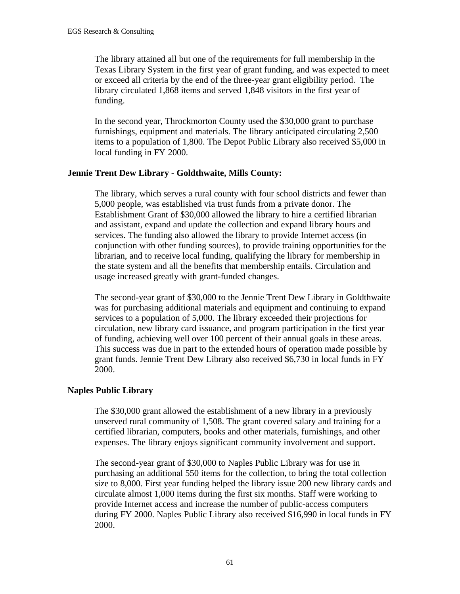The library attained all but one of the requirements for full membership in the Texas Library System in the first year of grant funding, and was expected to meet or exceed all criteria by the end of the three-year grant eligibility period. The library circulated 1,868 items and served 1,848 visitors in the first year of funding.

In the second year, Throckmorton County used the \$30,000 grant to purchase furnishings, equipment and materials. The library anticipated circulating 2,500 items to a population of 1,800. The Depot Public Library also received \$5,000 in local funding in FY 2000.

#### **Jennie Trent Dew Library - Goldthwaite, Mills County:**

The library, which serves a rural county with four school districts and fewer than 5,000 people, was established via trust funds from a private donor. The Establishment Grant of \$30,000 allowed the library to hire a certified librarian and assistant, expand and update the collection and expand library hours and services. The funding also allowed the library to provide Internet access (in conjunction with other funding sources), to provide training opportunities for the librarian, and to receive local funding, qualifying the library for membership in the state system and all the benefits that membership entails. Circulation and usage increased greatly with grant-funded changes.

The second-year grant of \$30,000 to the Jennie Trent Dew Library in Goldthwaite was for purchasing additional materials and equipment and continuing to expand services to a population of 5,000. The library exceeded their projections for circulation, new library card issuance, and program participation in the first year of funding, achieving well over 100 percent of their annual goals in these areas. This success was due in part to the extended hours of operation made possible by grant funds. Jennie Trent Dew Library also received \$6,730 in local funds in FY 2000.

#### **Naples Public Library**

The \$30,000 grant allowed the establishment of a new library in a previously unserved rural community of 1,508. The grant covered salary and training for a certified librarian, computers, books and other materials, furnishings, and other expenses. The library enjoys significant community involvement and support.

The second-year grant of \$30,000 to Naples Public Library was for use in purchasing an additional 550 items for the collection, to bring the total collection size to 8,000. First year funding helped the library issue 200 new library cards and circulate almost 1,000 items during the first six months. Staff were working to provide Internet access and increase the number of public-access computers during FY 2000. Naples Public Library also received \$16,990 in local funds in FY 2000.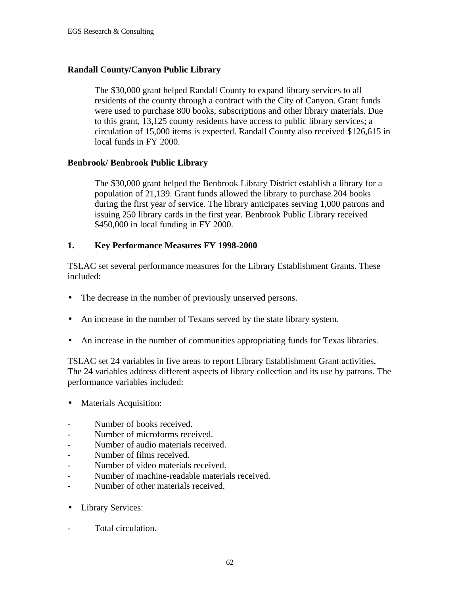#### **Randall County/Canyon Public Library**

The \$30,000 grant helped Randall County to expand library services to all residents of the county through a contract with the City of Canyon. Grant funds were used to purchase 800 books, subscriptions and other library materials. Due to this grant, 13,125 county residents have access to public library services; a circulation of 15,000 items is expected. Randall County also received \$126,615 in local funds in FY 2000.

#### **Benbrook/ Benbrook Public Library**

The \$30,000 grant helped the Benbrook Library District establish a library for a population of 21,139. Grant funds allowed the library to purchase 204 books during the first year of service. The library anticipates serving 1,000 patrons and issuing 250 library cards in the first year. Benbrook Public Library received \$450,000 in local funding in FY 2000.

#### **1. Key Performance Measures FY 1998-2000**

TSLAC set several performance measures for the Library Establishment Grants. These included:

- The decrease in the number of previously unserved persons.
- An increase in the number of Texans served by the state library system.
- An increase in the number of communities appropriating funds for Texas libraries.

TSLAC set 24 variables in five areas to report Library Establishment Grant activities. The 24 variables address different aspects of library collection and its use by patrons. The performance variables included:

- Materials Acquisition:
- Number of books received.
- Number of microforms received.
- Number of audio materials received.
- Number of films received.
- Number of video materials received.
- Number of machine-readable materials received.
- Number of other materials received.
- Library Services:
- Total circulation.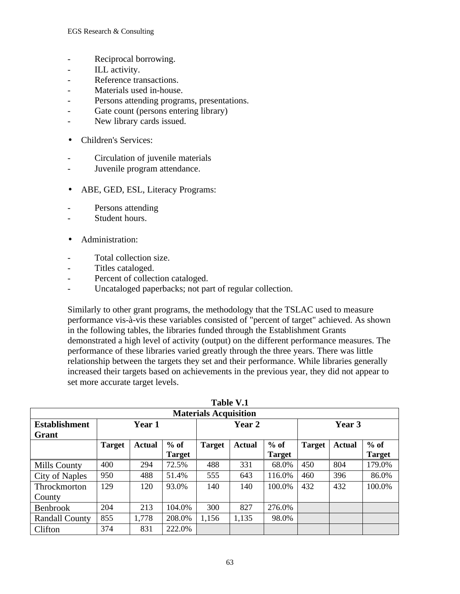- Reciprocal borrowing.
- ILL activity.
- Reference transactions.
- Materials used in-house.
- Persons attending programs, presentations.
- Gate count (persons entering library)
- New library cards issued.
- Children's Services:
- Circulation of juvenile materials
- Juvenile program attendance.
- ABE, GED, ESL, Literacy Programs:
- Persons attending
- Student hours.
- Administration:
- Total collection size.
- Titles cataloged.
- Percent of collection cataloged.
- Uncataloged paperbacks; not part of regular collection.

Similarly to other grant programs, the methodology that the TSLAC used to measure performance vis-à-vis these variables consisted of "percent of target" achieved. As shown in the following tables, the libraries funded through the Establishment Grants demonstrated a high level of activity (output) on the different performance measures. The performance of these libraries varied greatly through the three years. There was little relationship between the targets they set and their performance. While libraries generally increased their targets based on achievements in the previous year, they did not appear to set more accurate target levels.

|                              | <b>Table V.1</b> |               |               |               |               |               |               |               |               |  |  |
|------------------------------|------------------|---------------|---------------|---------------|---------------|---------------|---------------|---------------|---------------|--|--|
| <b>Materials Acquisition</b> |                  |               |               |               |               |               |               |               |               |  |  |
| <b>Establishment</b>         |                  | Year 1        |               |               | Year 2        |               |               | Year 3        |               |  |  |
| Grant                        |                  |               |               |               |               |               |               |               |               |  |  |
|                              | <b>Target</b>    | <b>Actual</b> | $%$ of        | <b>Target</b> | <b>Actual</b> | $%$ of        | <b>Target</b> | <b>Actual</b> | $%$ of        |  |  |
|                              |                  |               | <b>Target</b> |               |               | <b>Target</b> |               |               | <b>Target</b> |  |  |
| <b>Mills County</b>          | 400              | 294           | 72.5%         | 488           | 331           | 68.0%         | 450           | 804           | 179.0%        |  |  |
| City of Naples               | 950              | 488           | 51.4%         | 555           | 643           | 116.0%        | 460           | 396           | 86.0%         |  |  |
| Throckmorton                 | 129              | 120           | 93.0%         | 140           | 140           | 100.0%        | 432           | 432           | 100.0%        |  |  |
| County                       |                  |               |               |               |               |               |               |               |               |  |  |
| <b>Benbrook</b>              | 204              | 213           | 104.0%        | 300           | 827           | 276.0%        |               |               |               |  |  |
| <b>Randall County</b>        | 855              | 1,778         | 208.0%        | 1,156         | 1,135         | 98.0%         |               |               |               |  |  |
| Clifton                      | 374              | 831           | 222.0%        |               |               |               |               |               |               |  |  |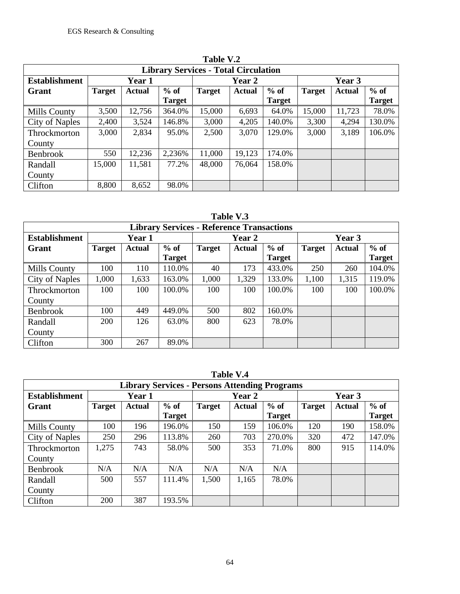|                                             |               |               |               | Table V.2     |        |               |               |               |               |  |
|---------------------------------------------|---------------|---------------|---------------|---------------|--------|---------------|---------------|---------------|---------------|--|
| <b>Library Services - Total Circulation</b> |               |               |               |               |        |               |               |               |               |  |
| <b>Establishment</b>                        | Year 1        |               |               |               | Year 2 |               |               | Year 3        |               |  |
| Grant                                       | <b>Target</b> | <b>Actual</b> | $%$ of        | <b>Target</b> | Actual | $%$ of        | <b>Target</b> | <b>Actual</b> | $%$ of        |  |
|                                             |               |               | <b>Target</b> |               |        | <b>Target</b> |               |               | <b>Target</b> |  |
| Mills County                                | 3,500         | 12,756        | 364.0%        | 15,000        | 6,693  | 64.0%         | 15,000        | 11,723        | 78.0%         |  |
| City of Naples                              | 2,400         | 3,524         | 146.8%        | 3,000         | 4,205  | 140.0%        | 3,300         | 4,294         | 130.0%        |  |
| Throckmorton                                | 3,000         | 2,834         | 95.0%         | 2,500         | 3,070  | 129.0%        | 3,000         | 3,189         | 106.0%        |  |
| County                                      |               |               |               |               |        |               |               |               |               |  |
| <b>Benbrook</b>                             | 550           | 12,236        | 2,236%        | 11,000        | 19,123 | 174.0%        |               |               |               |  |
| Randall                                     | 15,000        | 11,581        | 77.2%         | 48,000        | 76,064 | 158.0%        |               |               |               |  |
| County                                      |               |               |               |               |        |               |               |               |               |  |
| Clifton                                     | 8,800         | 8,652         | 98.0%         |               |        |               |               |               |               |  |

**Table V.2**

| l'able |  |
|--------|--|
|--------|--|

|                      | <b>Library Services - Reference Transactions</b> |               |               |               |        |               |               |               |               |  |  |
|----------------------|--------------------------------------------------|---------------|---------------|---------------|--------|---------------|---------------|---------------|---------------|--|--|
| <b>Establishment</b> | Year 1                                           |               |               |               | Year 2 |               | Year 3        |               |               |  |  |
| Grant                | <b>Target</b>                                    | <b>Actual</b> | $%$ of        | <b>Target</b> | Actual | $%$ of        | <b>Target</b> | <b>Actual</b> | $%$ of        |  |  |
|                      |                                                  |               | <b>Target</b> |               |        | <b>Target</b> |               |               | <b>Target</b> |  |  |
| Mills County         | 100                                              | 110           | 110.0%        | 40            | 173    | 433.0%        | 250           | 260           | 104.0%        |  |  |
| City of Naples       | 1,000                                            | 1,633         | 163.0%        | 1,000         | 1,329  | 133.0%        | 1,100         | 1,315         | 119.0%        |  |  |
| Throckmorton         | 100                                              | 100           | 100.0%        | 100           | 100    | 100.0%        | 100           | 100           | 100.0%        |  |  |
| County               |                                                  |               |               |               |        |               |               |               |               |  |  |
| Benbrook             | 100                                              | 449           | 449.0%        | 500           | 802    | 160.0%        |               |               |               |  |  |
| Randall              | 200                                              | 126           | 63.0%         | 800           | 623    | 78.0%         |               |               |               |  |  |
| County               |                                                  |               |               |               |        |               |               |               |               |  |  |
| Clifton              | 300                                              | 267           | 89.0%         |               |        |               |               |               |               |  |  |

|                                                      |               |               |               |               | Table V.4 |               |               |               |               |  |
|------------------------------------------------------|---------------|---------------|---------------|---------------|-----------|---------------|---------------|---------------|---------------|--|
| <b>Library Services - Persons Attending Programs</b> |               |               |               |               |           |               |               |               |               |  |
| <b>Establishment</b>                                 |               | Year 1        |               |               | Year 2    |               |               | Year 3        |               |  |
| Grant                                                | <b>Target</b> | <b>Actual</b> | $%$ of        | <b>Target</b> | Actual    | $%$ of        | <b>Target</b> | <b>Actual</b> | $%$ of        |  |
|                                                      |               |               | <b>Target</b> |               |           | <b>Target</b> |               |               | <b>Target</b> |  |
| Mills County                                         | 100           | 196           | 196.0%        | 150           | 159       | 106.0%        | 120           | 190           | 158.0%        |  |
| City of Naples                                       | 250           | 296           | 113.8%        | 260           | 703       | 270.0%        | 320           | 472           | 147.0%        |  |
| Throckmorton                                         | 1,275         | 743           | 58.0%         | 500           | 353       | 71.0%         | 800           | 915           | 114.0%        |  |
| County                                               |               |               |               |               |           |               |               |               |               |  |
| <b>Benbrook</b>                                      | N/A           | N/A           | N/A           | N/A           | N/A       | N/A           |               |               |               |  |
| Randall                                              | 500           | 557           | 111.4%        | 1,500         | 1,165     | 78.0%         |               |               |               |  |
| County                                               |               |               |               |               |           |               |               |               |               |  |
| Clifton                                              | 200           | 387           | 193.5%        |               |           |               |               |               |               |  |

**Table V.4**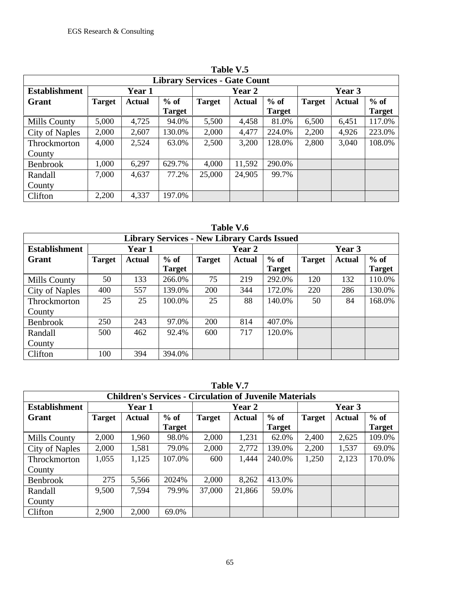|                                      |               |               |                         |               | Table V.5 |                         |               |               |                         |  |  |
|--------------------------------------|---------------|---------------|-------------------------|---------------|-----------|-------------------------|---------------|---------------|-------------------------|--|--|
| <b>Library Services - Gate Count</b> |               |               |                         |               |           |                         |               |               |                         |  |  |
| <b>Establishment</b>                 |               | Year 1        |                         | Year 2        |           |                         | Year 3        |               |                         |  |  |
| Grant                                | <b>Target</b> | <b>Actual</b> | $%$ of<br><b>Target</b> | <b>Target</b> | Actual    | $%$ of<br><b>Target</b> | <b>Target</b> | <b>Actual</b> | $%$ of<br><b>Target</b> |  |  |
| <b>Mills County</b>                  | 5,000         | 4,725         | 94.0%                   | 5,500         | 4,458     | 81.0%                   | 6,500         | 6,451         | 117.0%                  |  |  |
| City of Naples                       | 2,000         | 2,607         | 130.0%                  | 2,000         | 4,477     | 224.0%                  | 2,200         | 4,926         | 223.0%                  |  |  |
| <b>Throckmorton</b>                  | 4,000         | 2,524         | 63.0%                   | 2,500         | 3,200     | 128.0%                  | 2,800         | 3,040         | 108.0%                  |  |  |
| County                               |               |               |                         |               |           |                         |               |               |                         |  |  |
| Benbrook                             | 1,000         | 6,297         | 629.7%                  | 4,000         | 11,592    | 290.0%                  |               |               |                         |  |  |
| Randall                              | 7,000         | 4,637         | 77.2%                   | 25,000        | 24,905    | 99.7%                   |               |               |                         |  |  |
| County                               |               |               |                         |               |           |                         |               |               |                         |  |  |
| Clifton                              | 2,200         | 4,337         | 197.0%                  |               |           |                         |               |               |                         |  |  |

**Table V.6 Library Services - New Library Cards Issued Establishment Year 1 Year 2 Year 3**  $G$ **rant Target Target Actual % of Target**  $\sqrt{ }$  of **Target**<br>10.0% Mills County | 50 | 133 | 266.0% | 75 | 219 | 292.0% | 120 | 132 | 110.0% City of Naples | 400 | 557 | 139.0% | 200 | 344 | 172.0% | 220 | 286 | 130.0% Throck County<br>Benbro 25 | 25 | 100.0% | 25 | 88 | 140.0% | 50 | 84 | 168.0% Benbrook 250 243 97.0% 200 814 407.0% Randall County 500 462 92.4% 600 717 120.0% Clifton

|               |               |               |                         | Library Dervices - I vew Library Carus Issued |               |                         |               |               |                    |
|---------------|---------------|---------------|-------------------------|-----------------------------------------------|---------------|-------------------------|---------------|---------------|--------------------|
| ishment       |               | Year 1        |                         |                                               | Year 2        |                         |               | Year 3        |                    |
|               | <b>Target</b> | <b>Actual</b> | $%$ of<br><b>Target</b> | <b>Target</b>                                 | <b>Actual</b> | $%$ of<br><b>Target</b> | <b>Target</b> | <b>Actual</b> | $\mathbf{O}/$<br>Т |
| ounty!        | 50            | 133           | 266.0%                  | 75                                            | 219           | 292.0%                  | 120           | 132           | $1^{\circ}$        |
| <b>Naples</b> | 400           | 557           | 139.0%                  | <b>200</b>                                    | 344           | 172.0%                  | 220           | 286           | $1^{\prime}$       |
| morton        | 25            | 25            | 100.0%                  | 25                                            | 88            | 140.0%                  | 50            | 84            | $\mathbf{1}$       |
| ok            | 250           | 243           | 97.0%                   | 200                                           | 814           | 407.0%                  |               |               |                    |
|               | 500           | 462           | 92.4%                   | 600                                           | 717           | 120.0%                  |               |               |                    |
|               | 100           | 394           | 394.0%                  |                                               |               |                         |               |               |                    |
|               |               |               |                         |                                               |               |                         |               |               |                    |

**Table V.7**

|                      | <b>Children's Services - Circulation of Juvenile Materials</b> |               |               |               |               |               |               |               |               |  |  |
|----------------------|----------------------------------------------------------------|---------------|---------------|---------------|---------------|---------------|---------------|---------------|---------------|--|--|
| <b>Establishment</b> |                                                                | Year 1        |               |               | Year 2        |               | Year 3        |               |               |  |  |
| Grant                | <b>Target</b>                                                  | <b>Actual</b> | $%$ of        | <b>Target</b> | <b>Actual</b> | $%$ of        | <b>Target</b> | <b>Actual</b> | $%$ of        |  |  |
|                      |                                                                |               | <b>Target</b> |               |               | <b>Target</b> |               |               | <b>Target</b> |  |  |
| Mills County         | 2,000                                                          | 1,960         | 98.0%         | 2,000         | 1,231         | 62.0%         | 2,400         | 2,625         | 109.0%        |  |  |
| City of Naples       | 2,000                                                          | 1,581         | 79.0%         | 2,000         | 2,772         | 139.0%        | 2,200         | 1,537         | 69.0%         |  |  |
| <b>Throckmorton</b>  | 1,055                                                          | 1,125         | 107.0%        | 600           | 1,444         | 240.0%        | 1,250         | 2,123         | 170.0%        |  |  |
| County               |                                                                |               |               |               |               |               |               |               |               |  |  |
| Benbrook             | 275                                                            | 5,566         | 2024%         | 2,000         | 8,262         | 413.0%        |               |               |               |  |  |
| Randall              | 9,500                                                          | 7,594         | 79.9%         | 37,000        | 21,866        | 59.0%         |               |               |               |  |  |
| County               |                                                                |               |               |               |               |               |               |               |               |  |  |
| Clifton              | 2,900                                                          | 2,000         | 69.0%         |               |               |               |               |               |               |  |  |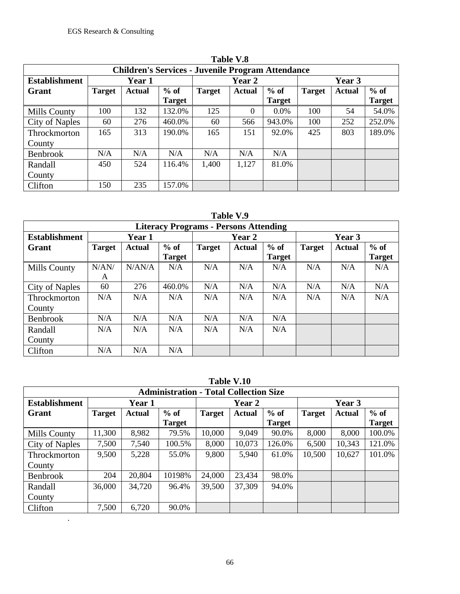.

|                                                          |               |               |               |               | 1able V.8 |               |               |               |               |  |
|----------------------------------------------------------|---------------|---------------|---------------|---------------|-----------|---------------|---------------|---------------|---------------|--|
| <b>Children's Services - Juvenile Program Attendance</b> |               |               |               |               |           |               |               |               |               |  |
| <b>Establishment</b>                                     |               | Year 1        |               |               | Year 2    |               |               | Year 3        |               |  |
| Grant                                                    | <b>Target</b> | <b>Actual</b> | $%$ of        | <b>Target</b> | Actual    | $%$ of        | <b>Target</b> | <b>Actual</b> | $%$ of        |  |
|                                                          |               |               | <b>Target</b> |               |           | <b>Target</b> |               |               | <b>Target</b> |  |
| Mills County                                             | 100           | 132           | 132.0%        | 125           | $\Omega$  | 0.0%          | 100           | 54            | 54.0%         |  |
| City of Naples                                           | 60            | 276           | 460.0%        | 60            | 566       | 943.0%        | 100           | 252           | 252.0%        |  |
| Throckmorton                                             | 165           | 313           | 190.0%        | 165           | 151       | 92.0%         | 425           | 803           | 189.0%        |  |
| County                                                   |               |               |               |               |           |               |               |               |               |  |
| <b>Benbrook</b>                                          | N/A           | N/A           | N/A           | N/A           | N/A       | N/A           |               |               |               |  |
| Randall                                                  | 450           | 524           | 116.4%        | 1,400         | 1,127     | 81.0%         |               |               |               |  |
| County                                                   |               |               |               |               |           |               |               |               |               |  |
| Clifton                                                  | 150           | 235           | 157.0%        |               |           |               |               |               |               |  |

**Table V.8**

| l'able : |  |
|----------|--|
|----------|--|

|                      | <b>Literacy Programs - Persons Attending</b> |               |               |               |               |               |               |               |               |  |  |
|----------------------|----------------------------------------------|---------------|---------------|---------------|---------------|---------------|---------------|---------------|---------------|--|--|
| <b>Establishment</b> |                                              | Year 1        |               |               | <b>Year 2</b> |               | <b>Year 3</b> |               |               |  |  |
| Grant                | <b>Target</b>                                | <b>Actual</b> | $%$ of        | <b>Target</b> | <b>Actual</b> | $%$ of        | <b>Target</b> | <b>Actual</b> | $%$ of        |  |  |
|                      |                                              |               | <b>Target</b> |               |               | <b>Target</b> |               |               | <b>Target</b> |  |  |
| Mills County         | N/AN/                                        | N/AN/A        | N/A           | N/A           | N/A           | N/A           | N/A           | N/A           | N/A           |  |  |
|                      | A                                            |               |               |               |               |               |               |               |               |  |  |
| City of Naples       | 60                                           | 276           | 460.0%        | N/A           | N/A           | N/A           | N/A           | N/A           | N/A           |  |  |
| Throckmorton         | N/A                                          | N/A           | N/A           | N/A           | N/A           | N/A           | N/A           | N/A           | N/A           |  |  |
| County               |                                              |               |               |               |               |               |               |               |               |  |  |
| <b>Benbrook</b>      | N/A                                          | N/A           | N/A           | N/A           | N/A           | N/A           |               |               |               |  |  |
| Randall              | N/A                                          | N/A           | N/A           | N/A           | N/A           | N/A           |               |               |               |  |  |
| County               |                                              |               |               |               |               |               |               |               |               |  |  |
| Clifton              | N/A                                          | N/A           | N/A           |               |               |               |               |               |               |  |  |

|                                               |               |               |               |               | Table V.IU    |               |               |               |               |  |
|-----------------------------------------------|---------------|---------------|---------------|---------------|---------------|---------------|---------------|---------------|---------------|--|
| <b>Administration - Total Collection Size</b> |               |               |               |               |               |               |               |               |               |  |
| <b>Establishment</b>                          |               | Year 1        |               | Year 2        |               |               | Year 3        |               |               |  |
| Grant                                         | <b>Target</b> | <b>Actual</b> | $%$ of        | <b>Target</b> | <b>Actual</b> | $%$ of        | <b>Target</b> | <b>Actual</b> | $%$ of        |  |
|                                               |               |               | <b>Target</b> |               |               | <b>Target</b> |               |               | <b>Target</b> |  |
| Mills County                                  | 11,300        | 8,982         | 79.5%         | 10,000        | 9,049         | 90.0%         | 8,000         | 8,000         | 100.0%        |  |
| City of Naples                                | 7,500         | 7,540         | 100.5%        | 8,000         | 10,073        | 126.0%        | 6,500         | 10,343        | 121.0%        |  |
| Throckmorton                                  | 9,500         | 5,228         | 55.0%         | 9,800         | 5,940         | 61.0%         | 10,500        | 10,627        | 101.0%        |  |
| County                                        |               |               |               |               |               |               |               |               |               |  |
| <b>Benbrook</b>                               | 204           | 20,804        | 10198%        | 24,000        | 23,434        | 98.0%         |               |               |               |  |
| Randall                                       | 36,000        | 34,720        | 96.4%         | 39,500        | 37,309        | 94.0%         |               |               |               |  |
| County                                        |               |               |               |               |               |               |               |               |               |  |
| Clifton                                       | 7,500         | 6,720         | 90.0%         |               |               |               |               |               |               |  |

**Table V.10**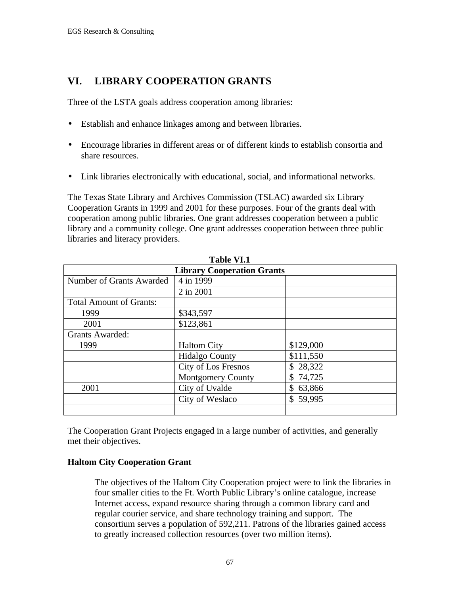# **VI. LIBRARY COOPERATION GRANTS**

Three of the LSTA goals address cooperation among libraries:

- Establish and enhance linkages among and between libraries.
- Encourage libraries in different areas or of different kinds to establish consortia and share resources.
- Link libraries electronically with educational, social, and informational networks.

The Texas State Library and Archives Commission (TSLAC) awarded six Library Cooperation Grants in 1999 and 2001 for these purposes. Four of the grants deal with cooperation among public libraries. One grant addresses cooperation between a public library and a community college. One grant addresses cooperation between three public libraries and literacy providers.

| Table VI.I                        |                          |           |  |  |  |  |
|-----------------------------------|--------------------------|-----------|--|--|--|--|
| <b>Library Cooperation Grants</b> |                          |           |  |  |  |  |
| Number of Grants Awarded          | 4 in 1999                |           |  |  |  |  |
|                                   | 2 in 2001                |           |  |  |  |  |
| <b>Total Amount of Grants:</b>    |                          |           |  |  |  |  |
| 1999                              | \$343,597                |           |  |  |  |  |
| 2001                              | \$123,861                |           |  |  |  |  |
| <b>Grants Awarded:</b>            |                          |           |  |  |  |  |
| 1999                              | <b>Haltom City</b>       | \$129,000 |  |  |  |  |
|                                   | <b>Hidalgo County</b>    | \$111,550 |  |  |  |  |
|                                   | City of Los Fresnos      | \$28,322  |  |  |  |  |
|                                   | <b>Montgomery County</b> | \$74,725  |  |  |  |  |
| 2001                              | City of Uvalde           | \$63,866  |  |  |  |  |
|                                   | City of Weslaco          | \$59,995  |  |  |  |  |
|                                   |                          |           |  |  |  |  |

**Table VI.1**

The Cooperation Grant Projects engaged in a large number of activities, and generally met their objectives.

### **Haltom City Cooperation Grant**

The objectives of the Haltom City Cooperation project were to link the libraries in four smaller cities to the Ft. Worth Public Library's online catalogue, increase Internet access, expand resource sharing through a common library card and regular courier service, and share technology training and support. The consortium serves a population of 592,211. Patrons of the libraries gained access to greatly increased collection resources (over two million items).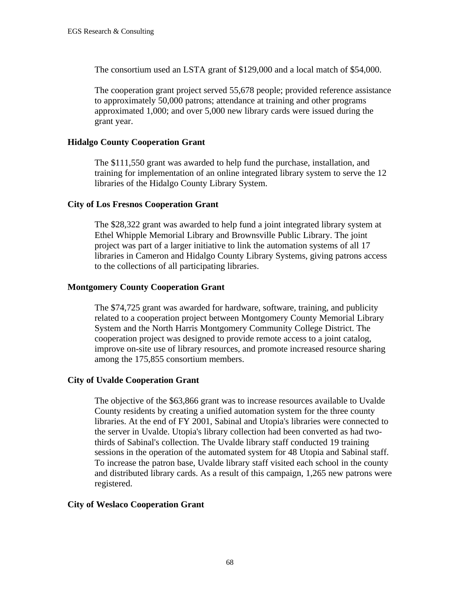The consortium used an LSTA grant of \$129,000 and a local match of \$54,000.

The cooperation grant project served 55,678 people; provided reference assistance to approximately 50,000 patrons; attendance at training and other programs approximated 1,000; and over 5,000 new library cards were issued during the grant year.

#### **Hidalgo County Cooperation Grant**

The \$111,550 grant was awarded to help fund the purchase, installation, and training for implementation of an online integrated library system to serve the 12 libraries of the Hidalgo County Library System.

#### **City of Los Fresnos Cooperation Grant**

The \$28,322 grant was awarded to help fund a joint integrated library system at Ethel Whipple Memorial Library and Brownsville Public Library. The joint project was part of a larger initiative to link the automation systems of all 17 libraries in Cameron and Hidalgo County Library Systems, giving patrons access to the collections of all participating libraries.

#### **Montgomery County Cooperation Grant**

The \$74,725 grant was awarded for hardware, software, training, and publicity related to a cooperation project between Montgomery County Memorial Library System and the North Harris Montgomery Community College District. The cooperation project was designed to provide remote access to a joint catalog, improve on-site use of library resources, and promote increased resource sharing among the 175,855 consortium members.

### **City of Uvalde Cooperation Grant**

The objective of the \$63,866 grant was to increase resources available to Uvalde County residents by creating a unified automation system for the three county libraries. At the end of FY 2001, Sabinal and Utopia's libraries were connected to the server in Uvalde. Utopia's library collection had been converted as had twothirds of Sabinal's collection. The Uvalde library staff conducted 19 training sessions in the operation of the automated system for 48 Utopia and Sabinal staff. To increase the patron base, Uvalde library staff visited each school in the county and distributed library cards. As a result of this campaign, 1,265 new patrons were registered.

### **City of Weslaco Cooperation Grant**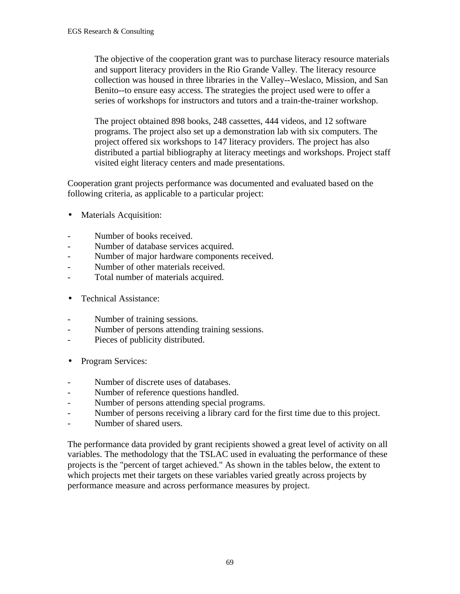The objective of the cooperation grant was to purchase literacy resource materials and support literacy providers in the Rio Grande Valley. The literacy resource collection was housed in three libraries in the Valley--Weslaco, Mission, and San Benito--to ensure easy access. The strategies the project used were to offer a series of workshops for instructors and tutors and a train-the-trainer workshop.

The project obtained 898 books, 248 cassettes, 444 videos, and 12 software programs. The project also set up a demonstration lab with six computers. The project offered six workshops to 147 literacy providers. The project has also distributed a partial bibliography at literacy meetings and workshops. Project staff visited eight literacy centers and made presentations.

Cooperation grant projects performance was documented and evaluated based on the following criteria, as applicable to a particular project:

- Materials Acquisition:
- Number of books received.
- Number of database services acquired.
- Number of major hardware components received.
- Number of other materials received.
- Total number of materials acquired.
- Technical Assistance:
- Number of training sessions.
- Number of persons attending training sessions.
- Pieces of publicity distributed.
- Program Services:
- Number of discrete uses of databases.
- Number of reference questions handled.
- Number of persons attending special programs.
- Number of persons receiving a library card for the first time due to this project.
- Number of shared users.

The performance data provided by grant recipients showed a great level of activity on all variables. The methodology that the TSLAC used in evaluating the performance of these projects is the "percent of target achieved." As shown in the tables below, the extent to which projects met their targets on these variables varied greatly across projects by performance measure and across performance measures by project.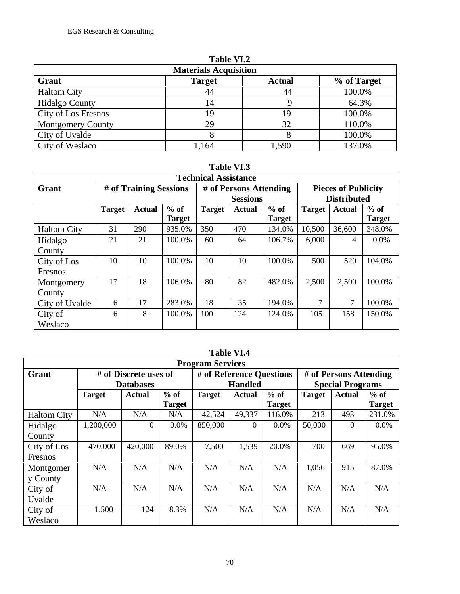| Table VI.2               |                              |               |             |  |  |  |
|--------------------------|------------------------------|---------------|-------------|--|--|--|
|                          | <b>Materials Acquisition</b> |               |             |  |  |  |
| Grant                    | <b>Target</b>                | <b>Actual</b> | % of Target |  |  |  |
| <b>Haltom City</b>       | 44                           | 44            | 100.0%      |  |  |  |
| <b>Hidalgo County</b>    | 14                           |               | 64.3%       |  |  |  |
| City of Los Fresnos      | 19                           | 19            | 100.0%      |  |  |  |
| <b>Montgomery County</b> | 29                           | 32            | 110.0%      |  |  |  |
| City of Uvalde           |                              |               | 100.0%      |  |  |  |
| City of Weslaco          | ,164                         | 1,590         | 137.0%      |  |  |  |

**Table VI.2**

# **Table VI.3**

| <b>Technical Assistance</b> |                        |               |               |               |                                           |               |               |                                                  |               |  |
|-----------------------------|------------------------|---------------|---------------|---------------|-------------------------------------------|---------------|---------------|--------------------------------------------------|---------------|--|
| Grant                       | # of Training Sessions |               |               |               | # of Persons Attending<br><b>Sessions</b> |               |               | <b>Pieces of Publicity</b><br><b>Distributed</b> |               |  |
|                             | <b>Target</b>          | <b>Actual</b> | $%$ of        | <b>Target</b> | <b>Actual</b>                             | $%$ of        | <b>Target</b> | <b>Actual</b>                                    | $%$ of        |  |
|                             |                        |               | <b>Target</b> |               |                                           | <b>Target</b> |               |                                                  | <b>Target</b> |  |
| <b>Haltom City</b>          | 31                     | 290           | 935.0%        | 350           | 470                                       | 134.0%        | 10,500        | 36,600                                           | 348.0%        |  |
| Hidalgo                     | 21                     | 21            | 100.0%        | 60            | 64                                        | 106.7%        | 6,000         | $\overline{4}$                                   | $0.0\%$       |  |
| County                      |                        |               |               |               |                                           |               |               |                                                  |               |  |
| City of Los                 | 10                     | 10            | 100.0%        | 10            | 10                                        | 100.0%        | 500           | 520                                              | 104.0%        |  |
| Fresnos                     |                        |               |               |               |                                           |               |               |                                                  |               |  |
| Montgomery                  | 17                     | 18            | 106.0%        | 80            | 82                                        | 482.0%        | 2,500         | 2,500                                            | 100.0%        |  |
| County                      |                        |               |               |               |                                           |               |               |                                                  |               |  |
| City of Uvalde              | 6                      | 17            | 283.0%        | 18            | 35                                        | 194.0%        | $\tau$        | 7                                                | 100.0%        |  |
| City of                     | 6                      | 8             | 100.0%        | 100           | 124                                       | 124.0%        | 105           | 158                                              | 150.0%        |  |
| Weslaco                     |                        |               |               |               |                                           |               |               |                                                  |               |  |

|                    |                         |                       |               |               | таріс тілт               |               |               |                         |               |  |
|--------------------|-------------------------|-----------------------|---------------|---------------|--------------------------|---------------|---------------|-------------------------|---------------|--|
|                    | <b>Program Services</b> |                       |               |               |                          |               |               |                         |               |  |
| Grant              |                         | # of Discrete uses of |               |               | # of Reference Questions |               |               | # of Persons Attending  |               |  |
|                    |                         | <b>Databases</b>      |               |               | <b>Handled</b>           |               |               | <b>Special Programs</b> |               |  |
|                    | <b>Target</b>           | <b>Actual</b>         | $%$ of        | <b>Target</b> | Actual                   | $%$ of        | <b>Target</b> | <b>Actual</b>           | $%$ of        |  |
|                    |                         |                       | <b>Target</b> |               |                          | <b>Target</b> |               |                         | <b>Target</b> |  |
| <b>Haltom City</b> | N/A                     | N/A                   | N/A           | 42,524        | 49,337                   | 116.0%        | 213           | 493                     | 231.0%        |  |
| Hidalgo            | 1,200,000               | $\theta$              | 0.0%          | 850,000       | $\Omega$                 | $0.0\%$       | 50,000        | $\Omega$                | $0.0\%$       |  |
| County             |                         |                       |               |               |                          |               |               |                         |               |  |
| City of Los        | 470,000                 | 420,000               | 89.0%         | 7,500         | 1,539                    | 20.0%         | 700           | 669                     | 95.0%         |  |
| Fresnos            |                         |                       |               |               |                          |               |               |                         |               |  |
| Montgomer          | N/A                     | N/A                   | N/A           | N/A           | N/A                      | N/A           | 1,056         | 915                     | 87.0%         |  |
| y County           |                         |                       |               |               |                          |               |               |                         |               |  |
| City of            | N/A                     | N/A                   | N/A           | N/A           | N/A                      | N/A           | N/A           | N/A                     | N/A           |  |
| Uvalde             |                         |                       |               |               |                          |               |               |                         |               |  |
| City of            | 1,500                   | 124                   | 8.3%          | N/A           | N/A                      | N/A           | N/A           | N/A                     | N/A           |  |
| Weslaco            |                         |                       |               |               |                          |               |               |                         |               |  |

# **Table VI.4**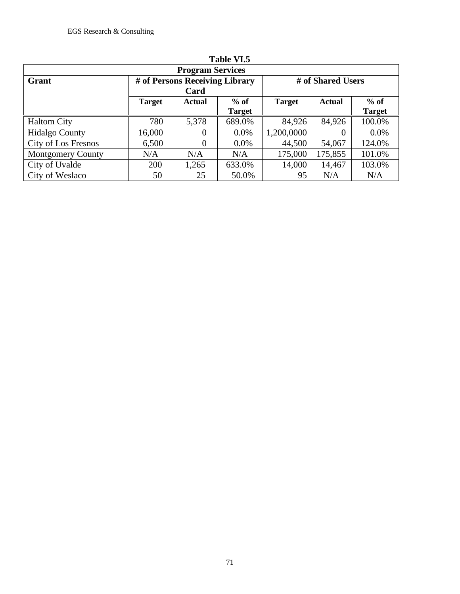| Lable VI.5               |               |                                |               |                   |               |               |  |
|--------------------------|---------------|--------------------------------|---------------|-------------------|---------------|---------------|--|
| <b>Program Services</b>  |               |                                |               |                   |               |               |  |
| Grant                    |               | # of Persons Receiving Library |               | # of Shared Users |               |               |  |
|                          |               | Card                           |               |                   |               |               |  |
|                          | <b>Target</b> | Actual                         | $%$ of        | <b>Target</b>     | <b>Actual</b> | $%$ of        |  |
|                          |               |                                | <b>Target</b> |                   |               | <b>Target</b> |  |
| <b>Haltom City</b>       | 780           | 5,378                          | 689.0%        | 84,926            | 84,926        | 100.0%        |  |
| <b>Hidalgo County</b>    | 16,000        | $\Omega$                       | $0.0\%$       | 1,200,0000        | $\theta$      | $0.0\%$       |  |
| City of Los Fresnos      | 6,500         | $\theta$                       | $0.0\%$       | 44,500            | 54,067        | 124.0%        |  |
| <b>Montgomery County</b> | N/A           | N/A                            | N/A           | 175,000           | 175,855       | 101.0%        |  |
| City of Uvalde           | 200           | 1,265                          | 633.0%        | 14,000            | 14,467        | 103.0%        |  |
| City of Weslaco          | 50            | 25                             | 50.0%         | 95                | N/A           | N/A           |  |

| l'able : | VI. |
|----------|-----|
|----------|-----|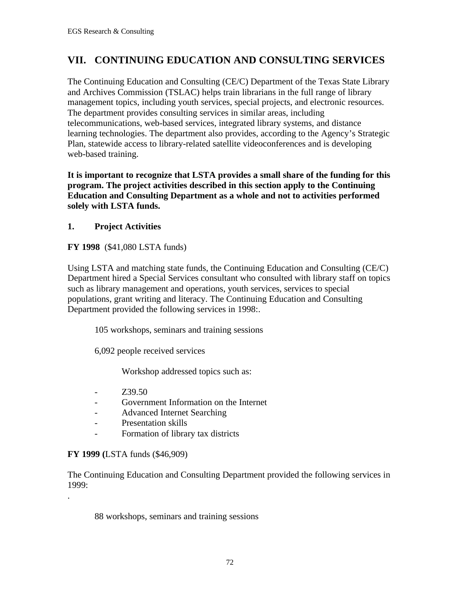# **VII. CONTINUING EDUCATION AND CONSULTING SERVICES**

The Continuing Education and Consulting (CE/C) Department of the Texas State Library and Archives Commission (TSLAC) helps train librarians in the full range of library management topics, including youth services, special projects, and electronic resources. The department provides consulting services in similar areas, including telecommunications, web-based services, integrated library systems, and distance learning technologies. The department also provides, according to the Agency's Strategic Plan, statewide access to library-related satellite videoconferences and is developing web-based training.

**It is important to recognize that LSTA provides a small share of the funding for this program. The project activities described in this section apply to the Continuing Education and Consulting Department as a whole and not to activities performed solely with LSTA funds.**

### **1. Project Activities**

### **FY 1998** (\$41,080 LSTA funds)

Using LSTA and matching state funds, the Continuing Education and Consulting (CE/C) Department hired a Special Services consultant who consulted with library staff on topics such as library management and operations, youth services, services to special populations, grant writing and literacy. The Continuing Education and Consulting Department provided the following services in 1998:.

105 workshops, seminars and training sessions

6,092 people received services

Workshop addressed topics such as:

- $739.50$
- Government Information on the Internet
- Advanced Internet Searching
- Presentation skills
- Formation of library tax districts

### **FY 1999 (**LSTA funds (\$46,909)

.

The Continuing Education and Consulting Department provided the following services in 1999:

88 workshops, seminars and training sessions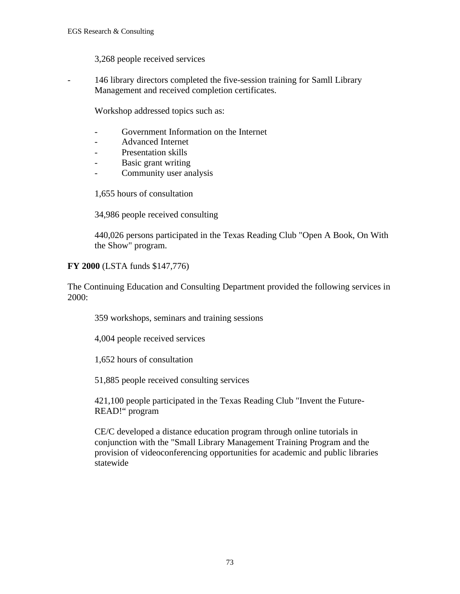3,268 people received services

- 146 library directors completed the five-session training for Samll Library Management and received completion certificates.

Workshop addressed topics such as:

- Government Information on the Internet
- Advanced Internet
- Presentation skills
- Basic grant writing
- Community user analysis

1,655 hours of consultation

34,986 people received consulting

440,026 persons participated in the Texas Reading Club "Open A Book, On With the Show" program.

### **FY 2000** (LSTA funds \$147,776)

The Continuing Education and Consulting Department provided the following services in 2000:

359 workshops, seminars and training sessions

4,004 people received services

1,652 hours of consultation

51,885 people received consulting services

421,100 people participated in the Texas Reading Club "Invent the Future-READ!" program

CE/C developed a distance education program through online tutorials in conjunction with the "Small Library Management Training Program and the provision of videoconferencing opportunities for academic and public libraries statewide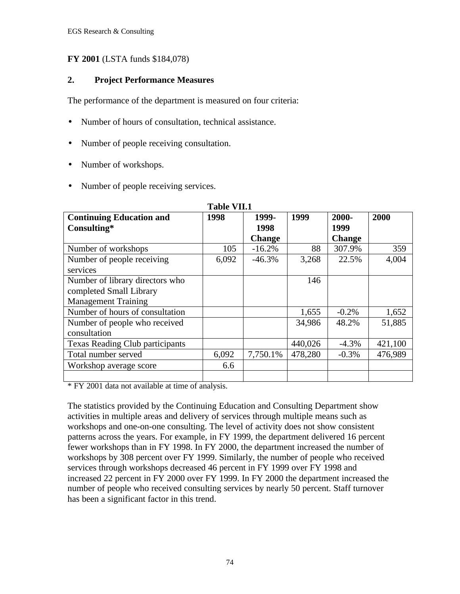### **FY 2001** (LSTA funds \$184,078)

### **2. Project Performance Measures**

The performance of the department is measured on four criteria:

- Number of hours of consultation, technical assistance.
- Number of people receiving consultation.
- Number of workshops.
- Number of people receiving services.

|                                        | таріс у п.і |               |         |               |         |
|----------------------------------------|-------------|---------------|---------|---------------|---------|
| <b>Continuing Education and</b>        | 1998        | 1999-         | 1999    | 2000-         | 2000    |
| Consulting*                            |             | 1998          |         | 1999          |         |
|                                        |             | <b>Change</b> |         | <b>Change</b> |         |
| Number of workshops                    | 105         | $-16.2%$      | 88      | 307.9%        | 359     |
| Number of people receiving             | 6,092       | $-46.3%$      | 3,268   | 22.5%         | 4,004   |
| services                               |             |               |         |               |         |
| Number of library directors who        |             |               | 146     |               |         |
| completed Small Library                |             |               |         |               |         |
| <b>Management Training</b>             |             |               |         |               |         |
| Number of hours of consultation        |             |               | 1,655   | $-0.2%$       | 1,652   |
| Number of people who received          |             |               | 34,986  | 48.2%         | 51,885  |
| consultation                           |             |               |         |               |         |
| <b>Texas Reading Club participants</b> |             |               | 440,026 | $-4.3\%$      | 421,100 |
| Total number served                    | 6,092       | 7,750.1%      | 478,280 | $-0.3%$       | 476,989 |
| Workshop average score                 | 6.6         |               |         |               |         |
|                                        |             |               |         |               |         |

#### **Table VII.1**

\* FY 2001 data not available at time of analysis.

The statistics provided by the Continuing Education and Consulting Department show activities in multiple areas and delivery of services through multiple means such as workshops and one-on-one consulting. The level of activity does not show consistent patterns across the years. For example, in FY 1999, the department delivered 16 percent fewer workshops than in FY 1998. In FY 2000, the department increased the number of workshops by 308 percent over FY 1999. Similarly, the number of people who received services through workshops decreased 46 percent in FY 1999 over FY 1998 and increased 22 percent in FY 2000 over FY 1999. In FY 2000 the department increased the number of people who received consulting services by nearly 50 percent. Staff turnover has been a significant factor in this trend.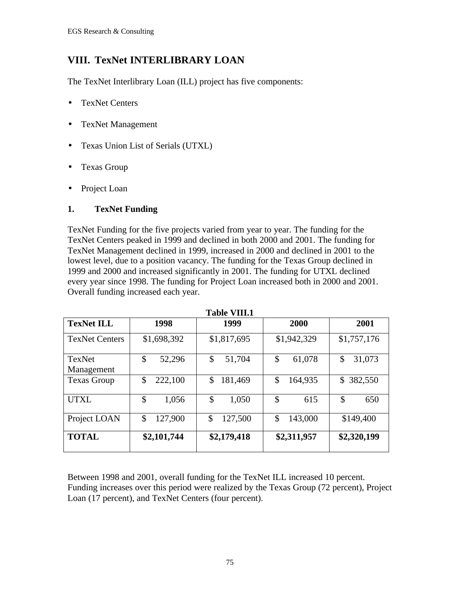# **VIII. TexNet INTERLIBRARY LOAN**

The TexNet Interlibrary Loan (ILL) project has five components:

- TexNet Centers
- TexNet Management
- Texas Union List of Serials (UTXL)
- Texas Group
- Project Loan

## **1. TexNet Funding**

TexNet Funding for the five projects varied from year to year. The funding for the TexNet Centers peaked in 1999 and declined in both 2000 and 2001. The funding for TexNet Management declined in 1999, increased in 2000 and declined in 2001 to the lowest level, due to a position vacancy. The funding for the Texas Group declined in 1999 and 2000 and increased significantly in 2001. The funding for UTXL declined every year since 1998. The funding for Project Loan increased both in 2000 and 2001. Overall funding increased each year.

|                       |               | ****** *****  |               |               |
|-----------------------|---------------|---------------|---------------|---------------|
| <b>TexNet ILL</b>     | 1998          | 1999          | 2000          | 2001          |
| <b>TexNet Centers</b> | \$1,698,392   | \$1,817,695   | \$1,942,329   | \$1,757,176   |
| TexNet<br>Management  | \$<br>52,296  | \$<br>51,704  | \$<br>61,078  | \$<br>31,073  |
| <b>Texas Group</b>    | \$<br>222,100 | \$<br>181,469 | \$<br>164,935 | 382,550<br>\$ |
| <b>UTXL</b>           | \$<br>1,056   | \$<br>1,050   | \$<br>615     | \$<br>650     |
| Project LOAN          | \$<br>127,900 | \$<br>127,500 | 143,000<br>\$ | \$149,400     |
| <b>TOTAL</b>          | \$2,101,744   | \$2,179,418   | \$2,311,957   | \$2,320,199   |

**Table VIII.1**

Between 1998 and 2001, overall funding for the TexNet ILL increased 10 percent. Funding increases over this period were realized by the Texas Group (72 percent), Project Loan (17 percent), and TexNet Centers (four percent).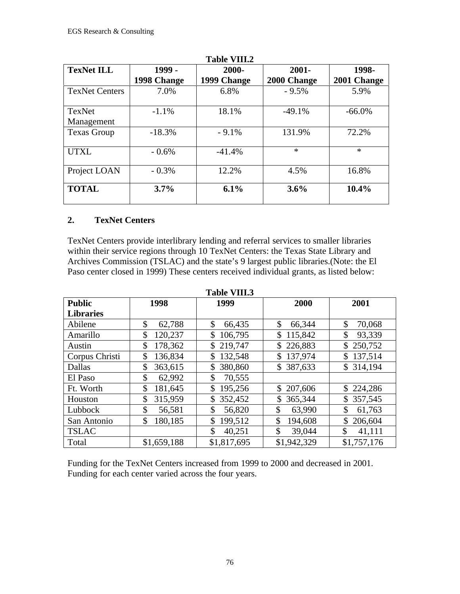| <b>Table VIII.2</b>         |                       |                      |                         |                      |  |  |  |
|-----------------------------|-----------------------|----------------------|-------------------------|----------------------|--|--|--|
| <b>TexNet ILL</b>           | 1999 -<br>1998 Change | 2000-<br>1999 Change | $2001 -$<br>2000 Change | 1998-<br>2001 Change |  |  |  |
| <b>TexNet Centers</b>       | 7.0%                  | 6.8%                 | $-9.5%$                 | 5.9%                 |  |  |  |
| <b>TexNet</b><br>Management | $-1.1%$               | 18.1%                | $-49.1%$                | $-66.0\%$            |  |  |  |
| <b>Texas Group</b>          | $-18.3%$              | $-9.1%$              | 131.9%                  | 72.2%                |  |  |  |
| <b>UTXL</b>                 | $-0.6\%$              | $-41.4%$             | $\ast$                  | $\ast$               |  |  |  |
| Project LOAN                | $-0.3%$               | 12.2%                | 4.5%                    | 16.8%                |  |  |  |
| <b>TOTAL</b>                | 3.7%                  | 6.1%                 | 3.6%                    | 10.4%                |  |  |  |

### **2. TexNet Centers**

TexNet Centers provide interlibrary lending and referral services to smaller libraries within their service regions through 10 TexNet Centers: the Texas State Library and Archives Commission (TSLAC) and the state's 9 largest public libraries.(Note: the El Paso center closed in 1999) These centers received individual grants, as listed below:

| <b>Public</b>    | 1998          | 1999          | 2000         | 2001          |
|------------------|---------------|---------------|--------------|---------------|
| <b>Libraries</b> |               |               |              |               |
| Abilene          | \$            | \$            | \$           | \$            |
|                  | 62,788        | 66,435        | 66,344       | 70,068        |
| Amarillo         | \$            | 106,795       | 115,842      | \$            |
|                  | 120,237       | \$            | \$           | 93,339        |
| Austin           | 178,362       | 219,747       | 226,883      | 250,752       |
|                  | \$            | \$            | \$           | \$            |
| Corpus Christi   | \$            | \$            | \$           | \$            |
|                  | 136,834       | 132,548       | 137,974      | 137,514       |
| Dallas           | 363,615<br>\$ | 380,860<br>\$ | \$387,633    | 314,194<br>\$ |
| El Paso          | \$<br>62,992  | 70,555<br>\$  |              |               |
| Ft. Worth        | \$<br>181,645 | \$<br>195,256 | \$207,606    | \$224,286     |
| Houston          | \$            | \$            | 365,344      | 357,545       |
|                  | 315,959       | 352,452       | \$           | \$            |
| Lubbock          | \$            | 56,820        | \$           | 61,763        |
|                  | 56,581        | \$            | 63,990       | S             |
| San Antonio      | \$            | \$            | \$           | \$            |
|                  | 180,185       | 199,512       | 194,608      | 206,604       |
| <b>TSLAC</b>     |               | \$<br>40,251  | \$<br>39,044 | \$<br>41,111  |
| Total            | \$1,659,188   | \$1,817,695   | \$1,942,329  | \$1,757,176   |

**Table VIII.3**

Funding for the TexNet Centers increased from 1999 to 2000 and decreased in 2001. Funding for each center varied across the four years.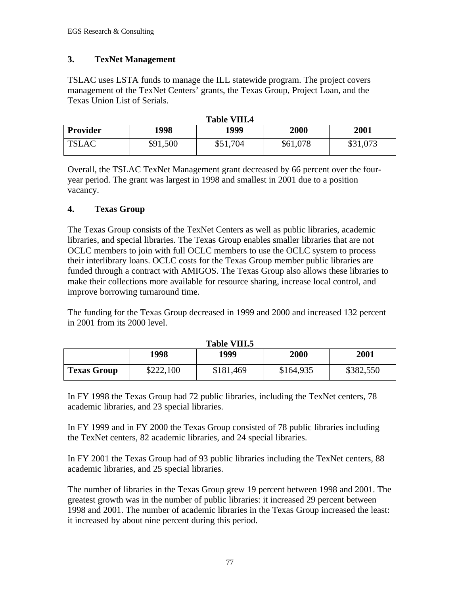## **3. TexNet Management**

TSLAC uses LSTA funds to manage the ILL statewide program. The project covers management of the TexNet Centers' grants, the Texas Group, Project Loan, and the Texas Union List of Serials.

| Table VIII.4    |          |          |          |          |  |  |  |
|-----------------|----------|----------|----------|----------|--|--|--|
| <b>Provider</b> | 1998     | 1999     | 2000     | 2001     |  |  |  |
| <b>TSLAC</b>    | \$91,500 | \$51,704 | \$61,078 | \$31,073 |  |  |  |

**Table VIII.4**

Overall, the TSLAC TexNet Management grant decreased by 66 percent over the fouryear period. The grant was largest in 1998 and smallest in 2001 due to a position vacancy.

## **4. Texas Group**

The Texas Group consists of the TexNet Centers as well as public libraries, academic libraries, and special libraries. The Texas Group enables smaller libraries that are not OCLC members to join with full OCLC members to use the OCLC system to process their interlibrary loans. OCLC costs for the Texas Group member public libraries are funded through a contract with AMIGOS. The Texas Group also allows these libraries to make their collections more available for resource sharing, increase local control, and improve borrowing turnaround time.

The funding for the Texas Group decreased in 1999 and 2000 and increased 132 percent in 2001 from its 2000 level.

| ------<br>.        |           |           |           |           |  |  |  |
|--------------------|-----------|-----------|-----------|-----------|--|--|--|
|                    | 1998      | 1999      | 2000      | 2001      |  |  |  |
| <b>Texas Group</b> | \$222,100 | \$181,469 | \$164,935 | \$382,550 |  |  |  |

**Table VIII.5**

In FY 1998 the Texas Group had 72 public libraries, including the TexNet centers, 78 academic libraries, and 23 special libraries.

In FY 1999 and in FY 2000 the Texas Group consisted of 78 public libraries including the TexNet centers, 82 academic libraries, and 24 special libraries.

In FY 2001 the Texas Group had of 93 public libraries including the TexNet centers, 88 academic libraries, and 25 special libraries.

The number of libraries in the Texas Group grew 19 percent between 1998 and 2001. The greatest growth was in the number of public libraries: it increased 29 percent between 1998 and 2001. The number of academic libraries in the Texas Group increased the least: it increased by about nine percent during this period.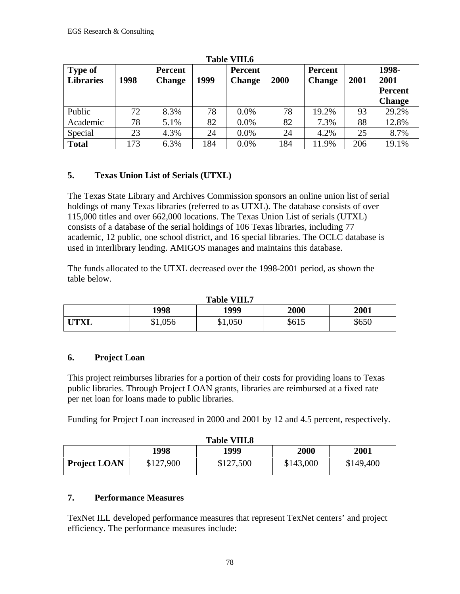| <b>Type of</b><br><b>Libraries</b> | 1998 | <b>Percent</b><br><b>Change</b> | 1999 | <b>Percent</b><br><b>Change</b> | 2000 | Percent<br><b>Change</b> | 2001 | 1998-<br>2001<br>Percent<br><b>Change</b> |
|------------------------------------|------|---------------------------------|------|---------------------------------|------|--------------------------|------|-------------------------------------------|
| Public                             | 72   | 8.3%                            | 78   | 0.0%                            | 78   | 19.2%                    | 93   | 29.2%                                     |
| Academic                           | 78   | 5.1%                            | 82   | 0.0%                            | 82   | 7.3%                     | 88   | 12.8%                                     |
| Special                            | 23   | 4.3%                            | 24   | 0.0%                            | 24   | 4.2%                     | 25   | 8.7%                                      |
| <b>Total</b>                       | 173  | 6.3%                            | 184  | 0.0%                            | 184  | 11.9%                    | 206  | 19.1%                                     |

**Table VIII.6**

# **5. Texas Union List of Serials (UTXL)**

The Texas State Library and Archives Commission sponsors an online union list of serial holdings of many Texas libraries (referred to as UTXL). The database consists of over 115,000 titles and over 662,000 locations. The Texas Union List of serials (UTXL) consists of a database of the serial holdings of 106 Texas libraries, including 77 academic, 12 public, one school district, and 16 special libraries. The OCLC database is used in interlibrary lending. AMIGOS manages and maintains this database.

The funds allocated to the UTXL decreased over the 1998-2001 period, as shown the table below.

**Table VIII.7**

| TADIC VIII.I |         |         |       |       |  |  |  |
|--------------|---------|---------|-------|-------|--|--|--|
|              | 1998    | 1999    | 2000  | 2001  |  |  |  |
| <b>UTXL</b>  | \$1,056 | \$1,050 | \$615 | \$650 |  |  |  |

# **6. Project Loan**

This project reimburses libraries for a portion of their costs for providing loans to Texas public libraries. Through Project LOAN grants, libraries are reimbursed at a fixed rate per net loan for loans made to public libraries.

Funding for Project Loan increased in 2000 and 2001 by 12 and 4.5 percent, respectively.

| <b>Table VIII.8</b> |           |           |           |           |  |  |
|---------------------|-----------|-----------|-----------|-----------|--|--|
|                     | 1998      | 1999      | 2000      | 2001      |  |  |
| <b>Project LOAN</b> | \$127,900 | \$127,500 | \$143,000 | \$149,400 |  |  |

# **7. Performance Measures**

TexNet ILL developed performance measures that represent TexNet centers' and project efficiency. The performance measures include: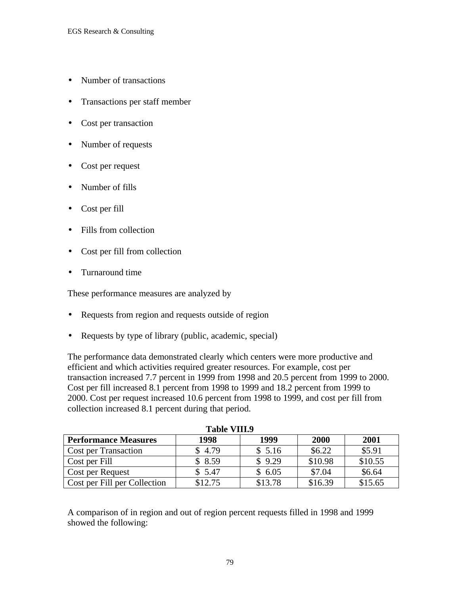- Number of transactions
- Transactions per staff member
- Cost per transaction
- Number of requests
- Cost per request
- Number of fills
- Cost per fill
- Fills from collection
- Cost per fill from collection
- Turnaround time

These performance measures are analyzed by

- Requests from region and requests outside of region
- Requests by type of library (public, academic, special)

The performance data demonstrated clearly which centers were more productive and efficient and which activities required greater resources. For example, cost per transaction increased 7.7 percent in 1999 from 1998 and 20.5 percent from 1999 to 2000. Cost per fill increased 8.1 percent from 1998 to 1999 and 18.2 percent from 1999 to 2000. Cost per request increased 10.6 percent from 1998 to 1999, and cost per fill from collection increased 8.1 percent during that period.

| таріе у пі. у                |         |         |         |         |  |  |  |
|------------------------------|---------|---------|---------|---------|--|--|--|
| <b>Performance Measures</b>  | 1998    | 1999    | 2000    | 2001    |  |  |  |
| <b>Cost per Transaction</b>  | \$4.79  | \$5.16  | \$6.22  | \$5.91  |  |  |  |
| Cost per Fill                | \$8.59  | \$9.29  | \$10.98 | \$10.55 |  |  |  |
| <b>Cost per Request</b>      | \$5.47  | \$6.05  | \$7.04  | \$6.64  |  |  |  |
| Cost per Fill per Collection | \$12.75 | \$13.78 | \$16.39 | \$15.65 |  |  |  |

**Table VIII.9**

A comparison of in region and out of region percent requests filled in 1998 and 1999 showed the following: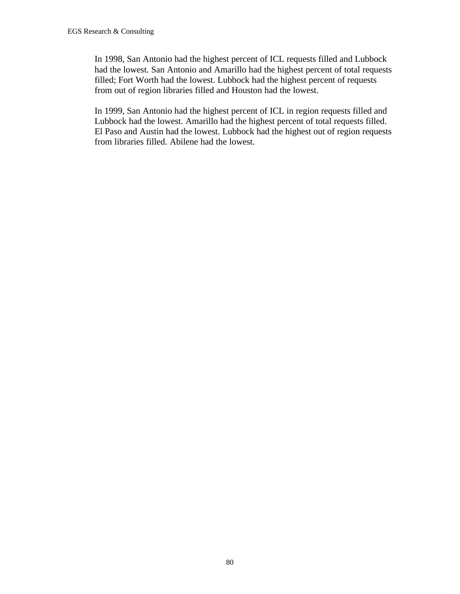In 1998, San Antonio had the highest percent of ICL requests filled and Lubbock had the lowest. San Antonio and Amarillo had the highest percent of total requests filled; Fort Worth had the lowest. Lubbock had the highest percent of requests from out of region libraries filled and Houston had the lowest.

In 1999, San Antonio had the highest percent of ICL in region requests filled and Lubbock had the lowest. Amarillo had the highest percent of total requests filled. El Paso and Austin had the lowest. Lubbock had the highest out of region requests from libraries filled. Abilene had the lowest.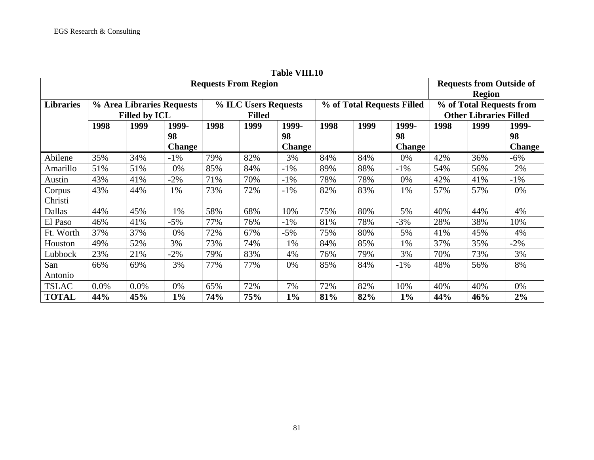|                             |      |                      |                           |                                                                     |      | Table VIII.IV |                                                           |      |               |      |      |               |
|-----------------------------|------|----------------------|---------------------------|---------------------------------------------------------------------|------|---------------|-----------------------------------------------------------|------|---------------|------|------|---------------|
| <b>Requests From Region</b> |      |                      |                           |                                                                     |      |               | <b>Requests from Outside of</b><br><b>Region</b>          |      |               |      |      |               |
| <b>Libraries</b>            |      | <b>Filled by ICL</b> | % Area Libraries Requests | % of Total Requests Filled<br>% ILC Users Requests<br><b>Filled</b> |      |               | % of Total Requests from<br><b>Other Libraries Filled</b> |      |               |      |      |               |
|                             | 1998 | 1999                 | 1999-                     | 1998                                                                | 1999 | 1999-         | 1998                                                      | 1999 | 1999-         | 1998 | 1999 | 1999-         |
|                             |      |                      | 98                        |                                                                     |      | 98            |                                                           |      | 98            |      |      | 98            |
|                             |      |                      | <b>Change</b>             |                                                                     |      | <b>Change</b> |                                                           |      | <b>Change</b> |      |      | <b>Change</b> |
| Abilene                     | 35%  | 34%                  | $-1\%$                    | 79%                                                                 | 82%  | 3%            | 84%                                                       | 84%  | 0%            | 42%  | 36%  | $-6\%$        |
| Amarillo                    | 51%  | 51%                  | 0%                        | 85%                                                                 | 84%  | $-1\%$        | 89%                                                       | 88%  | $-1\%$        | 54%  | 56%  | 2%            |
| Austin                      | 43%  | 41%                  | $-2\%$                    | 71%                                                                 | 70%  | $-1%$         | 78%                                                       | 78%  | 0%            | 42%  | 41%  | $-1\%$        |
| Corpus                      | 43%  | 44%                  | 1%                        | 73%                                                                 | 72%  | $-1\%$        | 82%                                                       | 83%  | 1%            | 57%  | 57%  | 0%            |
| Christi                     |      |                      |                           |                                                                     |      |               |                                                           |      |               |      |      |               |
| Dallas                      | 44%  | 45%                  | 1%                        | 58%                                                                 | 68%  | 10%           | 75%                                                       | 80%  | 5%            | 40%  | 44%  | 4%            |
| El Paso                     | 46%  | 41%                  | $-5%$                     | 77%                                                                 | 76%  | $-1\%$        | 81%                                                       | 78%  | $-3%$         | 28%  | 38%  | 10%           |
| Ft. Worth                   | 37%  | 37%                  | 0%                        | 72%                                                                 | 67%  | $-5%$         | 75%                                                       | 80%  | 5%            | 41%  | 45%  | 4%            |
| Houston                     | 49%  | 52%                  | 3%                        | 73%                                                                 | 74%  | 1%            | 84%                                                       | 85%  | 1%            | 37%  | 35%  | $-2\%$        |
| Lubbock                     | 23%  | 21%                  | $-2\%$                    | 79%                                                                 | 83%  | 4%            | 76%                                                       | 79%  | 3%            | 70%  | 73%  | 3%            |
| San                         | 66%  | 69%                  | 3%                        | 77%                                                                 | 77%  | 0%            | 85%                                                       | 84%  | $-1\%$        | 48%  | 56%  | 8%            |
| Antonio                     |      |                      |                           |                                                                     |      |               |                                                           |      |               |      |      |               |
| <b>TSLAC</b>                | 0.0% | 0.0%                 | 0%                        | 65%                                                                 | 72%  | 7%            | 72%                                                       | 82%  | 10%           | 40%  | 40%  | 0%            |
| <b>TOTAL</b>                | 44%  | 45%                  | $1\%$                     | 74%                                                                 | 75%  | $1\%$         | 81%                                                       | 82%  | $1\%$         | 44%  | 46%  | 2%            |

**Table VIII.10**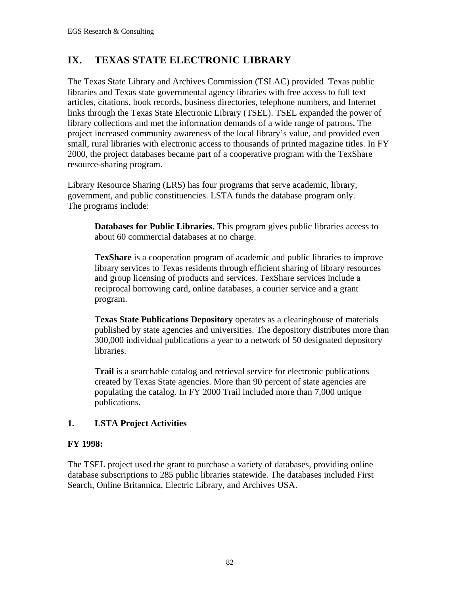# **IX. TEXAS STATE ELECTRONIC LIBRARY**

The Texas State Library and Archives Commission (TSLAC) provided Texas public libraries and Texas state governmental agency libraries with free access to full text articles, citations, book records, business directories, telephone numbers, and Internet links through the Texas State Electronic Library (TSEL). TSEL expanded the power of library collections and met the information demands of a wide range of patrons. The project increased community awareness of the local library's value, and provided even small, rural libraries with electronic access to thousands of printed magazine titles. In FY 2000, the project databases became part of a cooperative program with the TexShare resource-sharing program.

Library Resource Sharing (LRS) has four programs that serve academic, library, government, and public constituencies. LSTA funds the database program only. The programs include:

**Databases for Public Libraries.** This program gives public libraries access to about 60 commercial databases at no charge.

**TexShare** is a cooperation program of academic and public libraries to improve library services to Texas residents through efficient sharing of library resources and group licensing of products and services. TexShare services include a reciprocal borrowing card, online databases, a courier service and a grant program.

**Texas State Publications Depository** operates as a clearinghouse of materials published by state agencies and universities. The depository distributes more than 300,000 individual publications a year to a network of 50 designated depository libraries.

**Trail** is a searchable catalog and retrieval service for electronic publications created by Texas State agencies. More than 90 percent of state agencies are populating the catalog. In FY 2000 Trail included more than 7,000 unique publications.

## **1. LSTA Project Activities**

## **FY 1998:**

The TSEL project used the grant to purchase a variety of databases, providing online database subscriptions to 285 public libraries statewide. The databases included First Search, Online Britannica, Electric Library, and Archives USA.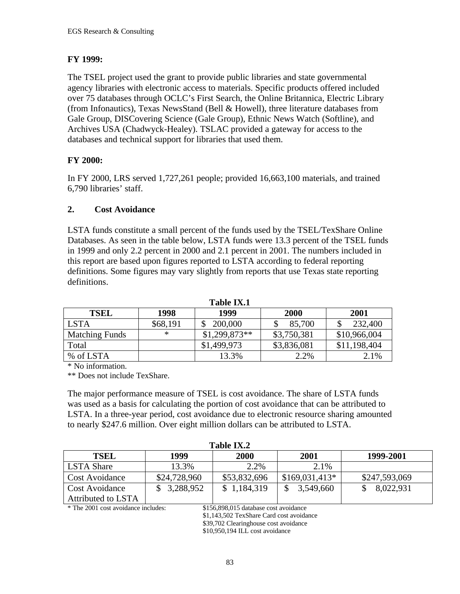# **FY 1999:**

The TSEL project used the grant to provide public libraries and state governmental agency libraries with electronic access to materials. Specific products offered included over 75 databases through OCLC's First Search, the Online Britannica, Electric Library (from Infonautics), Texas NewsStand (Bell & Howell), three literature databases from Gale Group, DISCovering Science (Gale Group), Ethnic News Watch (Softline), and Archives USA (Chadwyck-Healey). TSLAC provided a gateway for access to the databases and technical support for libraries that used them.

## **FY 2000:**

In FY 2000, LRS served 1,727,261 people; provided 16,663,100 materials, and trained 6,790 libraries' staff.

## **2. Cost Avoidance**

LSTA funds constitute a small percent of the funds used by the TSEL/TexShare Online Databases. As seen in the table below, LSTA funds were 13.3 percent of the TSEL funds in 1999 and only 2.2 percent in 2000 and 2.1 percent in 2001. The numbers included in this report are based upon figures reported to LSTA according to federal reporting definitions. Some figures may vary slightly from reports that use Texas state reporting definitions.

|                       |          | таше та.т      |             |              |
|-----------------------|----------|----------------|-------------|--------------|
| <b>TSEL</b>           | 1998     | 1999           | 2000        | 2001         |
| <b>LSTA</b>           | \$68,191 | 200,000        | 85,700      | 232,400      |
| <b>Matching Funds</b> | $\ast$   | $$1,299,873**$ | \$3,750,381 | \$10,966,004 |
| Total                 |          | \$1,499,973    | \$3,836,081 | \$11,198,404 |
| % of LSTA             |          | 13.3%          | 2.2%        | 2.1%         |

**Table IX.1**

\* No information.

\*\* Does not include TexShare.

The major performance measure of TSEL is cost avoidance. The share of LSTA funds was used as a basis for calculating the portion of cost avoidance that can be attributed to LSTA. In a three-year period, cost avoidance due to electronic resource sharing amounted to nearly \$247.6 million. Over eight million dollars can be attributed to LSTA.

| Table IX.2            |              |              |                 |               |  |  |
|-----------------------|--------------|--------------|-----------------|---------------|--|--|
| <b>TSEL</b>           | 1999         | 2000         | 2001            | 1999-2001     |  |  |
| LSTA Share            | 13.3%        | 2.2%         | 2.1%            |               |  |  |
| <b>Cost Avoidance</b> | \$24,728,960 | \$53,832,696 | $$169,031,413*$ | \$247,593,069 |  |  |
| <b>Cost Avoidance</b> | \$3,288,952  | \$1,184,319  | 3,549,660       | 8,022,931     |  |  |
| Attributed to LSTA    |              |              |                 |               |  |  |

\* The 2001 cost avoidance includes: \$156,898,015 database cost avoidance

\$1,143,502 TexShare Card cost avoidance \$39,702 Clearinghouse cost avoidance \$10,950,194 ILL cost avoidance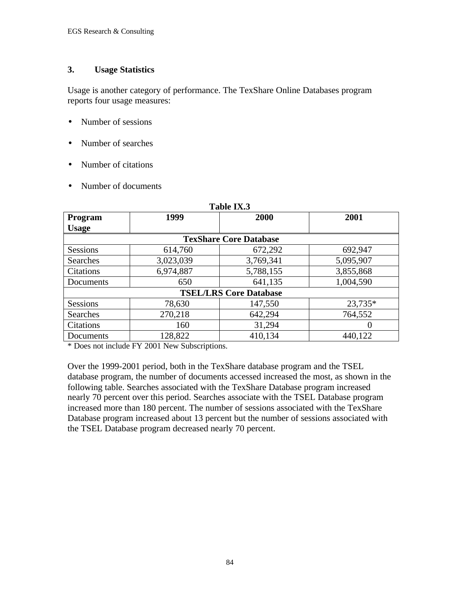## **3. Usage Statistics**

Usage is another category of performance. The TexShare Online Databases program reports four usage measures:

- Number of sessions
- Number of searches
- Number of citations
- Number of documents

| 1 adie 1A.5      |                               |           |           |  |  |  |  |  |  |
|------------------|-------------------------------|-----------|-----------|--|--|--|--|--|--|
| Program          | 1999                          | 2000      | 2001      |  |  |  |  |  |  |
| <b>Usage</b>     |                               |           |           |  |  |  |  |  |  |
|                  | <b>TexShare Core Database</b> |           |           |  |  |  |  |  |  |
| <b>Sessions</b>  | 614,760                       | 672,292   | 692,947   |  |  |  |  |  |  |
| Searches         | 3,023,039                     | 3,769,341 | 5,095,907 |  |  |  |  |  |  |
| <b>Citations</b> | 6,974,887                     | 5,788,155 | 3,855,868 |  |  |  |  |  |  |
| Documents        | 650                           | 641,135   | 1,004,590 |  |  |  |  |  |  |
|                  | <b>TSEL/LRS Core Database</b> |           |           |  |  |  |  |  |  |
| <b>Sessions</b>  | 78,630                        | 147,550   | 23,735*   |  |  |  |  |  |  |
| Searches         | 270,218                       | 642,294   | 764,552   |  |  |  |  |  |  |
| Citations        | 160                           | 31,294    | $\Omega$  |  |  |  |  |  |  |
| Documents        | 128,822                       | 410,134   | 440,122   |  |  |  |  |  |  |

**Table IX.3**

\* Does not include FY 2001 New Subscriptions.

Over the 1999-2001 period, both in the TexShare database program and the TSEL database program, the number of documents accessed increased the most, as shown in the following table. Searches associated with the TexShare Database program increased nearly 70 percent over this period. Searches associate with the TSEL Database program increased more than 180 percent. The number of sessions associated with the TexShare Database program increased about 13 percent but the number of sessions associated with the TSEL Database program decreased nearly 70 percent.